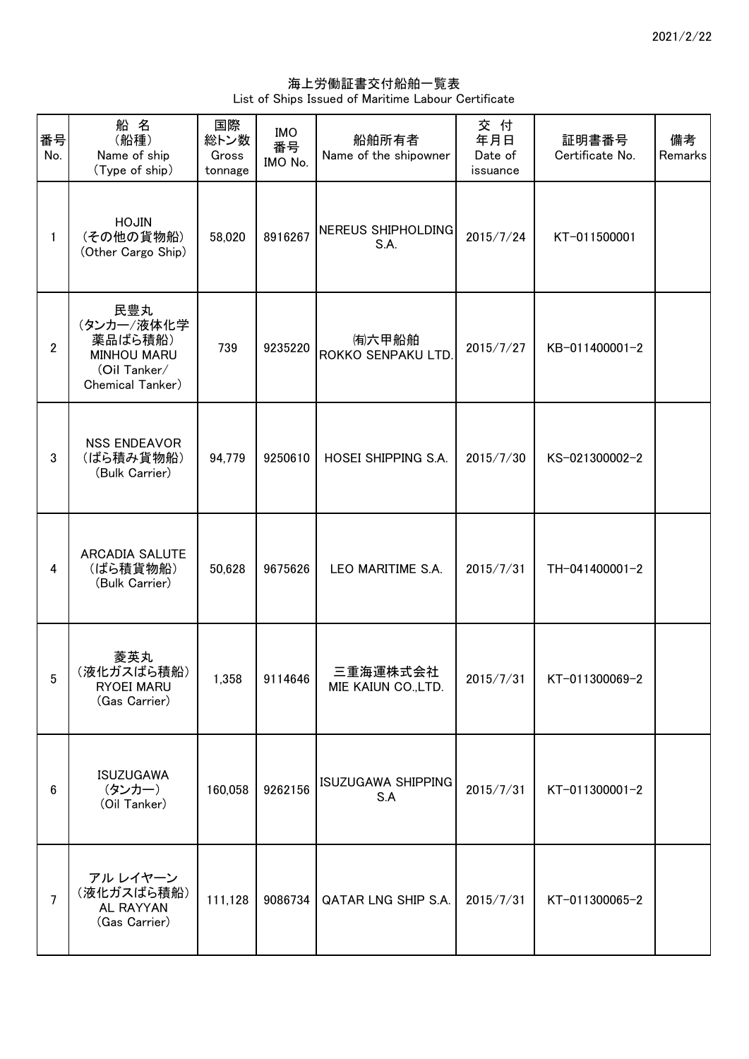海上労働証書交付船舶一覧表 List of Ships Issued of Maritime Labour Certificate

| 番号<br>No.       | 船名<br>(船種)<br>Name of ship<br>(Type of ship)                                           | 国際<br>総トン数<br>Gross<br>tonnage | <b>IMO</b><br>番号<br>IMO No. | 船舶所有者<br>Name of the shipowner  | 交付<br>年月日<br>Date of<br>issuance | 証明書番号<br>Certificate No. | 備考<br>Remarks |
|-----------------|----------------------------------------------------------------------------------------|--------------------------------|-----------------------------|---------------------------------|----------------------------------|--------------------------|---------------|
| 1               | <b>HOJIN</b><br>(その他の貨物船)<br>(Other Cargo Ship)                                        | 58,020                         | 8916267                     | NEREUS SHIPHOLDING<br>S.A.      | 2015/7/24                        | KT-011500001             |               |
| $\overline{2}$  | 民豊丸<br>(タンカー/液体化学<br>薬品ばら積船)<br><b>MINHOU MARU</b><br>(Oil Tanker/<br>Chemical Tanker) | 739                            | 9235220                     | (有)六甲船舶<br>ROKKO SENPAKU LTD.   | 2015/7/27                        | KB-011400001-2           |               |
| 3               | <b>NSS ENDEAVOR</b><br>(ばら積み貨物船)<br>(Bulk Carrier)                                     | 94,779                         | 9250610                     | HOSEI SHIPPING S.A.             | 2015/7/30                        | KS-021300002-2           |               |
| 4               | ARCADIA SALUTE<br>(ばら積貨物船)<br>(Bulk Carrier)                                           | 50,628                         | 9675626                     | LEO MARITIME S.A.               | 2015/7/31                        | TH-041400001-2           |               |
| $5\overline{)}$ | 菱英丸<br>(液化ガスばら積船)<br><b>RYOEI MARU</b><br>(Gas Carrier)                                | 1,358                          | 9114646                     | 三重海運株式会社<br>MIE KAIUN CO., LTD. | 2015/7/31                        | KT-011300069-2           |               |
| 6               | <b>ISUZUGAWA</b><br>(タンカー)<br>(Oil Tanker)                                             | 160,058                        | 9262156                     | ISUZUGAWA SHIPPING<br>S.A       | 2015/7/31                        | KT-011300001-2           |               |
| $\overline{7}$  | アルレイヤーン<br>(液化ガスばら積船)<br>AL RAYYAN<br>(Gas Carrier)                                    | 111,128                        | 9086734                     | QATAR LNG SHIP S.A.             | 2015/7/31                        | KT-011300065-2           |               |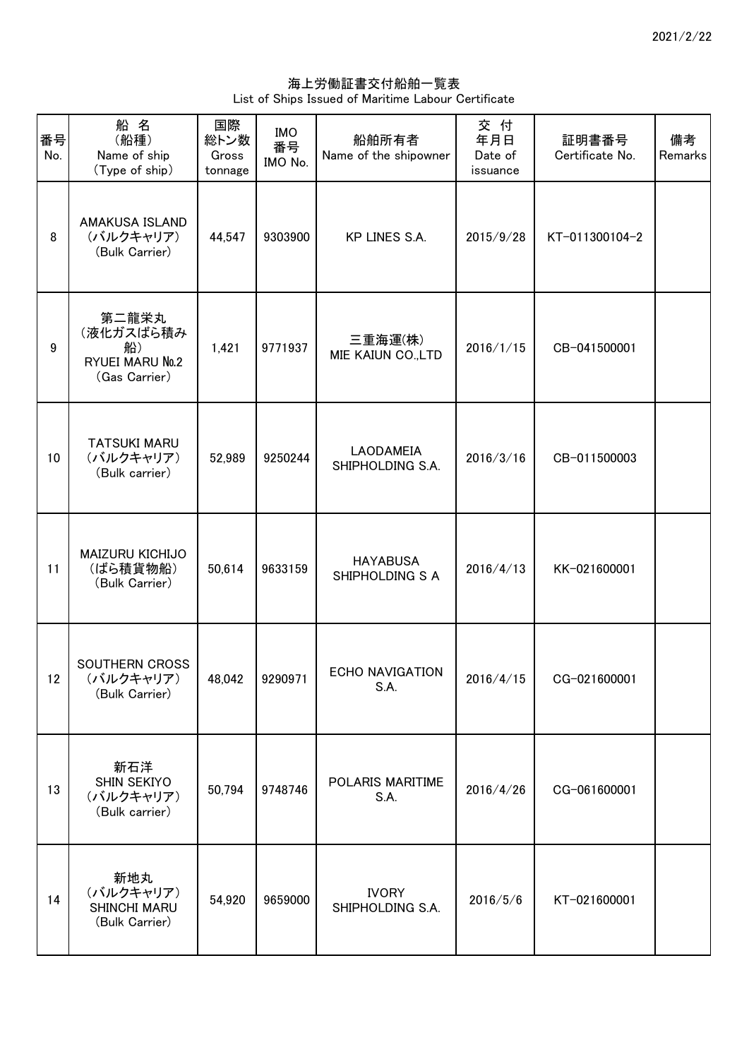海上労働証書交付船舶一覧表 List of Ships Issued of Maritime Labour Certificate

| 番号<br>No. | 船名<br>(船種)<br>Name of ship<br>(Type of ship)                 | 国際<br>総トン数<br>Gross<br>tonnage | <b>IMO</b><br>番号<br>IMO No. | 船舶所有者<br>Name of the shipowner     | 交付<br>年月日<br>Date of<br>issuance | 証明書番号<br>Certificate No. | 備考<br>Remarks |
|-----------|--------------------------------------------------------------|--------------------------------|-----------------------------|------------------------------------|----------------------------------|--------------------------|---------------|
| 8         | AMAKUSA ISLAND<br>(バルクキャリア)<br>(Bulk Carrier)                | 44,547                         | 9303900                     | KP LINES S.A.                      | 2015/9/28                        | KT-011300104-2           |               |
| 9         | 第二龍栄丸<br>(液化ガスばら積み<br>船)<br>RYUEI MARU No.2<br>(Gas Carrier) | 1,421                          | 9771937                     | 三重海運(株)<br>MIE KAIUN CO.,LTD       | 2016/1/15                        | CB-041500001             |               |
| 10        | <b>TATSUKI MARU</b><br>(バルクキャリア)<br>(Bulk carrier)           | 52,989                         | 9250244                     | LAODAMEIA<br>SHIPHOLDING S.A.      | 2016/3/16                        | CB-011500003             |               |
| 11        | MAIZURU KICHIJO<br>(ばら積貨物船)<br>(Bulk Carrier)                | 50,614                         | 9633159                     | <b>HAYABUSA</b><br>SHIPHOLDING S A | 2016/4/13                        | KK-021600001             |               |
| 12        | SOUTHERN CROSS<br>(バルクキャリア)<br>(Bulk Carrier)                |                                | 48,042 9290971              | <b>ECHO NAVIGATION</b><br>S.A.     | 2016/4/15                        | CG-021600001             |               |
| 13        | 新石洋<br>SHIN SEKIYO<br>(バルクキャリア)<br>(Bulk carrier)            | 50,794                         | 9748746                     | POLARIS MARITIME<br>S.A.           | 2016/4/26                        | CG-061600001             |               |
| 14        | 新地丸<br>(バルクキャリア)<br>SHINCHI MARU<br>(Bulk Carrier)           | 54,920                         | 9659000                     | <b>IVORY</b><br>SHIPHOLDING S.A.   | 2016/5/6                         | KT-021600001             |               |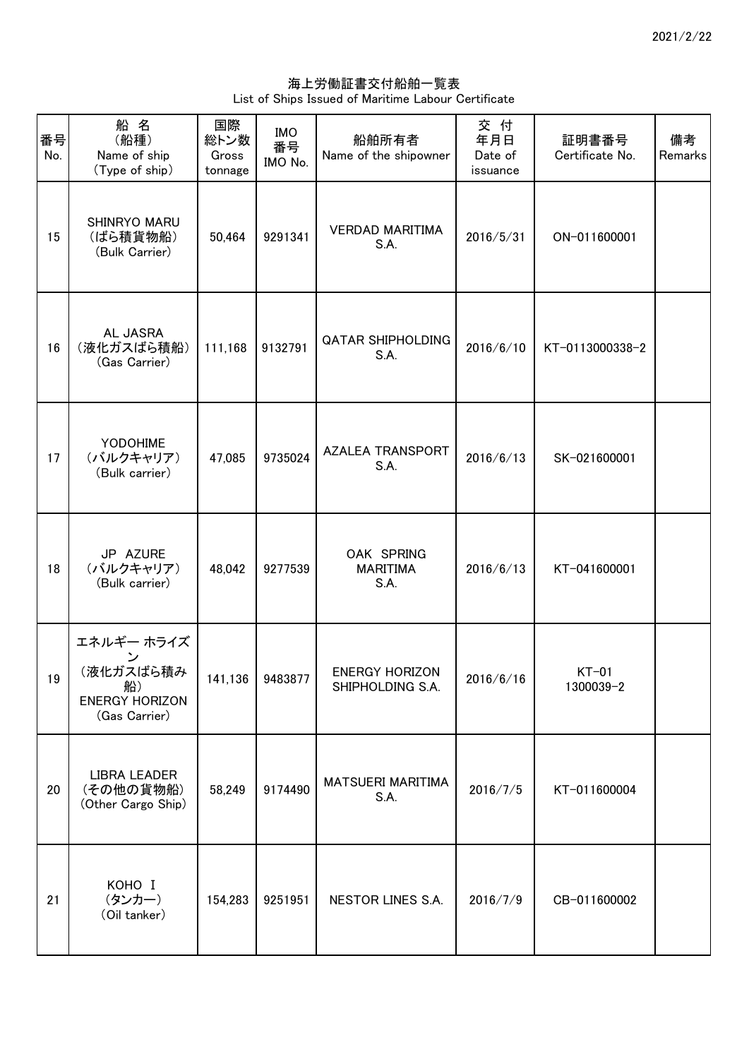海上労働証書交付船舶一覧表 List of Ships Issued of Maritime Labour Certificate

| 番号<br>No. | 船名<br>(船種)<br>Name of ship<br>(Type of ship)                            | 国際<br>総トン数<br>Gross<br>tonnage | <b>IMO</b><br>番号<br>IMO No. | 船舶所有者<br>Name of the shipowner            | 交付<br>年月日<br>Date of<br>issuance | 証明書番号<br>Certificate No. | 備考<br>Remarks |
|-----------|-------------------------------------------------------------------------|--------------------------------|-----------------------------|-------------------------------------------|----------------------------------|--------------------------|---------------|
| 15        | SHINRYO MARU<br>(ばら積貨物船)<br>(Bulk Carrier)                              | 50,464                         | 9291341                     | <b>VERDAD MARITIMA</b><br>S.A.            | 2016/5/31                        | ON-011600001             |               |
| 16        | AL JASRA<br>(液化ガスばら積船)<br>(Gas Carrier)                                 | 111,168                        | 9132791                     | <b>QATAR SHIPHOLDING</b><br>S.A.          | 2016/6/10                        | KT-0113000338-2          |               |
| 17        | YODOHIME<br>(バルクキャリア)<br>(Bulk carrier)                                 | 47,085                         | 9735024                     | <b>AZALEA TRANSPORT</b><br>S.A.           | 2016/6/13                        | SK-021600001             |               |
| 18        | JP AZURE<br>(バルクキャリア)<br>(Bulk carrier)                                 | 48,042                         | 9277539                     | OAK SPRING<br><b>MARITIMA</b><br>S.A.     | 2016/6/13                        | KT-041600001             |               |
| 19        | エネルギー ホライズ<br>(液化ガスばら積み<br>船)<br><b>ENERGY HORIZON</b><br>(Gas Carrier) |                                | 141,136 9483877             | <b>ENERGY HORIZON</b><br>SHIPHOLDING S.A. | 2016/6/16                        | $KT-01$<br>1300039-2     |               |
| 20        | <b>LIBRA LEADER</b><br>(その他の貨物船)<br>(Other Cargo Ship)                  | 58,249                         | 9174490                     | <b>MATSUERI MARITIMA</b><br>S.A.          | 2016/7/5                         | KT-011600004             |               |
| 21        | KOHO I<br>(タンカー)<br>(Oil tanker)                                        | 154,283                        | 9251951                     | NESTOR LINES S.A.                         | 2016/7/9                         | CB-011600002             |               |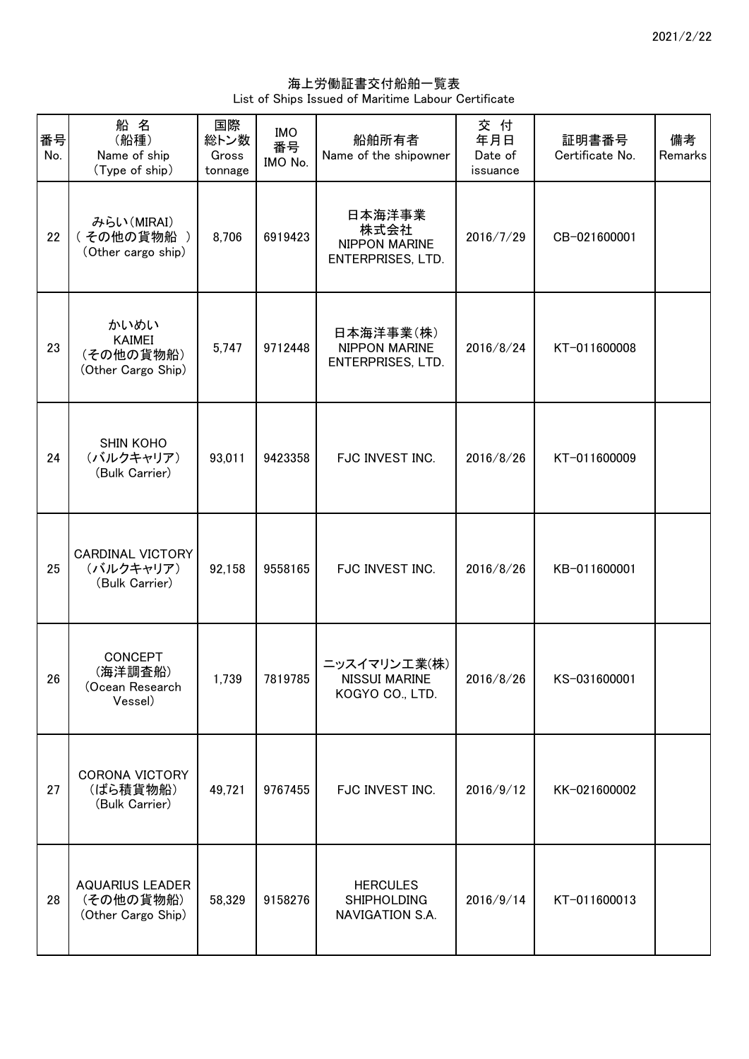海上労働証書交付船舶一覧表 List of Ships Issued of Maritime Labour Certificate

| 番号<br>No. | 船名<br>(船種)<br>Name of ship<br>(Type of ship)              | 国際<br>総トン数<br>Gross<br>tonnage | <b>IMO</b><br>番号<br>IMO No. | 船舶所有者<br>Name of the shipowner                              | 交 付<br>年月日<br>Date of<br>issuance | 証明書番号<br>Certificate No. | 備考<br>Remarks |
|-----------|-----------------------------------------------------------|--------------------------------|-----------------------------|-------------------------------------------------------------|-----------------------------------|--------------------------|---------------|
| 22        | みらい(MIRAI)<br>(その他の貨物船)<br>(Other cargo ship)             | 8,706                          | 6919423                     | 日本海洋事業<br>株式会社<br>NIPPON MARINE<br><b>ENTERPRISES, LTD.</b> | 2016/7/29                         | CB-021600001             |               |
| 23        | かいめい<br><b>KAIMEI</b><br>(その他の貨物船)<br>(Other Cargo Ship)  | 5,747                          | 9712448                     | 日本海洋事業(株)<br>NIPPON MARINE<br>ENTERPRISES, LTD.             | 2016/8/24                         | KT-011600008             |               |
| 24        | <b>SHIN KOHO</b><br>(バルクキャリア)<br>(Bulk Carrier)           | 93,011                         | 9423358                     | FJC INVEST INC.                                             | 2016/8/26                         | KT-011600009             |               |
| 25        | <b>CARDINAL VICTORY</b><br>(バルクキャリア)<br>(Bulk Carrier)    | 92,158                         | 9558165                     | FJC INVEST INC.                                             | 2016/8/26                         | KB-011600001             |               |
| 26        | CONCEPT<br>(海洋調査船)<br>(Ocean Research<br>Vessel)          | 1,739                          | 7819785                     | ニッスイマリン工業(株)<br><b>NISSUI MARINE</b><br>KOGYO CO., LTD.     | 2016/8/26                         | KS-031600001             |               |
| 27        | <b>CORONA VICTORY</b><br>(ばら積貨物船)<br>(Bulk Carrier)       | 49,721                         | 9767455                     | FJC INVEST INC.                                             | 2016/9/12                         | KK-021600002             |               |
| 28        | <b>AQUARIUS LEADER</b><br>(その他の貨物船)<br>(Other Cargo Ship) | 58,329                         | 9158276                     | <b>HERCULES</b><br><b>SHIPHOLDING</b><br>NAVIGATION S.A.    | 2016/9/14                         | KT-011600013             |               |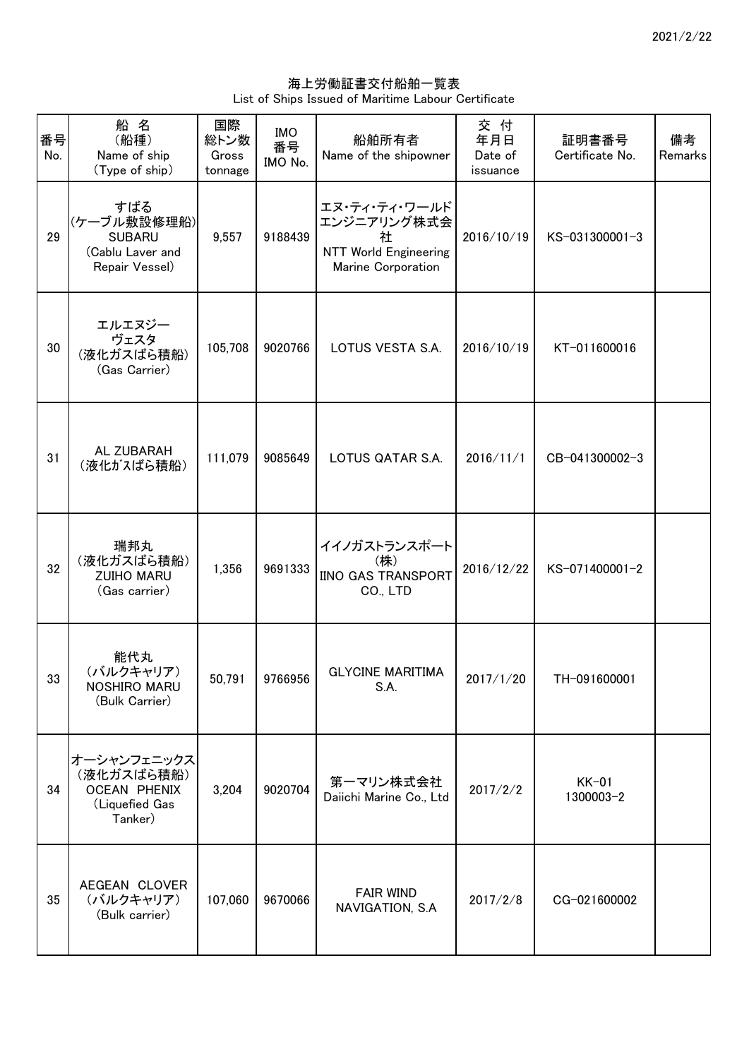海上労働証書交付船舶一覧表 List of Ships Issued of Maritime Labour Certificate

| 番号<br>No. | 船名<br>(船種)<br>Name of ship<br>(Type of ship)                                  | 国際<br>総トン数<br>Gross<br>tonnage | <b>IMO</b><br>番号<br>IMO No. | 船舶所有者<br>Name of the shipowner                                                          | 交 付<br>年月日<br>Date of<br>issuance | 証明書番号<br>Certificate No. | 備考<br>Remarks |
|-----------|-------------------------------------------------------------------------------|--------------------------------|-----------------------------|-----------------------------------------------------------------------------------------|-----------------------------------|--------------------------|---------------|
| 29        | すばる<br>(ケーブル敷設修理船)<br><b>SUBARU</b><br>(Cablu Laver and<br>Repair Vessel)     | 9,557                          | 9188439                     | エヌ・ティ・ティ・ワールド<br>エンジニアリング株式会<br>社<br><b>NTT World Engineering</b><br>Marine Corporation | 2016/10/19                        | KS-031300001-3           |               |
| 30        | エルエヌジー<br>ヴェスタ<br>(液化ガスばら積船)<br>(Gas Carrier)                                 | 105,708                        | 9020766                     | LOTUS VESTA S.A.                                                                        | 2016/10/19                        | KT-011600016             |               |
| 31        | AL ZUBARAH<br>(液化がスばら積船)                                                      | 111,079                        | 9085649                     | LOTUS QATAR S.A.                                                                        | 2016/11/1                         | CB-041300002-3           |               |
| 32        | 瑞邦丸<br>(液化ガスばら積船)<br><b>ZUIHO MARU</b><br>(Gas carrier)                       | 1,356                          | 9691333                     | イイノガストランスポート<br>(株)<br><b>IINO GAS TRANSPORT</b><br>CO., LTD                            | 2016/12/22                        | KS-071400001-2           |               |
| 33        | 能代丸<br>(バルクキャリア)<br>NOSHIRO MARU<br>(Bulk Carrier)                            | 50,791                         | 9766956                     | <b>GLYCINE MARITIMA</b><br>S.A.                                                         | 2017/1/20                         | TH-091600001             |               |
| 34        | オーシャンフェニックス<br>(液化ガスばら積船)<br><b>OCEAN PHENIX</b><br>(Liquefied Gas<br>Tanker) | 3,204                          | 9020704                     | 第一マリン株式会社<br>Daiichi Marine Co., Ltd                                                    | 2017/2/2                          | $KK-01$<br>1300003-2     |               |
| 35        | AEGEAN CLOVER<br>(バルクキャリア)<br>(Bulk carrier)                                  | 107,060                        | 9670066                     | <b>FAIR WIND</b><br>NAVIGATION, S.A                                                     | 2017/2/8                          | CG-021600002             |               |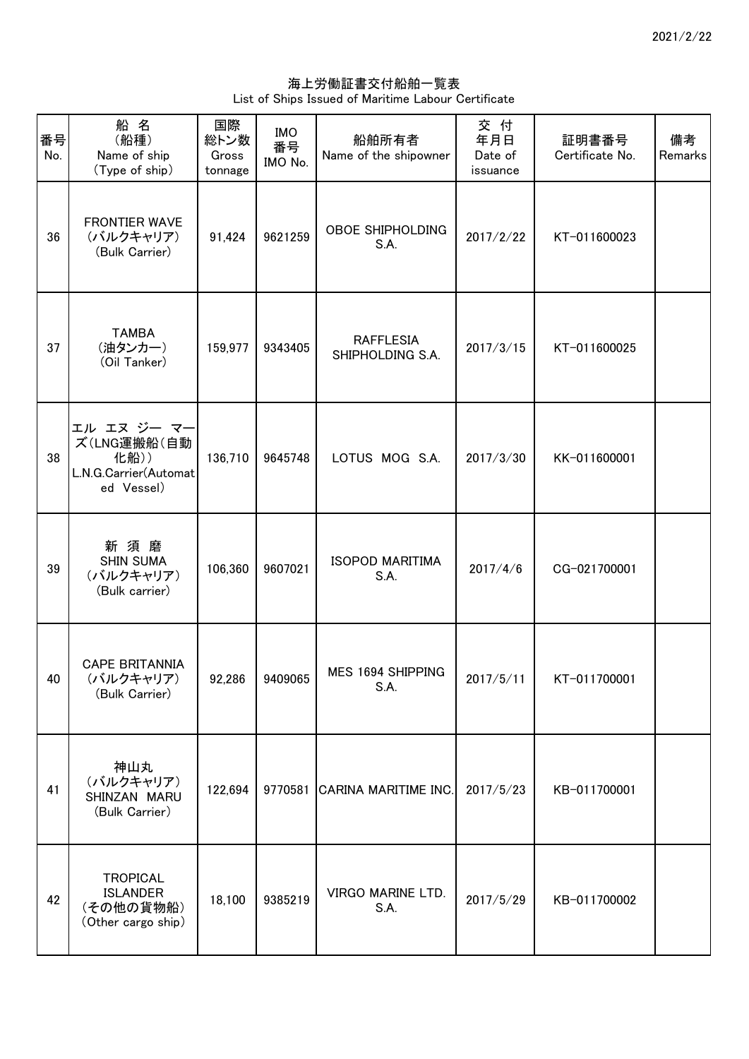海上労働証書交付船舶一覧表 List of Ships Issued of Maritime Labour Certificate

| 番号<br>No. | 船名<br>(船種)<br>Name of ship<br>(Type of ship)                              | 国際<br>総トン数<br>Gross<br>tonnage | <b>IMO</b><br>番号<br>IMO No. | 船舶所有者<br>Name of the shipowner       | 交付<br>年月日<br>Date of<br>issuance | 証明書番号<br>Certificate No. | 備考<br>Remarks |
|-----------|---------------------------------------------------------------------------|--------------------------------|-----------------------------|--------------------------------------|----------------------------------|--------------------------|---------------|
| 36        | <b>FRONTIER WAVE</b><br>(バルクキャリア)<br>(Bulk Carrier)                       | 91,424                         | 9621259                     | <b>OBOE SHIPHOLDING</b><br>S.A.      | 2017/2/22                        | KT-011600023             |               |
| 37        | <b>TAMBA</b><br>(油タンカー)<br>(Oil Tanker)                                   | 159,977                        | 9343405                     | <b>RAFFLESIA</b><br>SHIPHOLDING S.A. | 2017/3/15                        | KT-011600025             |               |
| 38        | エル エヌ ジー マー<br>ズ(LNG運搬船(自動<br>化船))<br>L.N.G.Carrier(Automat<br>ed Vessel) | 136,710                        | 9645748                     | LOTUS MOG S.A.                       | 2017/3/30                        | KK-011600001             |               |
| 39        | 新須磨<br><b>SHIN SUMA</b><br>(バルクキャリア)<br>(Bulk carrier)                    | 106,360                        | 9607021                     | <b>ISOPOD MARITIMA</b><br>S.A.       | 2017/4/6                         | CG-021700001             |               |
| 40        | <b>CAPE BRITANNIA</b><br>(バルクキャリア)<br>(Bulk Carrier)                      |                                | 92,286 9409065              | MES 1694 SHIPPING<br>S.A.            | 2017/5/11                        | KT-011700001             |               |
| 41        | 神山丸<br>(バルクキャリア)<br>SHINZAN MARU<br>(Bulk Carrier)                        | 122,694                        | 9770581                     | CARINA MARITIME INC.                 | 2017/5/23                        | KB-011700001             |               |
| 42        | <b>TROPICAL</b><br><b>ISLANDER</b><br>(その他の貨物船)<br>(Other cargo ship)     | 18,100                         | 9385219                     | VIRGO MARINE LTD.<br>S.A.            | 2017/5/29                        | KB-011700002             |               |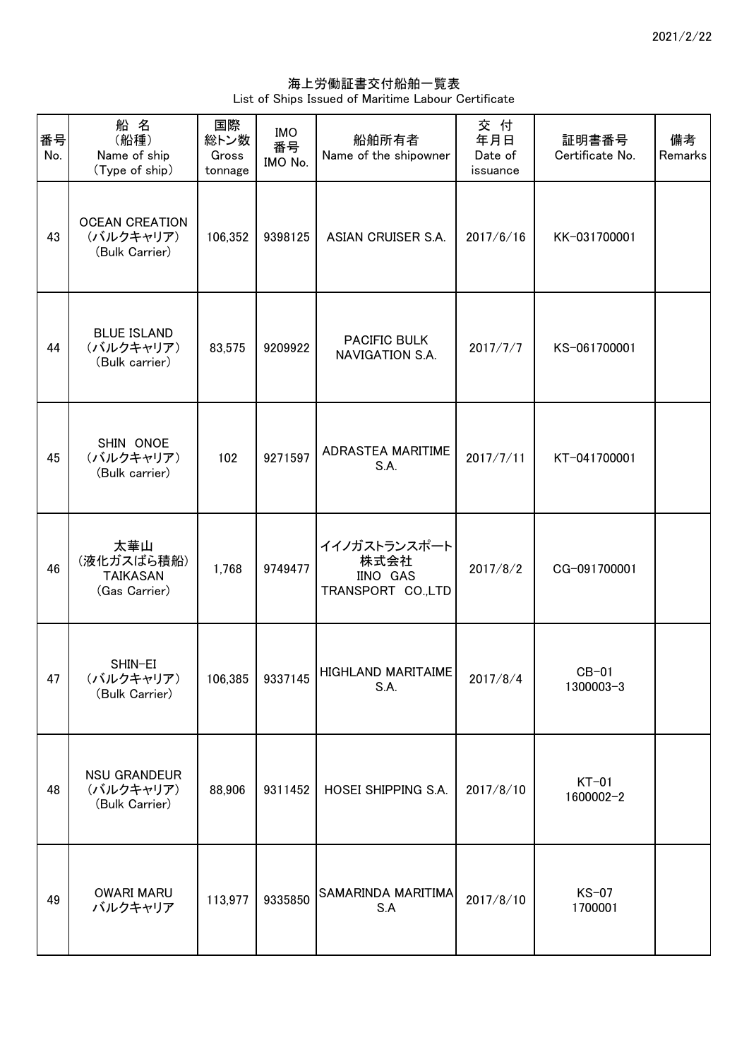海上労働証書交付船舶一覧表 List of Ships Issued of Maritime Labour Certificate

| 番号<br>No. | 船名<br>(船種)<br>Name of ship<br>(Type of ship)          | 国際<br>総トン数<br>Gross<br>tonnage | <b>IMO</b><br>番号<br>IMO No. | 船舶所有者<br>Name of the shipowner                               | 交付<br>年月日<br>Date of<br>issuance | 証明書番号<br>Certificate No. | 備考<br>Remarks |
|-----------|-------------------------------------------------------|--------------------------------|-----------------------------|--------------------------------------------------------------|----------------------------------|--------------------------|---------------|
| 43        | <b>OCEAN CREATION</b><br>(バルクキャリア)<br>(Bulk Carrier)  | 106,352                        | 9398125                     | ASIAN CRUISER S.A.                                           | 2017/6/16                        | KK-031700001             |               |
| 44        | <b>BLUE ISLAND</b><br>(バルクキャリア)<br>(Bulk carrier)     | 83,575                         | 9209922                     | PACIFIC BULK<br>NAVIGATION S.A.                              | 2017/7/7                         | KS-061700001             |               |
| 45        | SHIN ONOE<br>(バルクキャリア)<br>(Bulk carrier)              | 102                            | 9271597                     | ADRASTEA MARITIME<br>S.A.                                    | 2017/7/11                        | KT-041700001             |               |
| 46        | 太華山<br>(液化ガスばら積船)<br><b>TAIKASAN</b><br>(Gas Carrier) | 1,768                          | 9749477                     | イイノガストランスポート<br>株式会社<br><b>IINO GAS</b><br>TRANSPORT CO.,LTD | 2017/8/2                         | CG-091700001             |               |
| 47        | SHIN-EI<br>(バルクキャリア)<br>(Bulk Carrier)                |                                |                             | 106,385   9337145   HIGHLAND MARITAIME  <br>S.A.             | 2017/8/4                         | $CB-01$<br>1300003-3     |               |
| 48        | <b>NSU GRANDEUR</b><br>(バルクキャリア)<br>(Bulk Carrier)    | 88,906                         | 9311452                     | HOSEI SHIPPING S.A.                                          | 2017/8/10                        | $KT-01$<br>1600002-2     |               |
| 49        | <b>OWARI MARU</b><br>バルクキャリア                          | 113,977                        | 9335850                     | SAMARINDA MARITIMA<br>S.A                                    | 2017/8/10                        | $KS-07$<br>1700001       |               |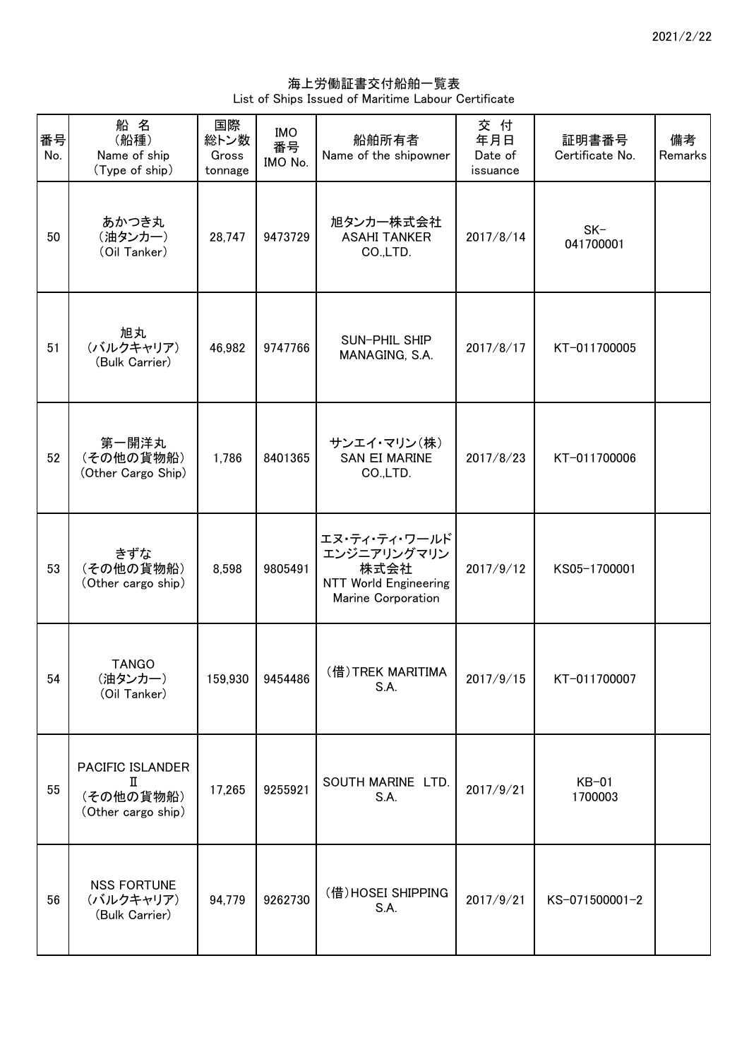海上労働証書交付船舶一覧表 List of Ships Issued of Maritime Labour Certificate

| 番号<br>No. | 船名<br>(船種)<br>Name of ship<br>(Type of ship)             | 国際<br>総トン数<br>Gross<br>tonnage | <b>IMO</b><br>番号<br>IMO No. | 船舶所有者<br>Name of the shipowner                                                             | 交付<br>年月日<br>Date of<br>issuance | 証明書番号<br>Certificate No. | 備考<br>Remarks |
|-----------|----------------------------------------------------------|--------------------------------|-----------------------------|--------------------------------------------------------------------------------------------|----------------------------------|--------------------------|---------------|
| 50        | あかつき丸<br>(油タンカー)<br>(Oil Tanker)                         | 28,747                         | 9473729                     | 旭タンカー株式会社<br><b>ASAHI TANKER</b><br>CO.,LTD.                                               | 2017/8/14                        | $SK-$<br>041700001       |               |
| 51        | 旭丸<br>(バルクキャリア)<br>(Bulk Carrier)                        | 46,982                         | 9747766                     | SUN-PHIL SHIP<br>MANAGING, S.A.                                                            | 2017/8/17                        | KT-011700005             |               |
| 52        | 第一開洋丸<br>(その他の貨物船)<br>(Other Cargo Ship)                 | 1,786                          | 8401365                     | サンエイ・マリン(株)<br><b>SAN EI MARINE</b><br>CO.,LTD.                                            | 2017/8/23                        | KT-011700006             |               |
| 53        | きずな<br>(その他の貨物船)<br>(Other cargo ship)                   | 8,598                          | 9805491                     | エヌ・ティ・ティ・ワールド<br>エンジニアリングマリン<br>株式会社<br><b>NTT World Engineering</b><br>Marine Corporation | 2017/9/12                        | KS05-1700001             |               |
| 54        | <b>TANGO</b><br>(油タンカー)<br>(Oil Tanker)                  |                                | 159,930 9454486             | (借)TREK MARITIMA<br>S.A.                                                                   | 2017/9/15                        | KT-011700007             |               |
| 55        | PACIFIC ISLANDER<br>П<br>(その他の貨物船)<br>(Other cargo ship) | 17,265                         | 9255921                     | SOUTH MARINE LTD.<br>S.A.                                                                  | 2017/9/21                        | $KB-01$<br>1700003       |               |
| 56        | <b>NSS FORTUNE</b><br>(バルクキャリア)<br>(Bulk Carrier)        | 94,779                         | 9262730                     | (借)HOSEI SHIPPING<br>S.A.                                                                  | 2017/9/21                        | KS-071500001-2           |               |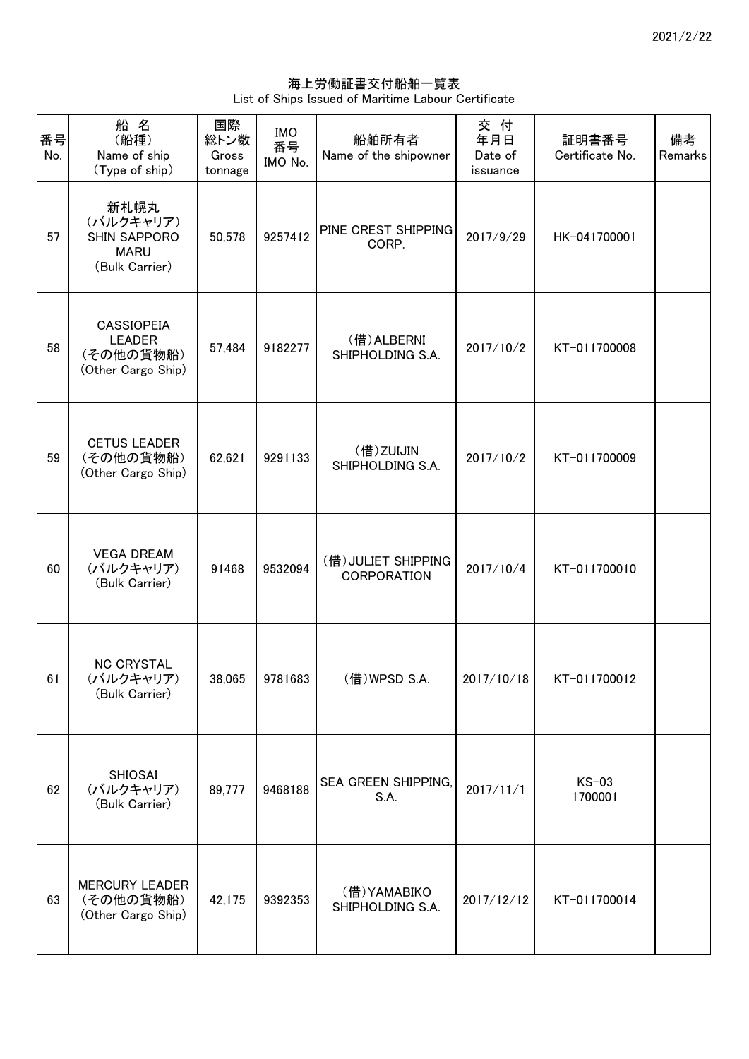海上労働証書交付船舶一覧表 List of Ships Issued of Maritime Labour Certificate

| 番号<br>No. | 船名<br>(船種)<br>Name of ship<br>(Type of ship)                          | 国際<br>総トン数<br>Gross<br>tonnage | IMO<br>番号<br>IMO No. | 船舶所有者<br>Name of the shipowner            | 交付<br>年月日<br>Date of<br>issuance | 証明書番号<br>Certificate No. | 備考<br>Remarks |
|-----------|-----------------------------------------------------------------------|--------------------------------|----------------------|-------------------------------------------|----------------------------------|--------------------------|---------------|
| 57        | 新札幌丸<br>(バルクキャリア)<br>SHIN SAPPORO<br><b>MARU</b><br>(Bulk Carrier)    | 50,578                         | 9257412              | PINE CREST SHIPPING<br>CORP.              | 2017/9/29                        | HK-041700001             |               |
| 58        | <b>CASSIOPEIA</b><br><b>LEADER</b><br>(その他の貨物船)<br>(Other Cargo Ship) | 57,484                         | 9182277              | (借) ALBERNI<br>SHIPHOLDING S.A.           | 2017/10/2                        | KT-011700008             |               |
| 59        | <b>CETUS LEADER</b><br>(その他の貨物船)<br>(Other Cargo Ship)                | 62,621                         | 9291133              | (借)ZUIJIN<br>SHIPHOLDING S.A.             | 2017/10/2                        | KT-011700009             |               |
| 60        | <b>VEGA DREAM</b><br>(バルクキャリア)<br>(Bulk Carrier)                      | 91468                          | 9532094              | (借) JULIET SHIPPING<br><b>CORPORATION</b> | 2017/10/4                        | KT-011700010             |               |
| 61        | <b>NC CRYSTAL</b><br>(バルクキャリア)<br>(Bulk Carrier)                      |                                | 38,065 9781683       | (借) WPSD S.A.                             | 2017/10/18                       | KT-011700012             |               |
| 62        | <b>SHIOSAI</b><br>(バルクキャリア)<br>(Bulk Carrier)                         | 89,777                         | 9468188              | SEA GREEN SHIPPING,<br>S.A.               | 2017/11/1                        | $KS-03$<br>1700001       |               |
| 63        | <b>MERCURY LEADER</b><br>(その他の貨物船)<br>(Other Cargo Ship)              | 42,175                         | 9392353              | (借)YAMABIKO<br>SHIPHOLDING S.A.           | 2017/12/12                       | KT-011700014             |               |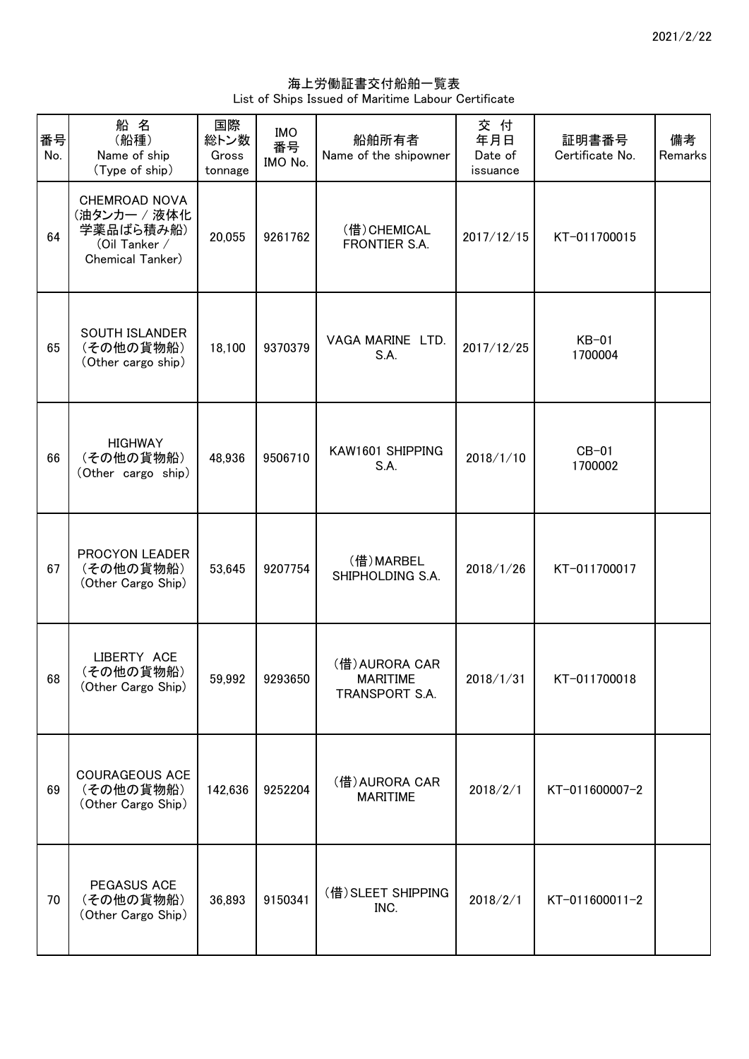海上労働証書交付船舶一覧表 List of Ships Issued of Maritime Labour Certificate

| 番号<br>No. | 船 名<br>(船種)<br>Name of ship<br>(Type of ship)                                   | 国際<br>総トン数<br>Gross<br>tonnage | <b>IMO</b><br>番号<br>IMO No. | 船舶所有者<br>Name of the shipowner                      | 交 付<br>年月日<br>Date of<br>issuance | 証明書番号<br>Certificate No. | 備考<br>Remarks |
|-----------|---------------------------------------------------------------------------------|--------------------------------|-----------------------------|-----------------------------------------------------|-----------------------------------|--------------------------|---------------|
| 64        | CHEMROAD NOVA<br>(油タンカー / 液体化<br>学薬品ばら積み船)<br>(Oil Tanker /<br>Chemical Tanker) | 20,055                         | 9261762                     | (借) CHEMICAL<br>FRONTIER S.A.                       | 2017/12/15                        | KT-011700015             |               |
| 65        | SOUTH ISLANDER<br>(その他の貨物船)<br>(Other cargo ship)                               | 18,100                         | 9370379                     | VAGA MARINE LTD.<br>S.A.                            | 2017/12/25                        | $KB-01$<br>1700004       |               |
| 66        | <b>HIGHWAY</b><br>(その他の貨物船)<br>(Other cargo ship)                               | 48,936                         | 9506710                     | KAW1601 SHIPPING<br>S.A.                            | 2018/1/10                         | $CB-01$<br>1700002       |               |
| 67        | PROCYON LEADER<br>(その他の貨物船)<br>(Other Cargo Ship)                               | 53,645                         | 9207754                     | (借)MARBEL<br>SHIPHOLDING S.A.                       | 2018/1/26                         | KT-011700017             |               |
| 68        | LIBERTY ACE<br>(その他の貨物船)<br>(Other Cargo Ship)                                  | 59,992                         | 9293650                     | (借) AURORA CAR<br><b>MARITIME</b><br>TRANSPORT S.A. | 2018/1/31                         | KT-011700018             |               |
| 69        | COURAGEOUS ACE<br>(その他の貨物船)<br>(Other Cargo Ship)                               | 142,636                        | 9252204                     | (借) AURORA CAR<br><b>MARITIME</b>                   | 2018/2/1                          | KT-011600007-2           |               |
| 70        | PEGASUS ACE<br>(その他の貨物船)<br>(Other Cargo Ship)                                  | 36,893                         | 9150341                     | (借) SLEET SHIPPING<br>INC.                          | 2018/2/1                          | KT-011600011-2           |               |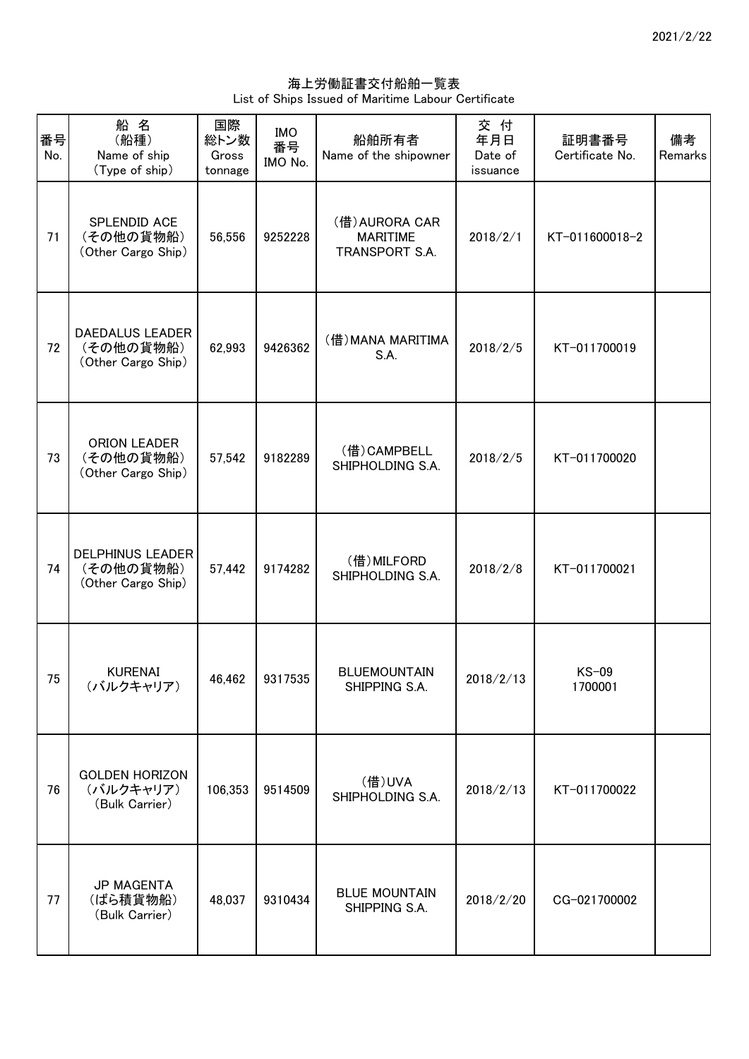海上労働証書交付船舶一覧表 List of Ships Issued of Maritime Labour Certificate

| 番号<br>No. | 船名<br>(船種)<br>Name of ship<br>(Type of ship)               | 国際<br>総トン数<br>Gross<br>tonnage | <b>IMO</b><br>番号<br>IMO No. | 船舶所有者<br>Name of the shipowner                      | 交付<br>年月日<br>Date of<br>issuance | 証明書番号<br>Certificate No. | 備考<br>Remarks |
|-----------|------------------------------------------------------------|--------------------------------|-----------------------------|-----------------------------------------------------|----------------------------------|--------------------------|---------------|
| 71        | SPLENDID ACE<br>(その他の貨物船)<br>(Other Cargo Ship)            | 56,556                         | 9252228                     | (借) AURORA CAR<br><b>MARITIME</b><br>TRANSPORT S.A. | 2018/2/1                         | KT-011600018-2           |               |
| 72        | <b>DAEDALUS LEADER</b><br>(その他の貨物船)<br>(Other Cargo Ship)  | 62,993                         | 9426362                     | (借) MANA MARITIMA<br>S.A.                           | 2018/2/5                         | KT-011700019             |               |
| 73        | <b>ORION LEADER</b><br>(その他の貨物船)<br>(Other Cargo Ship)     | 57,542                         | 9182289                     | (借) CAMPBELL<br>SHIPHOLDING S.A.                    | 2018/2/5                         | KT-011700020             |               |
| 74        | <b>DELPHINUS LEADER</b><br>(その他の貨物船)<br>(Other Cargo Ship) | 57,442                         | 9174282                     | (借) MILFORD<br>SHIPHOLDING S.A.                     | 2018/2/8                         | KT-011700021             |               |
| 75        | <b>KURENAI</b><br>(バルクキャリア)                                | 46,462                         | 9317535                     | <b>BLUEMOUNTAIN</b><br>SHIPPING S.A.                | 2018/2/13                        | KS-09<br>1700001         |               |
| 76        | <b>GOLDEN HORIZON</b><br>(バルクキャリア)<br>(Bulk Carrier)       | 106,353                        | 9514509                     | (借)UVA<br>SHIPHOLDING S.A.                          | 2018/2/13                        | KT-011700022             |               |
| 77        | <b>JP MAGENTA</b><br>(ばら積貨物船)<br>(Bulk Carrier)            | 48,037                         | 9310434                     | <b>BLUE MOUNTAIN</b><br>SHIPPING S.A.               | 2018/2/20                        | CG-021700002             |               |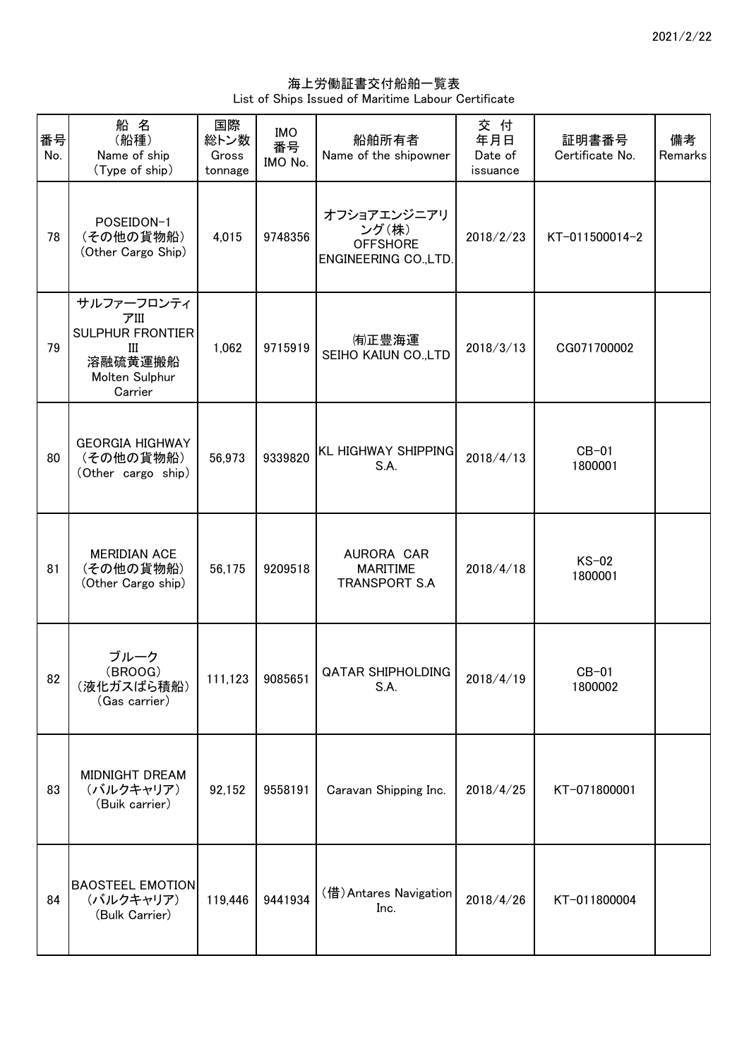海上労働証書交付船舶一覧表 List of Ships Issued of Maritime Labour Certificate

| 番号<br>No. | 船名<br>(船種)<br>Name of ship<br>(Type of ship)                                               | 国際<br>総トン数<br>Gross<br>tonnage | <b>IMO</b><br>番号<br>IMO No. | 船舶所有者<br>Name of the shipowner                                   | 交付<br>年月日<br>Date of<br>issuance | 証明書番号<br>Certificate No. | 備考<br>Remarks |
|-----------|--------------------------------------------------------------------------------------------|--------------------------------|-----------------------------|------------------------------------------------------------------|----------------------------------|--------------------------|---------------|
| 78        | POSEIDON-1<br>(その他の貨物船)<br>(Other Cargo Ship)                                              | 4,015                          | 9748356                     | オフショアエンジニアリ<br>ング(株)<br><b>OFFSHORE</b><br>ENGINEERING CO., LTD. | 2018/2/23                        | KT-011500014-2           |               |
| 79        | サルファーフロンティ<br>アIII<br><b>SULPHUR FRONTIER</b><br>Ш<br>溶融硫黄運搬船<br>Molten Sulphur<br>Carrier | 1,062                          | 9715919                     | (有)正豊海運<br>SEIHO KAIUN CO., LTD                                  | 2018/3/13                        | CG071700002              |               |
| 80        | <b>GEORGIA HIGHWAY</b><br>(その他の貨物船)<br>(Other cargo ship)                                  | 56,973                         | 9339820                     | <b>KL HIGHWAY SHIPPING</b><br>S.A.                               | 2018/4/13                        | $CB-01$<br>1800001       |               |
| 81        | <b>MERIDIAN ACE</b><br>(その他の貨物船)<br>(Other Cargo ship)                                     | 56,175                         | 9209518                     | AURORA CAR<br><b>MARITIME</b><br><b>TRANSPORT S.A</b>            | 2018/4/18                        | $KS-02$<br>1800001       |               |
| 82        | ブルーク<br>(BROOG)<br>(液化ガスばら積船)<br>(Gas carrier)                                             |                                | 111,123 9085651             | <b>QATAR SHIPHOLDING</b><br>S.A.                                 | 2018/4/19                        | $CB-01$<br>1800002       |               |
| 83        | MIDNIGHT DREAM<br>(バルクキャリア)<br>(Buik carrier)                                              | 92,152                         | 9558191                     | Caravan Shipping Inc.                                            | 2018/4/25                        | KT-071800001             |               |
| 84        | <b>BAOSTEEL EMOTION</b><br>(バルクキャリア)<br>(Bulk Carrier)                                     | 119,446                        | 9441934                     | (借) Antares Navigation<br>Inc.                                   | 2018/4/26                        | KT-011800004             |               |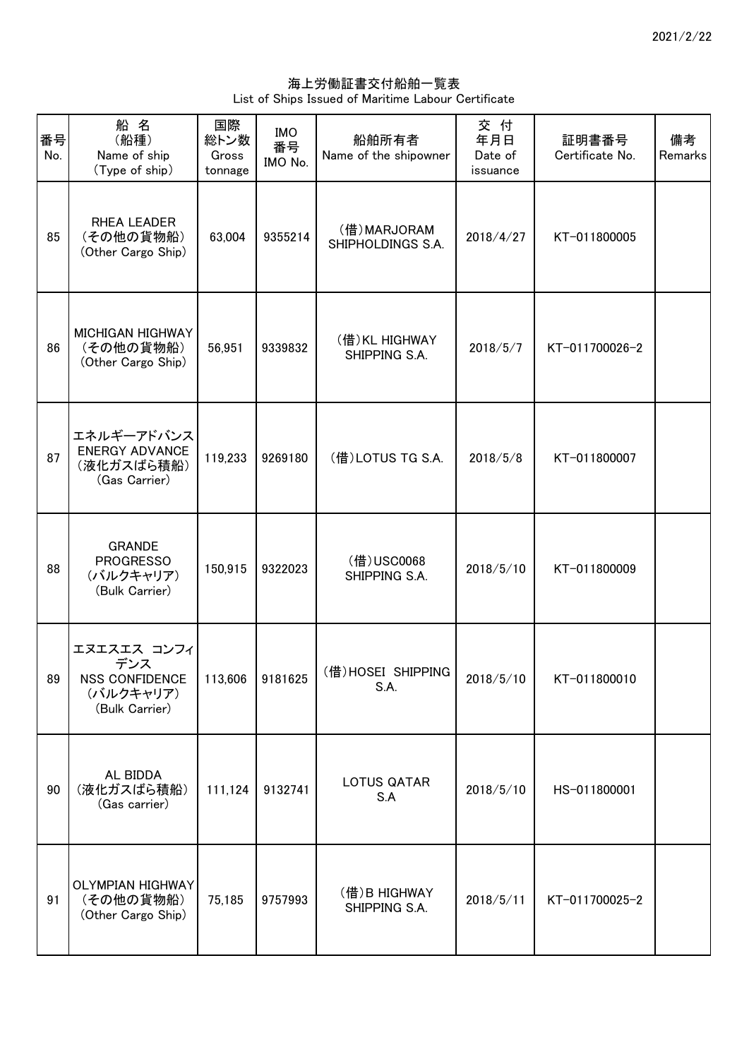海上労働証書交付船舶一覧表 List of Ships Issued of Maritime Labour Certificate

| 番号<br>No. | 船 名<br>(船種)<br>Name of ship<br>(Type of ship)                       | 国際<br>総トン数<br>Gross<br>tonnage | <b>IMO</b><br>番号<br>IMO No. | 船舶所有者<br>Name of the shipowner   | 交 付<br>年月日<br>Date of<br>issuance | 証明書番号<br>Certificate No. | 備考<br>Remarks |
|-----------|---------------------------------------------------------------------|--------------------------------|-----------------------------|----------------------------------|-----------------------------------|--------------------------|---------------|
| 85        | RHEA LEADER<br>(その他の貨物船)<br>(Other Cargo Ship)                      | 63,004                         | 9355214                     | (借)MARJORAM<br>SHIPHOLDINGS S.A. | 2018/4/27                         | KT-011800005             |               |
| 86        | <b>MICHIGAN HIGHWAY</b><br>(その他の貨物船)<br>(Other Cargo Ship)          | 56,951                         | 9339832                     | (借) KL HIGHWAY<br>SHIPPING S.A.  | 2018/5/7                          | KT-011700026-2           |               |
| 87        | エネルギーアドバンス<br><b>ENERGY ADVANCE</b><br>(液化ガスばら積船)<br>(Gas Carrier)  | 119,233                        | 9269180                     | (借) LOTUS TG S.A.                | 2018/5/8                          | KT-011800007             |               |
| 88        | <b>GRANDE</b><br><b>PROGRESSO</b><br>(バルクキャリア)<br>(Bulk Carrier)    | 150,915                        | 9322023                     | (借) USC0068<br>SHIPPING S.A.     | 2018/5/10                         | KT-011800009             |               |
| 89        | エヌエスエス コンフィ<br>デンス<br>NSS CONFIDENCE<br>(バルクキャリア)<br>(Bulk Carrier) |                                | 113,606 9181625             | (借)HOSEI SHIPPING<br>S.A.        | 2018/5/10                         | KT-011800010             |               |
| 90        | AL BIDDA<br>(液化ガスばら積船)<br>(Gas carrier)                             | 111,124                        | 9132741                     | LOTUS QATAR<br>S.A               | 2018/5/10                         | HS-011800001             |               |
| 91        | <b>OLYMPIAN HIGHWAY</b><br>(その他の貨物船)<br>(Other Cargo Ship)          | 75,185                         | 9757993                     | (借)B HIGHWAY<br>SHIPPING S.A.    | 2018/5/11                         | KT-011700025-2           |               |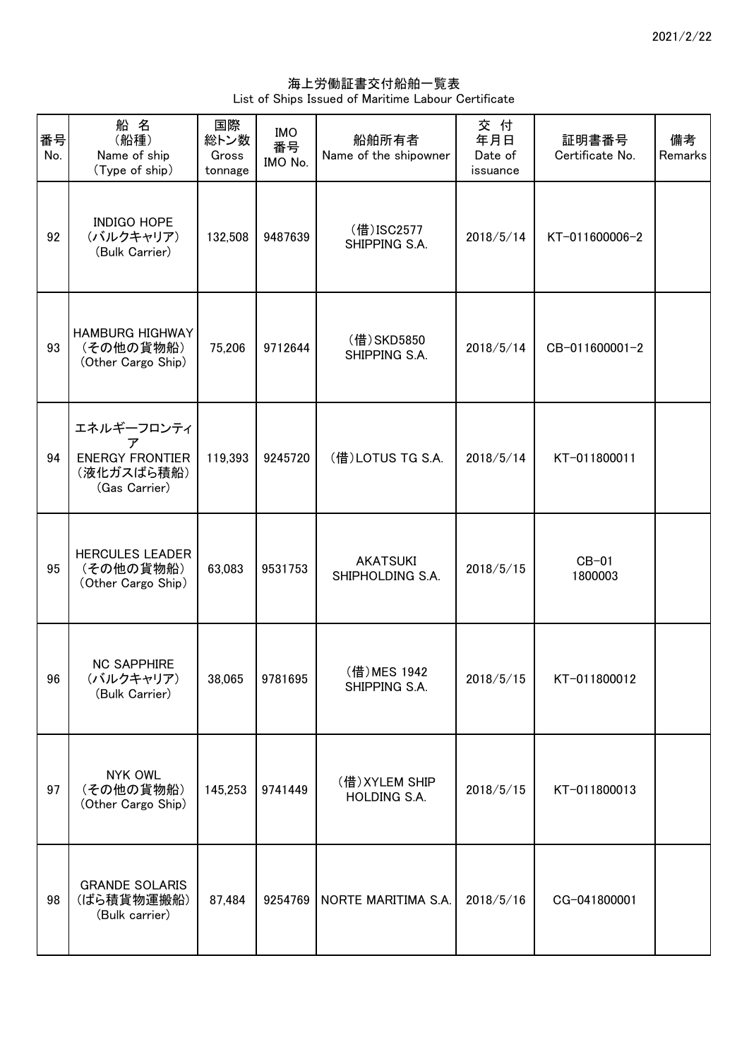海上労働証書交付船舶一覧表 List of Ships Issued of Maritime Labour Certificate

| 番号<br>No. | 船名<br>(船種)<br>Name of ship<br>(Type of ship)                             | 国際<br>総トン数<br>Gross<br>tonnage | <b>IMO</b><br>番号<br>IMO No. | 船舶所有者<br>Name of the shipowner      | 交付<br>年月日<br>Date of<br>issuance | 証明書番号<br>Certificate No. | 備考<br>Remarks |
|-----------|--------------------------------------------------------------------------|--------------------------------|-----------------------------|-------------------------------------|----------------------------------|--------------------------|---------------|
| 92        | <b>INDIGO HOPE</b><br>(バルクキャリア)<br>(Bulk Carrier)                        | 132,508                        | 9487639                     | (借) ISC2577<br>SHIPPING S.A.        | 2018/5/14                        | KT-011600006-2           |               |
| 93        | <b>HAMBURG HIGHWAY</b><br>(その他の貨物船)<br>(Other Cargo Ship)                | 75,206                         | 9712644                     | (借) SKD5850<br>SHIPPING S.A.        | 2018/5/14                        | CB-011600001-2           |               |
| 94        | エネルギーフロンティ<br>ァ<br><b>ENERGY FRONTIER</b><br>(液化ガスばら積船)<br>(Gas Carrier) | 119,393                        | 9245720                     | (借) LOTUS TG S.A.                   | 2018/5/14                        | KT-011800011             |               |
| 95        | <b>HERCULES LEADER</b><br>(その他の貨物船)<br>(Other Cargo Ship)                | 63,083                         | 9531753                     | <b>AKATSUKI</b><br>SHIPHOLDING S.A. | 2018/5/15                        | $CB-01$<br>1800003       |               |
| 96        | <b>NC SAPPHIRE</b><br>(バルクキャリア)<br>(Bulk Carrier)                        | 38,065                         | 9781695                     | (借) MES 1942<br>SHIPPING S.A.       | 2018/5/15                        | KT-011800012             |               |
| 97        | <b>NYK OWL</b><br>(その他の貨物船)<br>(Other Cargo Ship)                        | 145,253                        | 9741449                     | (借) XYLEM SHIP<br>HOLDING S.A.      | 2018/5/15                        | KT-011800013             |               |
| 98        | <b>GRANDE SOLARIS</b><br>(ばら積貨物運搬船)<br>(Bulk carrier)                    | 87,484                         | 9254769                     | NORTE MARITIMA S.A.                 | 2018/5/16                        | CG-041800001             |               |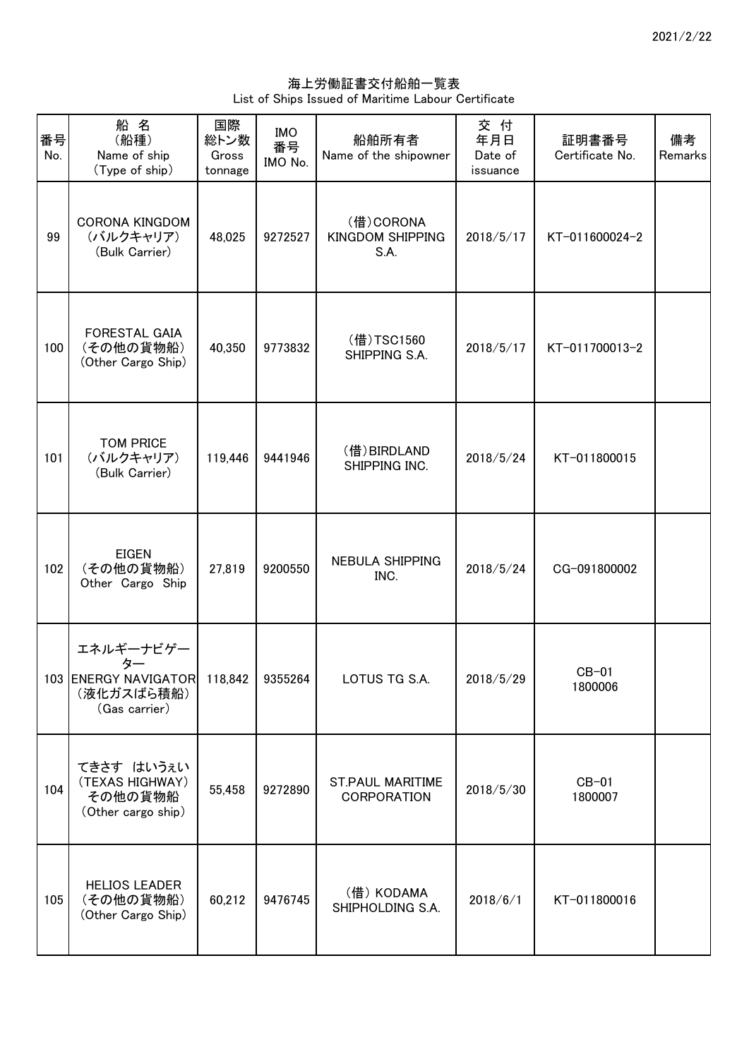海上労働証書交付船舶一覧表 List of Ships Issued of Maritime Labour Certificate

| 番号<br>No. | 船名<br>(船種)<br>Name of ship<br>(Type of ship)                                     | 国際<br>総トン数<br>Gross<br>tonnage | <b>IMO</b><br>番号<br>IMO No. | 船舶所有者<br>Name of the shipowner                | 交付<br>年月日<br>Date of<br>issuance | 証明書番号<br>Certificate No. | 備考<br>Remarks |
|-----------|----------------------------------------------------------------------------------|--------------------------------|-----------------------------|-----------------------------------------------|----------------------------------|--------------------------|---------------|
| 99        | <b>CORONA KINGDOM</b><br>(バルクキャリア)<br>(Bulk Carrier)                             | 48,025                         | 9272527                     | (借) CORONA<br><b>KINGDOM SHIPPING</b><br>S.A. | 2018/5/17                        | KT-011600024-2           |               |
| 100       | FORESTAL GAIA<br>(その他の貨物船)<br>(Other Cargo Ship)                                 | 40,350                         | 9773832                     | (借)TSC1560<br>SHIPPING S.A.                   | 2018/5/17                        | KT-011700013-2           |               |
| 101       | <b>TOM PRICE</b><br>(バルクキャリア)<br>(Bulk Carrier)                                  | 119,446                        | 9441946                     | (借) BIRDLAND<br>SHIPPING INC.                 | 2018/5/24                        | KT-011800015             |               |
| 102       | <b>EIGEN</b><br>(その他の貨物船)<br>Other Cargo Ship                                    | 27,819                         | 9200550                     | <b>NEBULA SHIPPING</b><br>INC.                | 2018/5/24                        | CG-091800002             |               |
|           | エネルギーナビゲー<br>103 ENERGY NAVIGATOR 118,842 9355264<br>(液化ガスばら積船)<br>(Gas carrier) |                                |                             | LOTUS TG S.A.                                 | 2018/5/29                        | $CB-01$<br>1800006       |               |
| 104       | てきさす はいうぇい<br>(TEXAS HIGHWAY)<br>その他の貨物船<br>(Other cargo ship)                   | 55,458                         | 9272890                     | ST.PAUL MARITIME<br><b>CORPORATION</b>        | 2018/5/30                        | $CB-01$<br>1800007       |               |
| 105       | <b>HELIOS LEADER</b><br>(その他の貨物船)<br>(Other Cargo Ship)                          | 60,212                         | 9476745                     | (借) KODAMA<br>SHIPHOLDING S.A.                | 2018/6/1                         | KT-011800016             |               |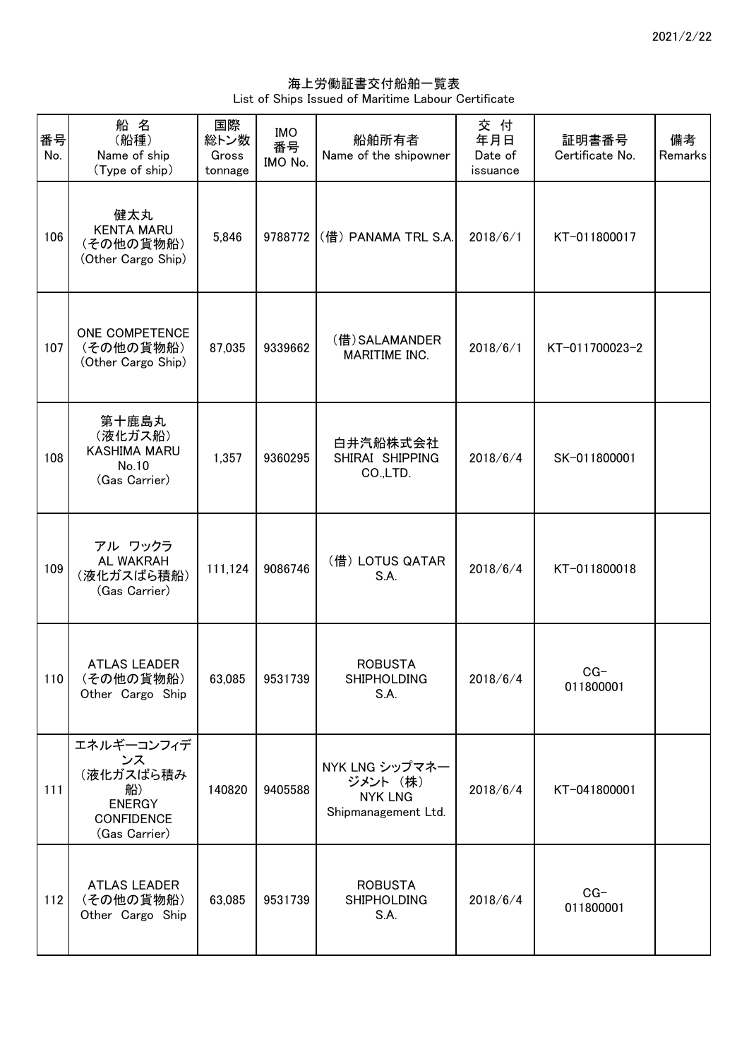海上労働証書交付船舶一覧表 List of Ships Issued of Maritime Labour Certificate

| 番号<br>No. | 船 名<br>(船種)<br>Name of ship<br>(Type of ship)                                              | 国際<br>総トン数<br>Gross<br>tonnage | <b>IMO</b><br>番号<br>IMO No. | 船舶所有者<br>Name of the shipowner                                      | 交 付<br>年月日<br>Date of<br>issuance | 証明書番号<br>Certificate No. | 備考<br>Remarks |
|-----------|--------------------------------------------------------------------------------------------|--------------------------------|-----------------------------|---------------------------------------------------------------------|-----------------------------------|--------------------------|---------------|
| 106       | 健太丸<br><b>KENTA MARU</b><br>(その他の貨物船)<br>(Other Cargo Ship)                                | 5,846                          | 9788772                     | (借) PANAMA TRL S.A.                                                 | 2018/6/1                          | KT-011800017             |               |
| 107       | ONE COMPETENCE<br>(その他の貨物船)<br>(Other Cargo Ship)                                          | 87,035                         | 9339662                     | (借) SALAMANDER<br>MARITIME INC.                                     | 2018/6/1                          | KT-011700023-2           |               |
| 108       | 第十鹿島丸<br>(液化ガス船)<br><b>KASHIMA MARU</b><br>No.10<br>(Gas Carrier)                          | 1,357                          | 9360295                     | 白井汽船株式会社<br>SHIRAI SHIPPING<br>CO.,LTD.                             | 2018/6/4                          | SK-011800001             |               |
| 109       | アル ワックラ<br><b>AL WAKRAH</b><br>(液化ガスばら積船)<br>(Gas Carrier)                                 | 111,124                        | 9086746                     | (借) LOTUS QATAR<br>S.A.                                             | 2018/6/4                          | KT-011800018             |               |
| 110       | <b>ATLAS LEADER</b><br>(その他の貨物船)<br>Other Cargo Ship                                       | 63,085                         | 9531739                     | <b>ROBUSTA</b><br><b>SHIPHOLDING</b><br>S.A.                        | 2018/6/4                          | $CG-$<br>011800001       |               |
| 111       | エネルギーコンフィデ<br>ンス<br>(液化ガスばら積み<br>船)<br><b>ENERGY</b><br><b>CONFIDENCE</b><br>(Gas Carrier) | 140820                         | 9405588                     | NYK LNG シップマネー<br>ジメント (株)<br><b>NYK LNG</b><br>Shipmanagement Ltd. | 2018/6/4                          | KT-041800001             |               |
| 112       | <b>ATLAS LEADER</b><br>(その他の貨物船)<br>Other Cargo Ship                                       | 63,085                         | 9531739                     | <b>ROBUSTA</b><br><b>SHIPHOLDING</b><br>S.A.                        | 2018/6/4                          | $CG-$<br>011800001       |               |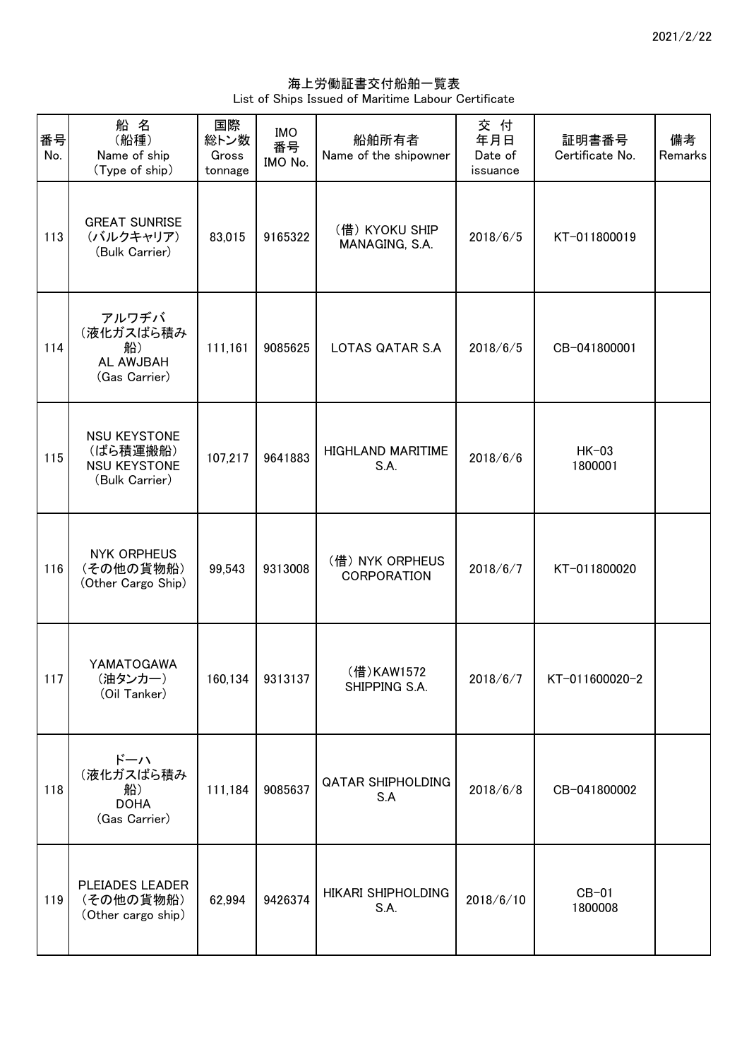海上労働証書交付船舶一覧表 List of Ships Issued of Maritime Labour Certificate

| 番号<br>No. | 船名<br>(船種)<br>Name of ship<br>(Type of ship)                             | 国際<br>総トン数<br>Gross<br>tonnage | <b>IMO</b><br>番号<br>IMO No. | 船舶所有者<br>Name of the shipowner        | 交付<br>年月日<br>Date of<br>issuance | 証明書番号<br>Certificate No. | 備考<br>Remarks |
|-----------|--------------------------------------------------------------------------|--------------------------------|-----------------------------|---------------------------------------|----------------------------------|--------------------------|---------------|
| 113       | <b>GREAT SUNRISE</b><br>(バルクキャリア)<br>(Bulk Carrier)                      | 83,015                         | 9165322                     | (借) KYOKU SHIP<br>MANAGING, S.A.      | 2018/6/5                         | KT-011800019             |               |
| 114       | アルワヂバ<br>(液化ガスばら積み<br>船)<br>AL AWJBAH<br>(Gas Carrier)                   | 111,161                        | 9085625                     | LOTAS QATAR S.A                       | 2018/6/5                         | CB-041800001             |               |
| 115       | <b>NSU KEYSTONE</b><br>(ばら積運搬船)<br><b>NSU KEYSTONE</b><br>(Bulk Carrier) | 107,217                        | 9641883                     | <b>HIGHLAND MARITIME</b><br>S.A.      | 2018/6/6                         | $HK-03$<br>1800001       |               |
| 116       | <b>NYK ORPHEUS</b><br>(その他の貨物船)<br>(Other Cargo Ship)                    | 99,543                         | 9313008                     | (借) NYK ORPHEUS<br><b>CORPORATION</b> | 2018/6/7                         | KT-011800020             |               |
| 117       | YAMATOGAWA<br>(油タンカー)<br>(Oil Tanker)                                    |                                | 160,134 9313137             | (借)KAW1572<br>SHIPPING S.A.           | 2018/6/7                         | KT-011600020-2           |               |
| 118       | ドーハ<br>(液化ガスばら積み<br>船)<br><b>DOHA</b><br>(Gas Carrier)                   | 111,184                        | 9085637                     | QATAR SHIPHOLDING<br>S.A              | 2018/6/8                         | CB-041800002             |               |
| 119       | PLEIADES LEADER<br>(その他の貨物船)<br>(Other cargo ship)                       | 62,994                         | 9426374                     | <b>HIKARI SHIPHOLDING</b><br>S.A.     | 2018/6/10                        | $CB-01$<br>1800008       |               |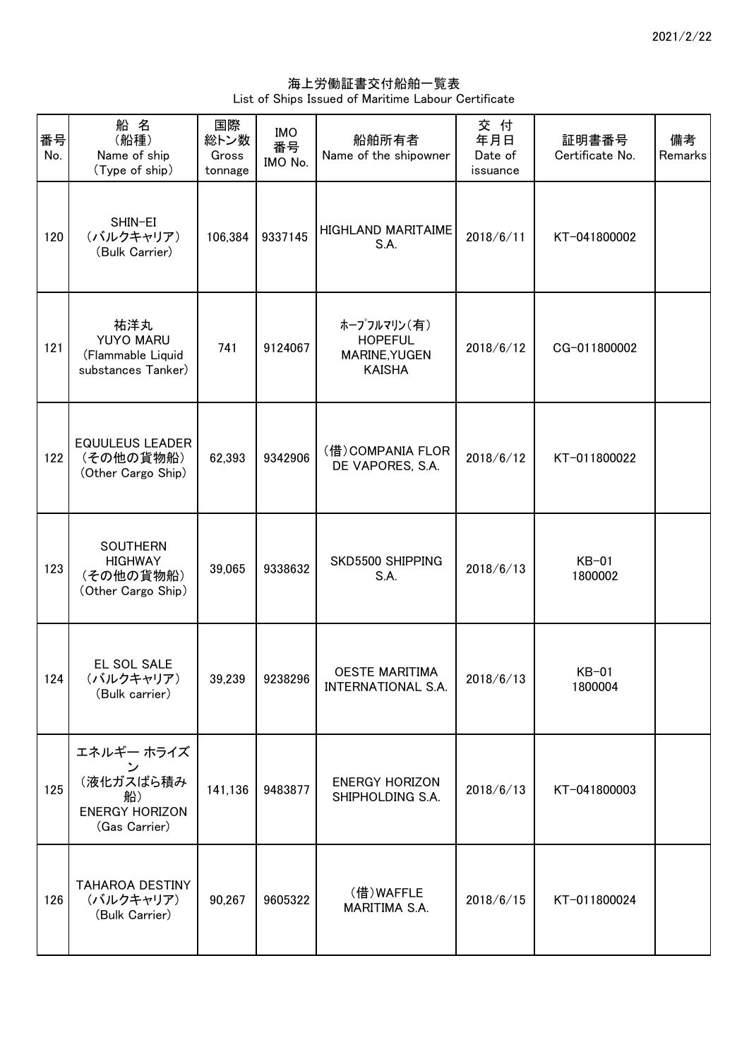海上労働証書交付船舶一覧表 List of Ships Issued of Maritime Labour Certificate

| 番号<br>No. | 船名<br>(船種)<br>Name of ship<br>(Type of ship)                                                        | 国際<br>総トン数<br>Gross<br>tonnage | <b>IMO</b><br>番号<br>IMO No. | 船舶所有者<br>Name of the shipowner                                  | 交 付<br>年月日<br>Date of<br>issuance | 証明書番号<br>Certificate No. | 備考<br>Remarks |
|-----------|-----------------------------------------------------------------------------------------------------|--------------------------------|-----------------------------|-----------------------------------------------------------------|-----------------------------------|--------------------------|---------------|
| 120       | SHIN-EI<br>(バルクキャリア)<br>(Bulk Carrier)                                                              | 106,384                        | 9337145                     | <b>HIGHLAND MARITAIME</b><br>S.A.                               | 2018/6/11                         | KT-041800002             |               |
| 121       | 祐洋丸<br><b>YUYO MARU</b><br>(Flammable Liquid<br>substances Tanker)                                  | 741                            | 9124067                     | ホープフルマリン(有)<br><b>HOPEFUL</b><br>MARINE, YUGEN<br><b>KAISHA</b> | 2018/6/12                         | CG-011800002             |               |
| 122       | <b>EQUULEUS LEADER</b><br>(その他の貨物船)<br>(Other Cargo Ship)                                           | 62,393                         | 9342906                     | (借) COMPANIA FLOR<br>DE VAPORES, S.A.                           | 2018/6/12                         | KT-011800022             |               |
| 123       | <b>SOUTHERN</b><br><b>HIGHWAY</b><br>(その他の貨物船)<br>(Other Cargo Ship)                                | 39,065                         | 9338632                     | SKD5500 SHIPPING<br>S.A.                                        | 2018/6/13                         | $KB-01$<br>1800002       |               |
| 124       | EL SOL SALE<br>(バルクキャリア)<br>(Bulk carrier)                                                          | 39,239                         | 9238296                     | <b>OESTE MARITIMA</b><br>INTERNATIONAL S.A.                     | 2018/6/13                         | $KB-01$<br>1800004       |               |
| 125       | エネルギー ホライズ<br>$\overline{\phantom{a}}$<br>(液化ガスばら積み<br>船)<br><b>ENERGY HORIZON</b><br>(Gas Carrier) | 141,136                        | 9483877                     | <b>ENERGY HORIZON</b><br>SHIPHOLDING S.A.                       | 2018/6/13                         | KT-041800003             |               |
| 126       | TAHAROA DESTINY<br>(バルクキャリア)<br>(Bulk Carrier)                                                      | 90,267                         | 9605322                     | (借)WAFFLE<br>MARITIMA S.A.                                      | 2018/6/15                         | KT-011800024             |               |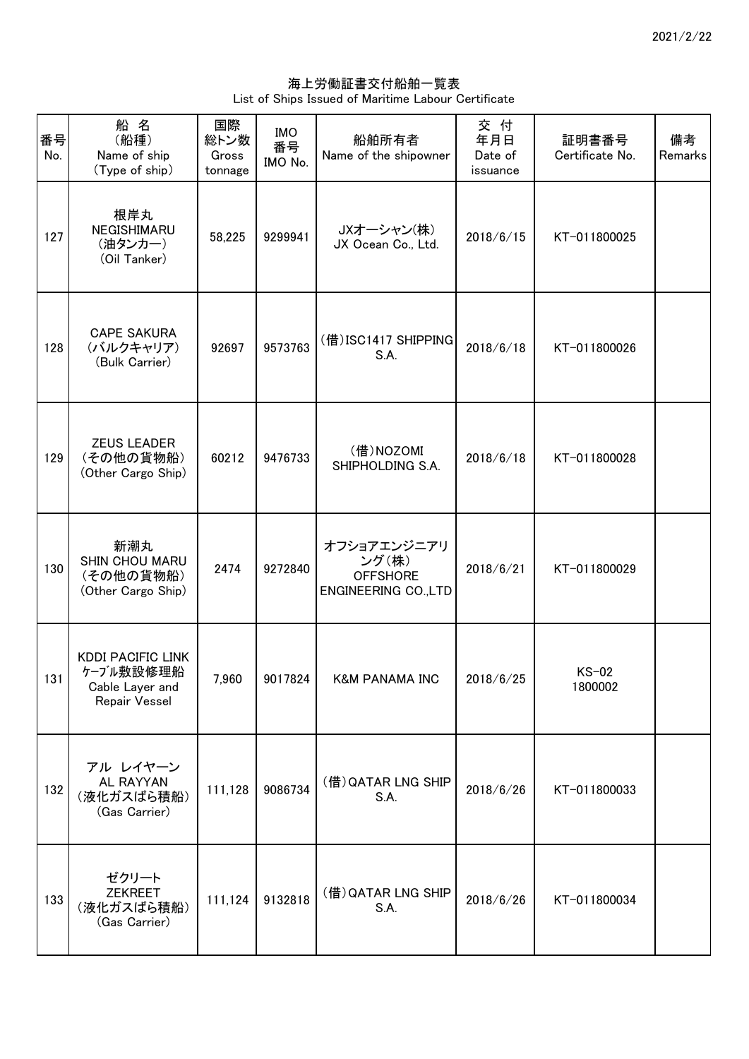海上労働証書交付船舶一覧表 List of Ships Issued of Maritime Labour Certificate

| 番号<br>No. | 船名<br>(船種)<br>Name of ship<br>(Type of ship)                              | 国際<br>総トン数<br>Gross<br>tonnage | <b>IMO</b><br>番号<br>IMO No. | 船舶所有者<br>Name of the shipowner                                         | 交付<br>年月日<br>Date of<br>issuance | 証明書番号<br>Certificate No. | 備考<br>Remarks |
|-----------|---------------------------------------------------------------------------|--------------------------------|-----------------------------|------------------------------------------------------------------------|----------------------------------|--------------------------|---------------|
| 127       | 根岸丸<br>NEGISHIMARU<br>(油タンカー)<br>(Oil Tanker)                             | 58,225                         | 9299941                     | JXオーシャン(株)<br>JX Ocean Co., Ltd.                                       | 2018/6/15                        | KT-011800025             |               |
| 128       | <b>CAPE SAKURA</b><br>(バルクキャリア)<br>(Bulk Carrier)                         | 92697                          | 9573763                     | (借) ISC1417 SHIPPING<br>S.A.                                           | 2018/6/18                        | KT-011800026             |               |
| 129       | <b>ZEUS LEADER</b><br>(その他の貨物船)<br>(Other Cargo Ship)                     | 60212                          | 9476733                     | (借)NOZOMI<br>SHIPHOLDING S.A.                                          | 2018/6/18                        | KT-011800028             |               |
| 130       | 新潮丸<br>SHIN CHOU MARU<br>(その他の貨物船)<br>(Other Cargo Ship)                  | 2474                           | 9272840                     | オフショアエンジニアリ<br>ング(株)<br><b>OFFSHORE</b><br><b>ENGINEERING CO., LTD</b> | 2018/6/21                        | KT-011800029             |               |
| 131       | <b>KDDI PACIFIC LINK</b><br>ケーブル敷設修理船<br>Cable Layer and<br>Repair Vessel | 7,960                          | 9017824                     | <b>K&amp;M PANAMA INC</b>                                              | 2018/6/25                        | $KS-02$<br>1800002       |               |
| 132       | アル レイヤーン<br>AL RAYYAN<br>(液化ガスばら積船)<br>(Gas Carrier)                      | 111,128                        | 9086734                     | (借) QATAR LNG SHIP<br>S.A.                                             | 2018/6/26                        | KT-011800033             |               |
| 133       | ゼクリート<br><b>ZEKREET</b><br>(液化ガスばら積船)<br>(Gas Carrier)                    | 111,124                        | 9132818                     | (借) QATAR LNG SHIP<br>S.A.                                             | 2018/6/26                        | KT-011800034             |               |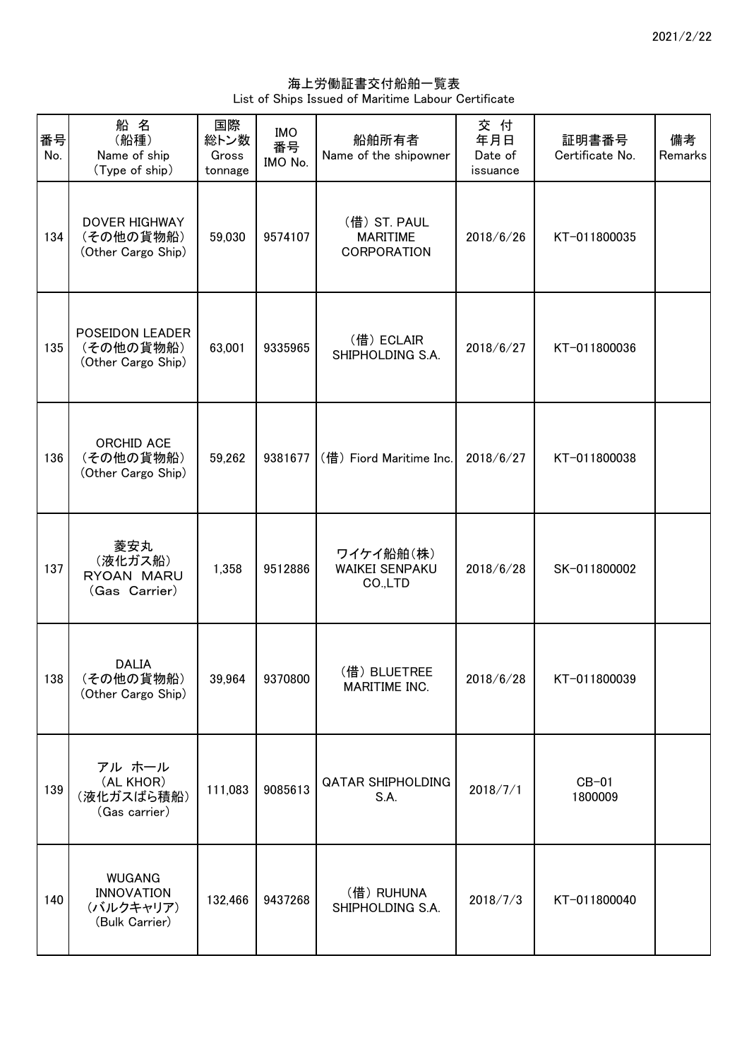海上労働証書交付船舶一覧表 List of Ships Issued of Maritime Labour Certificate

| 番号<br>No. | 船名<br>(船種)<br>Name of ship<br>(Type of ship)                      | 国際<br>総トン数<br>Gross<br>tonnage | <b>IMO</b><br>番号<br>IMO No. | 船舶所有者<br>Name of the shipowner                        | 交付<br>年月日<br>Date of<br>issuance | 証明書番号<br>Certificate No. | 備考<br>Remarks |
|-----------|-------------------------------------------------------------------|--------------------------------|-----------------------------|-------------------------------------------------------|----------------------------------|--------------------------|---------------|
| 134       | DOVER HIGHWAY<br>(その他の貨物船)<br>(Other Cargo Ship)                  | 59,030                         | 9574107                     | (借) ST. PAUL<br><b>MARITIME</b><br><b>CORPORATION</b> | 2018/6/26                        | KT-011800035             |               |
| 135       | POSEIDON LEADER<br>(その他の貨物船)<br>(Other Cargo Ship)                | 63,001                         | 9335965                     | (借) ECLAIR<br>SHIPHOLDING S.A.                        | 2018/6/27                        | KT-011800036             |               |
| 136       | ORCHID ACE<br>(その他の貨物船)<br>(Other Cargo Ship)                     | 59,262                         | 9381677                     | (借) Fiord Maritime Inc.                               | 2018/6/27                        | KT-011800038             |               |
| 137       | 菱安丸<br>(液化ガス船)<br>RYOAN MARU<br>(Gas Carrier)                     | 1,358                          | 9512886                     | ワイケイ船舶(株)<br><b>WAIKEI SENPAKU</b><br>CO.,LTD         | 2018/6/28                        | SK-011800002             |               |
| 138       | <b>DALIA</b><br>(その他の貨物船)<br>(Other Cargo Ship)                   | 39,964                         | 9370800                     | (借) BLUETREE<br>MARITIME INC.                         | 2018/6/28                        | KT-011800039             |               |
| 139       | アル ホール<br>(AL KHOR)<br>(液化ガスばら積船)<br>(Gas carrier)                | 111,083                        | 9085613                     | <b>QATAR SHIPHOLDING</b><br>S.A.                      | 2018/7/1                         | $CB-01$<br>1800009       |               |
| 140       | <b>WUGANG</b><br><b>INNOVATION</b><br>(バルクキャリア)<br>(Bulk Carrier) | 132,466                        | 9437268                     | (借) RUHUNA<br>SHIPHOLDING S.A.                        | 2018/7/3                         | KT-011800040             |               |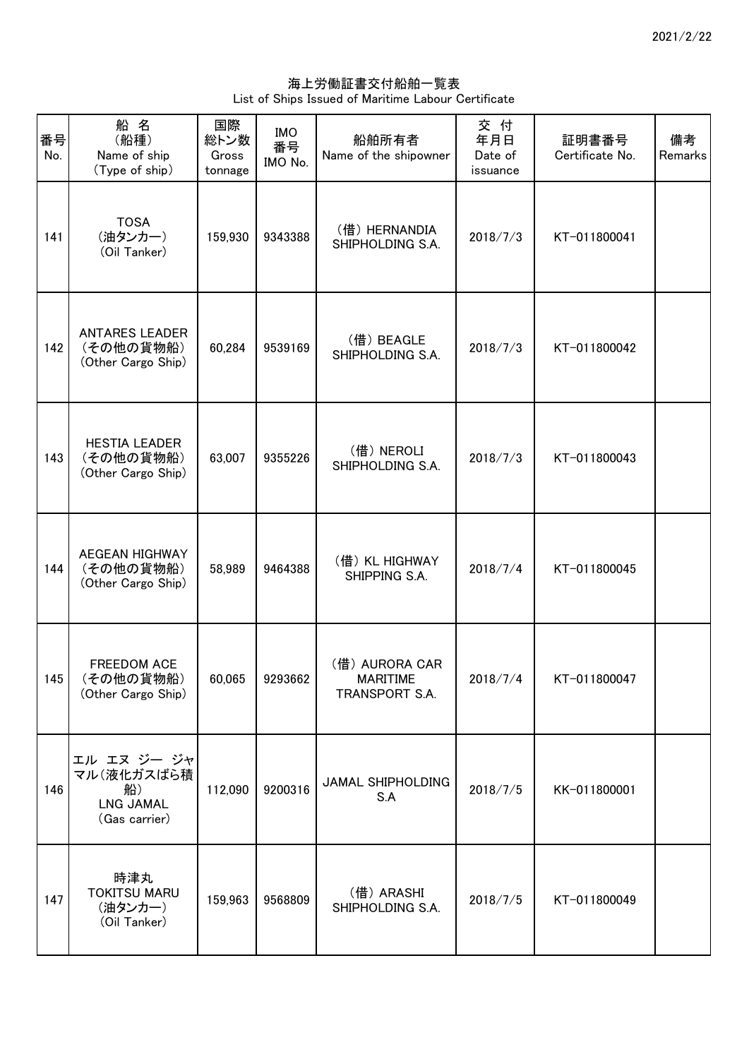海上労働証書交付船舶一覧表 List of Ships Issued of Maritime Labour Certificate

| 番号<br>No. | 船 名<br>(船種)<br>Name of ship<br>(Type of ship)                        | 国際<br>総トン数<br>Gross<br>tonnage | <b>IMO</b><br>番号<br>IMO No. | 船舶所有者<br>Name of the shipowner                      | 交 付<br>年月日<br>Date of<br>issuance | 証明書番号<br>Certificate No. | 備考<br>Remarks |
|-----------|----------------------------------------------------------------------|--------------------------------|-----------------------------|-----------------------------------------------------|-----------------------------------|--------------------------|---------------|
| 141       | <b>TOSA</b><br>(油タンカー)<br>(Oil Tanker)                               | 159,930                        | 9343388                     | (借) HERNANDIA<br>SHIPHOLDING S.A.                   | 2018/7/3                          | KT-011800041             |               |
| 142       | <b>ANTARES LEADER</b><br>(その他の貨物船)<br>(Other Cargo Ship)             | 60,284                         | 9539169                     | (借) BEAGLE<br>SHIPHOLDING S.A.                      | 2018/7/3                          | KT-011800042             |               |
| 143       | <b>HESTIA LEADER</b><br>(その他の貨物船)<br>(Other Cargo Ship)              | 63,007                         | 9355226                     | (借) NEROLI<br>SHIPHOLDING S.A.                      | 2018/7/3                          | KT-011800043             |               |
| 144       | AEGEAN HIGHWAY<br>(その他の貨物船)<br>(Other Cargo Ship)                    | 58,989                         | 9464388                     | (借) KL HIGHWAY<br>SHIPPING S.A.                     | 2018/7/4                          | KT-011800045             |               |
| 145       | <b>FREEDOM ACE</b><br>(その他の貨物船)<br>(Other Cargo Ship)                | 60,065                         | 9293662                     | (借) AURORA CAR<br><b>MARITIME</b><br>TRANSPORT S.A. | 2018/7/4                          | KT-011800047             |               |
| 146       | エル エヌ ジー ジャ<br>マル(液化ガスばら積<br>船)<br><b>LNG JAMAL</b><br>(Gas carrier) | 112,090                        | 9200316                     | JAMAL SHIPHOLDING<br>S.A                            | 2018/7/5                          | KK-011800001             |               |
| 147       | 時津丸<br><b>TOKITSU MARU</b><br>(油タンカー)<br>(Oil Tanker)                | 159,963                        | 9568809                     | (借) ARASHI<br>SHIPHOLDING S.A.                      | 2018/7/5                          | KT-011800049             |               |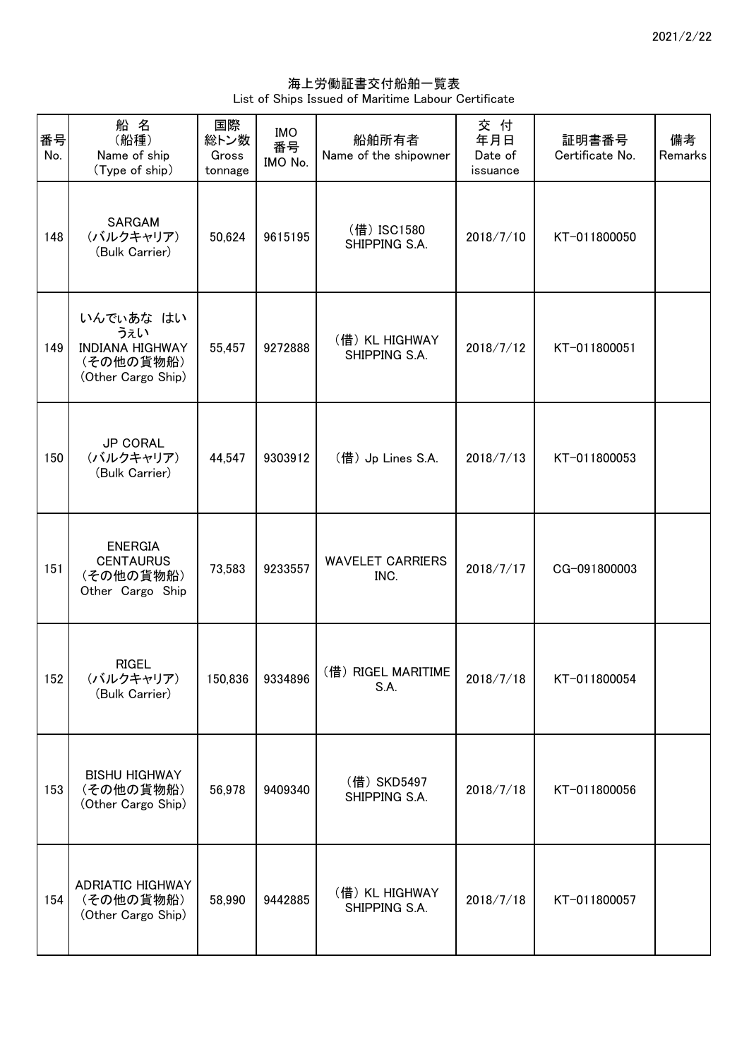海上労働証書交付船舶一覧表 List of Ships Issued of Maritime Labour Certificate

| 番号<br>No. | 船名<br>(船種)<br>Name of ship<br>(Type of ship)                                  | 国際<br>総トン数<br>Gross<br>tonnage | <b>IMO</b><br>番号<br>IMO No. | 船舶所有者<br>Name of the shipowner  | 交付<br>年月日<br>Date of<br>issuance | 証明書番号<br>Certificate No. | 備考<br>Remarks |
|-----------|-------------------------------------------------------------------------------|--------------------------------|-----------------------------|---------------------------------|----------------------------------|--------------------------|---------------|
| 148       | SARGAM<br>(バルクキャリア)<br>(Bulk Carrier)                                         | 50,624                         | 9615195                     | (借) ISC1580<br>SHIPPING S.A.    | 2018/7/10                        | KT-011800050             |               |
| 149       | いんでいあな はい<br>うぇい<br><b>INDIANA HIGHWAY</b><br>(その他の貨物船)<br>(Other Cargo Ship) | 55,457                         | 9272888                     | (借) KL HIGHWAY<br>SHIPPING S.A. | 2018/7/12                        | KT-011800051             |               |
| 150       | <b>JP CORAL</b><br>(バルクキャリア)<br>(Bulk Carrier)                                | 44,547                         | 9303912                     | (借) Jp Lines S.A.               | 2018/7/13                        | KT-011800053             |               |
| 151       | <b>ENERGIA</b><br><b>CENTAURUS</b><br>(その他の貨物船)<br>Other Cargo Ship           | 73,583                         | 9233557                     | <b>WAVELET CARRIERS</b><br>INC. | 2018/7/17                        | CG-091800003             |               |
| 152       | <b>RIGEL</b><br>(バルクキャリア)<br>(Bulk Carrier)                                   |                                | 150,836 9334896             | (借) RIGEL MARITIME<br>S.A.      | 2018/7/18                        | KT-011800054             |               |
| 153       | <b>BISHU HIGHWAY</b><br>(その他の貨物船)<br>(Other Cargo Ship)                       | 56,978                         | 9409340                     | (借) SKD5497<br>SHIPPING S.A.    | 2018/7/18                        | KT-011800056             |               |
| 154       | <b>ADRIATIC HIGHWAY</b><br>(その他の貨物船)<br>(Other Cargo Ship)                    | 58,990                         | 9442885                     | (借) KL HIGHWAY<br>SHIPPING S.A. | 2018/7/18                        | KT-011800057             |               |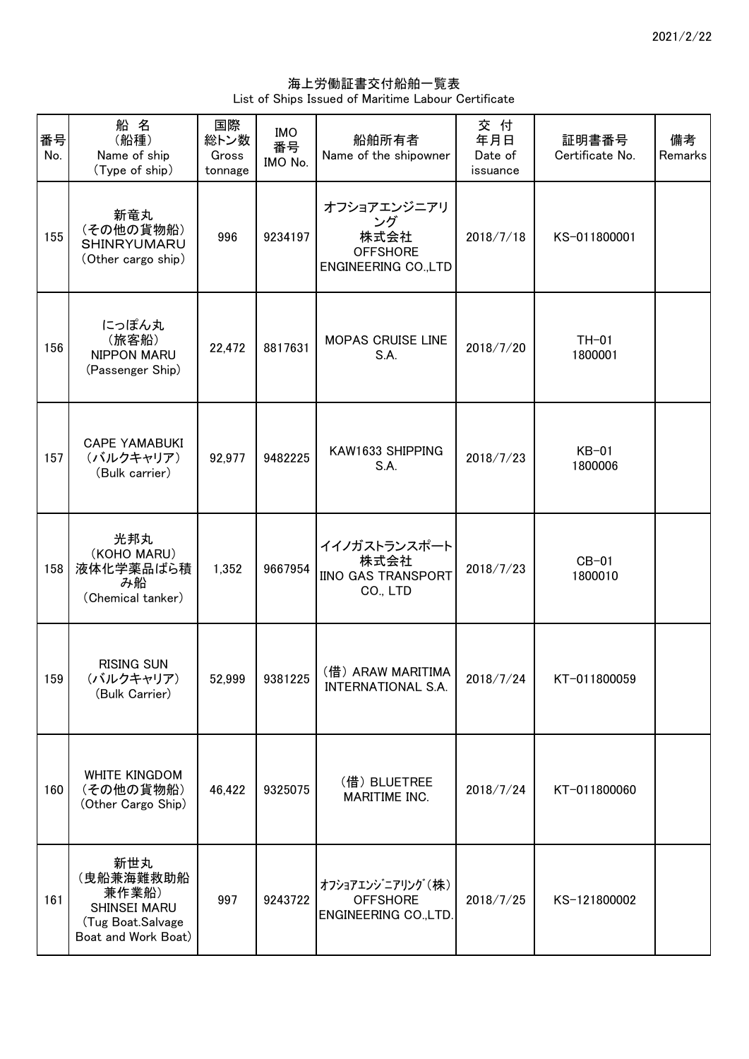海上労働証書交付船舶一覧表 List of Ships Issued of Maritime Labour Certificate

| 番号<br>No. | 船名<br>(船種)<br>Name of ship<br>(Type of ship)                                           | 国際<br>総トン数<br>Gross<br>tonnage | <b>IMO</b><br>番号<br>IMO No. | 船舶所有者<br>Name of the shipowner                                              | 交 付<br>年月日<br>Date of<br>issuance | 証明書番号<br>Certificate No. | 備考<br>Remarks |
|-----------|----------------------------------------------------------------------------------------|--------------------------------|-----------------------------|-----------------------------------------------------------------------------|-----------------------------------|--------------------------|---------------|
| 155       | 新竜丸<br>(その他の貨物船)<br>SHINRYUMARU<br>(Other cargo ship)                                  | 996                            | 9234197                     | オフショアエンジニアリ<br>ング<br>株式会社<br><b>OFFSHORE</b><br><b>ENGINEERING CO., LTD</b> | 2018/7/18                         | KS-011800001             |               |
| 156       | にっぽん丸<br>(旅客船)<br><b>NIPPON MARU</b><br>(Passenger Ship)                               | 22,472                         | 8817631                     | MOPAS CRUISE LINE<br>S.A.                                                   | 2018/7/20                         | $TH-01$<br>1800001       |               |
| 157       | <b>CAPE YAMABUKI</b><br>(バルクキャリア)<br>(Bulk carrier)                                    | 92,977                         | 9482225                     | KAW1633 SHIPPING<br>S.A.                                                    | 2018/7/23                         | $KB-01$<br>1800006       |               |
| 158       | 光邦丸<br>(KOHO MARU)<br>液体化学薬品ばら積<br>み船<br>(Chemical tanker)                             | 1,352                          | 9667954                     | イイノガストランスポート<br>株式会社<br>IINO GAS TRANSPORT<br>CO., LTD                      | 2018/7/23                         | $CB-01$<br>1800010       |               |
| 159       | <b>RISING SUN</b><br>(バルクキャリア)<br>(Bulk Carrier)                                       | 52,999                         | 9381225                     | (借) ARAW MARITIMA<br>INTERNATIONAL S.A.                                     | 2018/7/24                         | KT-011800059             |               |
| 160       | <b>WHITE KINGDOM</b><br>(その他の貨物船)<br>(Other Cargo Ship)                                | 46,422                         | 9325075                     | (借) BLUETREE<br>MARITIME INC.                                               | 2018/7/24                         | KT-011800060             |               |
| 161       | 新世丸<br>(曳船兼海難救助船<br>兼作業船)<br>SHINSEI MARU<br>(Tug Boat.Salvage)<br>Boat and Work Boat) | 997                            | 9243722                     | オフショアエンジニアリング (株)<br><b>OFFSHORE</b><br>ENGINEERING CO., LTD.               | 2018/7/25                         | KS-121800002             |               |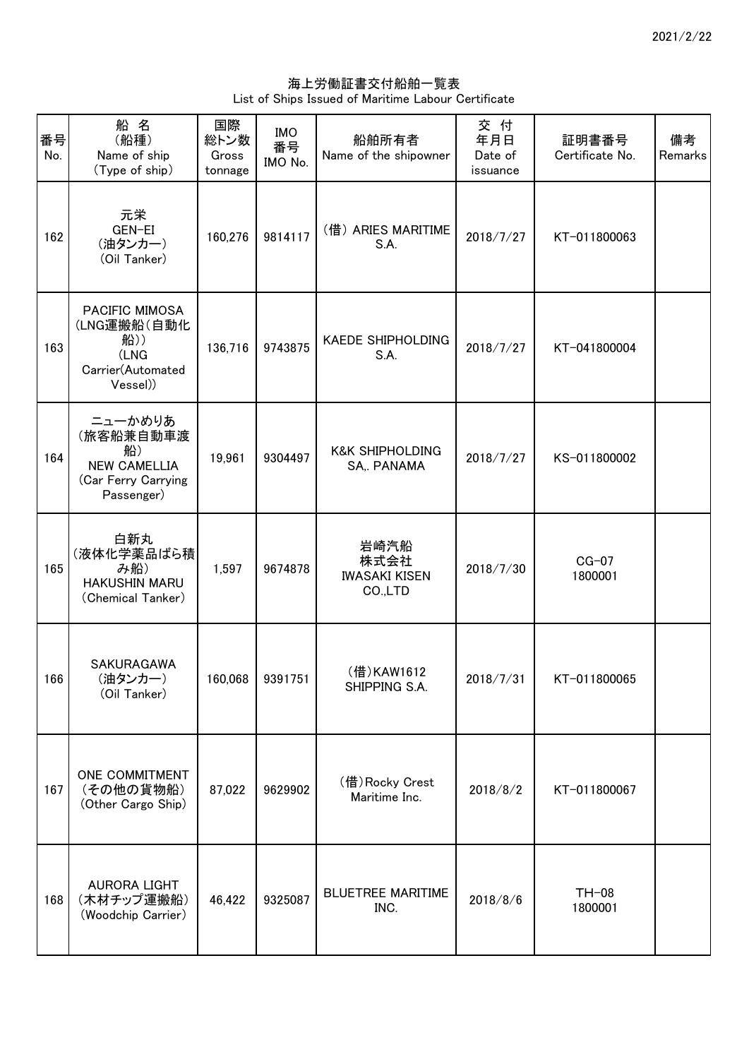海上労働証書交付船舶一覧表 List of Ships Issued of Maritime Labour Certificate

| 番号<br>No. | 船名<br>(船種)<br>Name of ship<br>(Type of ship)                                           | 国際<br>総トン数<br>Gross<br>tonnage | <b>IMO</b><br>番号<br>IMO No. | 船舶所有者<br>Name of the shipowner                  | 交付<br>年月日<br>Date of<br>issuance | 証明書番号<br>Certificate No. | 備考<br>Remarks |
|-----------|----------------------------------------------------------------------------------------|--------------------------------|-----------------------------|-------------------------------------------------|----------------------------------|--------------------------|---------------|
| 162       | 元栄<br>GEN-EI<br>(油タンカー)<br>(Oil Tanker)                                                | 160,276                        | 9814117                     | (借) ARIES MARITIME<br>S.A.                      | 2018/7/27                        | KT-011800063             |               |
| 163       | PACIFIC MIMOSA<br>(LNG運搬船(自動化<br>船))<br>(LNG<br>Carrier(Automated<br>Vessel)           | 136,716                        | 9743875                     | <b>KAEDE SHIPHOLDING</b><br>S.A.                | 2018/7/27                        | KT-041800004             |               |
| 164       | ニューかめりあ<br>(旅客船兼自動車渡<br>船)<br><b>NEW CAMELLIA</b><br>(Car Ferry Carrying<br>Passenger) | 19,961                         | 9304497                     | <b>K&amp;K SHIPHOLDING</b><br>SA,. PANAMA       | 2018/7/27                        | KS-011800002             |               |
| 165       | 白新丸<br>(液体化学薬品ばら積<br>み船)<br><b>HAKUSHIN MARU</b><br>(Chemical Tanker)                  | 1,597                          | 9674878                     | 岩崎汽船<br>株式会社<br><b>IWASAKI KISEN</b><br>CO.,LTD | 2018/7/30                        | $CG-07$<br>1800001       |               |
| 166       | SAKURAGAWA<br>(油タンカー)<br>(Oil Tanker)                                                  |                                | 160,068 9391751             | (借)KAW1612<br>SHIPPING S.A.                     | 2018/7/31                        | KT-011800065             |               |
| 167       | ONE COMMITMENT<br>(その他の貨物船)<br>(Other Cargo Ship)                                      | 87,022                         | 9629902                     | (借) Rocky Crest<br>Maritime Inc.                | 2018/8/2                         | KT-011800067             |               |
| 168       | <b>AURORA LIGHT</b><br>(木材チップ運搬船)<br>(Woodchip Carrier)                                | 46,422                         | 9325087                     | <b>BLUETREE MARITIME</b><br>INC.                | 2018/8/6                         | $TH-08$<br>1800001       |               |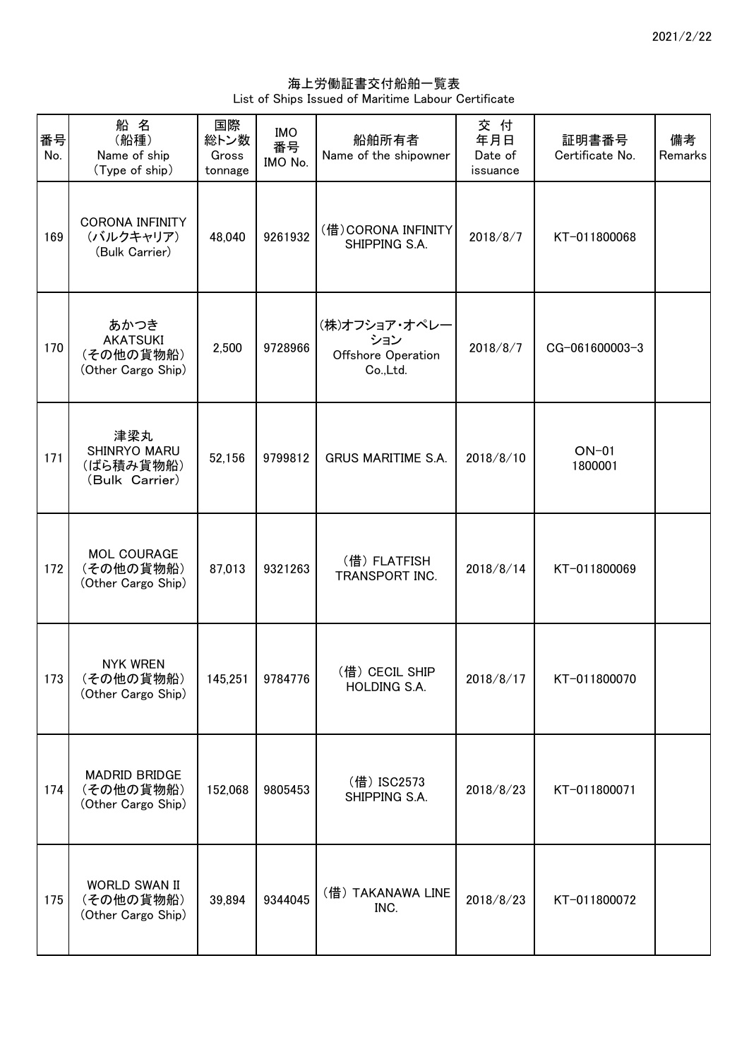海上労働証書交付船舶一覧表 List of Ships Issued of Maritime Labour Certificate

| 番号<br>No. | 船名<br>(船種)<br>Name of ship<br>(Type of ship)               | 国際<br>総トン数<br>Gross<br>tonnage | <b>IMO</b><br>番号<br>IMO No. | 船舶所有者<br>Name of the shipowner                         | 交付<br>年月日<br>Date of<br>issuance | 証明書番号<br>Certificate No. | 備考<br>Remarks |
|-----------|------------------------------------------------------------|--------------------------------|-----------------------------|--------------------------------------------------------|----------------------------------|--------------------------|---------------|
| 169       | <b>CORONA INFINITY</b><br>(バルクキャリア)<br>(Bulk Carrier)      | 48,040                         | 9261932                     | (借) CORONA INFINITY<br>SHIPPING S.A.                   | 2018/8/7                         | KT-011800068             |               |
| 170       | あかつき<br><b>AKATSUKI</b><br>(その他の貨物船)<br>(Other Cargo Ship) | 2,500                          | 9728966                     | (株)オフショア・オペレー<br>ション<br>Offshore Operation<br>Co.,Ltd. | 2018/8/7                         | CG-061600003-3           |               |
| 171       | 津梁丸<br>SHINRYO MARU<br>(ばら積み貨物船)<br>(Bulk Carrier)         | 52,156                         | 9799812                     | <b>GRUS MARITIME S.A.</b>                              | 2018/8/10                        | $ON-01$<br>1800001       |               |
| 172       | <b>MOL COURAGE</b><br>(その他の貨物船)<br>(Other Cargo Ship)      | 87,013                         | 9321263                     | (借) FLATFISH<br>TRANSPORT INC.                         | 2018/8/14                        | KT-011800069             |               |
| 173       | <b>NYK WREN</b><br>(その他の貨物船)<br>(Other Cargo Ship)         |                                | 145,251 9784776             | (借) CECIL SHIP<br>HOLDING S.A.                         | 2018/8/17                        | KT-011800070             |               |
| 174       | <b>MADRID BRIDGE</b><br>(その他の貨物船)<br>(Other Cargo Ship)    | 152,068                        | 9805453                     | (借) ISC2573<br>SHIPPING S.A.                           | 2018/8/23                        | KT-011800071             |               |
| 175       | <b>WORLD SWAN II</b><br>(その他の貨物船)<br>(Other Cargo Ship)    | 39,894                         | 9344045                     | (借) TAKANAWA LINE<br>INC.                              | 2018/8/23                        | KT-011800072             |               |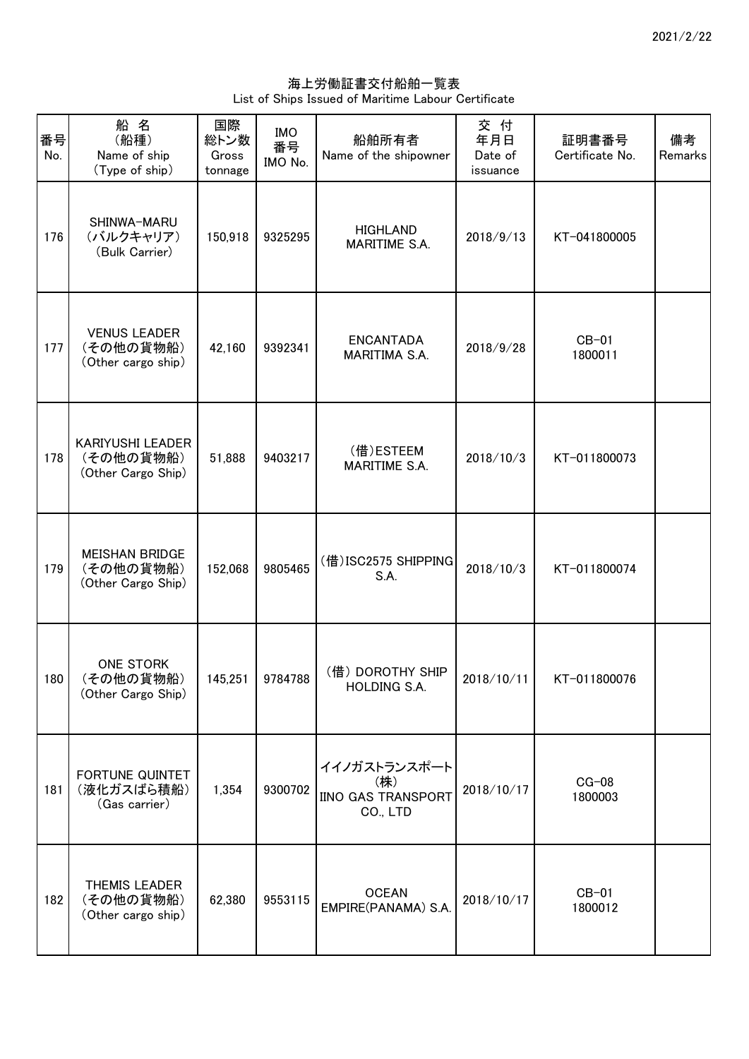海上労働証書交付船舶一覧表 List of Ships Issued of Maritime Labour Certificate

| 番号<br>No. | 船名<br>(船種)<br>Name of ship<br>(Type of ship)             | 国際<br>総トン数<br>Gross<br>tonnage | <b>IMO</b><br>番号<br>IMO No. | 船舶所有者<br>Name of the shipowner                        | 交付<br>年月日<br>Date of<br>issuance | 証明書番号<br>Certificate No. | 備考<br>Remarks |
|-----------|----------------------------------------------------------|--------------------------------|-----------------------------|-------------------------------------------------------|----------------------------------|--------------------------|---------------|
| 176       | SHINWA-MARU<br>(バルクキャリア)<br>(Bulk Carrier)               | 150,918                        | 9325295                     | <b>HIGHLAND</b><br><b>MARITIME S.A.</b>               | 2018/9/13                        | KT-041800005             |               |
| 177       | <b>VENUS LEADER</b><br>(その他の貨物船)<br>(Other cargo ship)   | 42,160                         | 9392341                     | <b>ENCANTADA</b><br>MARITIMA S.A.                     | 2018/9/28                        | $CB-01$<br>1800011       |               |
| 178       | KARIYUSHI LEADER<br>(その他の貨物船)<br>(Other Cargo Ship)      | 51,888                         | 9403217                     | (借)ESTEEM<br>MARITIME S.A.                            | 2018/10/3                        | KT-011800073             |               |
| 179       | <b>MEISHAN BRIDGE</b><br>(その他の貨物船)<br>(Other Cargo Ship) | 152,068                        | 9805465                     | (借) ISC2575 SHIPPING<br>S.A.                          | 2018/10/3                        | KT-011800074             |               |
| 180       | ONE STORK<br>(その他の貨物船)<br>(Other Cargo Ship)             |                                | 145,251 9784788             | (借) DOROTHY SHIP<br>HOLDING S.A.                      | 2018/10/11                       | KT-011800076             |               |
| 181       | FORTUNE QUINTET<br>(液化ガスばら積船)<br>(Gas carrier)           | 1,354                          | 9300702                     | イイノガストランスポート<br>(株)<br>IINO GAS TRANSPORT<br>CO., LTD | 2018/10/17                       | $CG-08$<br>1800003       |               |
| 182       | <b>THEMIS LEADER</b><br>(その他の貨物船)<br>(Other cargo ship)  | 62,380                         | 9553115                     | <b>OCEAN</b><br>EMPIRE(PANAMA) S.A.                   | 2018/10/17                       | $CB-01$<br>1800012       |               |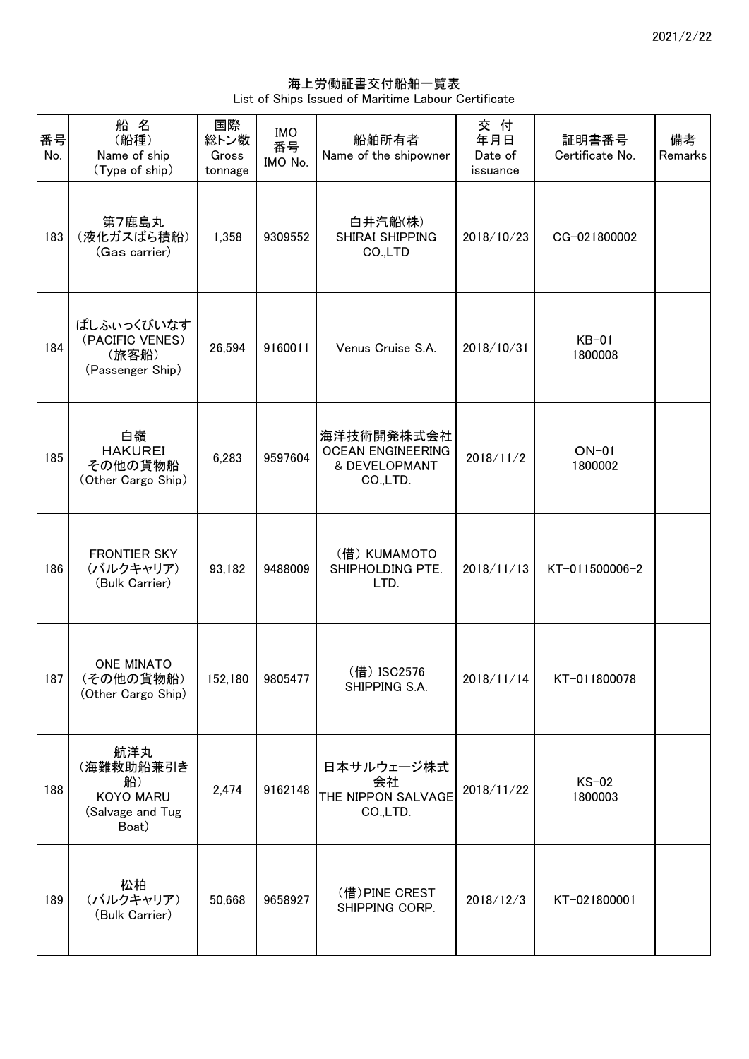海上労働証書交付船舶一覧表 List of Ships Issued of Maritime Labour Certificate

| 番号<br>No. | 船名<br>(船種)<br>Name of ship<br>(Type of ship)                            | 国際<br>総トン数<br>Gross<br>tonnage | <b>IMO</b><br>番号<br>IMO No. | 船舶所有者<br>Name of the shipowner                                      | 交付<br>年月日<br>Date of<br>issuance | 証明書番号<br>Certificate No. | 備考<br>Remarks |
|-----------|-------------------------------------------------------------------------|--------------------------------|-----------------------------|---------------------------------------------------------------------|----------------------------------|--------------------------|---------------|
| 183       | 第7鹿島丸<br>(液化ガスばら積船)<br>(Gas carrier)                                    | 1,358                          | 9309552                     | 白井汽船(株)<br>SHIRAI SHIPPING<br>CO.,LTD                               | 2018/10/23                       | CG-021800002             |               |
| 184       | ぱしふぃっくびいなす<br>(PACIFIC VENES)<br>(旅客船)<br>(Passenger Ship)              | 26,594                         | 9160011                     | Venus Cruise S.A.                                                   | 2018/10/31                       | $KB-01$<br>1800008       |               |
| 185       | 白嶺<br><b>HAKUREI</b><br>その他の貨物船<br>(Other Cargo Ship)                   | 6,283                          | 9597604                     | 海洋技術開発株式会社<br><b>OCEAN ENGINEERING</b><br>& DEVELOPMANT<br>CO.,LTD. | 2018/11/2                        | $ON-01$<br>1800002       |               |
| 186       | <b>FRONTIER SKY</b><br>(バルクキャリア)<br>(Bulk Carrier)                      | 93,182                         | 9488009                     | (借) KUMAMOTO<br>SHIPHOLDING PTE.<br>LTD.                            | 2018/11/13                       | KT-011500006-2           |               |
| 187       | <b>ONE MINATO</b><br>(その他の貨物船)<br>(Other Cargo Ship)                    |                                | 152,180 9805477             | (借) ISC2576<br>SHIPPING S.A.                                        | 2018/11/14                       | KT-011800078             |               |
| 188       | 航洋丸<br>(海難救助船兼引き<br>船)<br><b>KOYO MARU</b><br>(Salvage and Tug<br>Boat) | 2,474                          | 9162148                     | 日本サルウェージ株式<br>会社<br>THE NIPPON SALVAGE<br>CO.,LTD.                  | 2018/11/22                       | $KS-02$<br>1800003       |               |
| 189       | 松柏<br>(バルクキャリア)<br>(Bulk Carrier)                                       | 50,668                         | 9658927                     | (借) PINE CREST<br>SHIPPING CORP.                                    | 2018/12/3                        | KT-021800001             |               |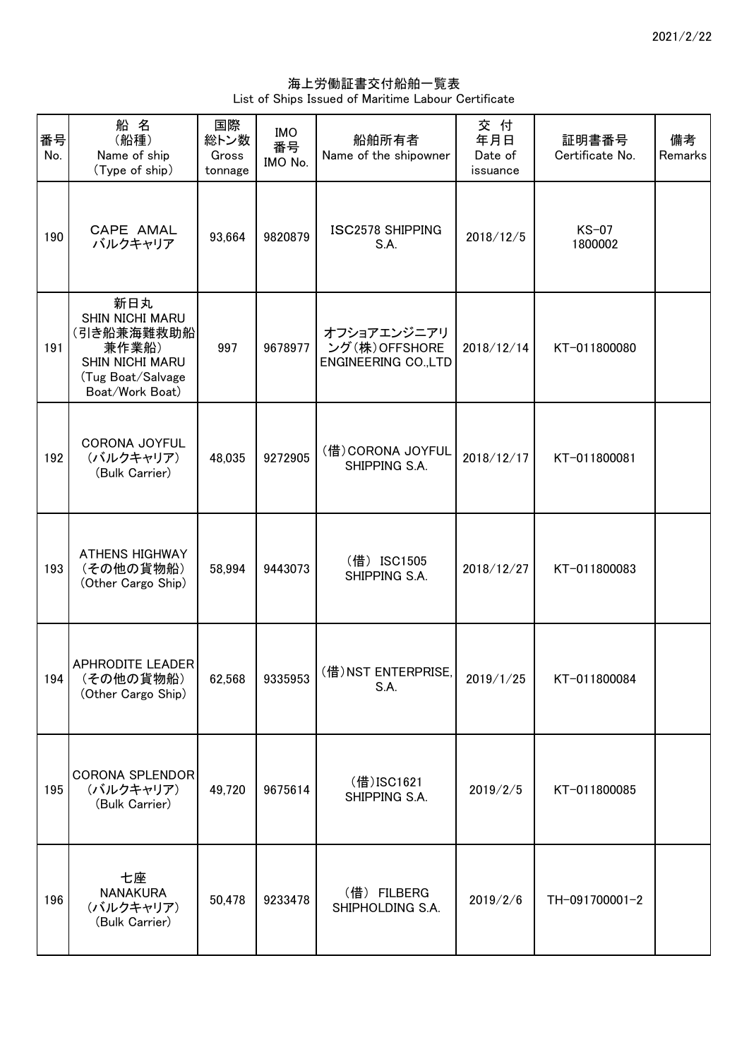海上労働証書交付船舶一覧表 List of Ships Issued of Maritime Labour Certificate

| 番号<br>No. | 船名<br>(船種)<br>Name of ship<br>(Type of ship)                                                             | 国際<br>総トン数<br>Gross<br>tonnage | <b>IMO</b><br>番号<br>IMO No. | 船舶所有者<br>Name of the shipowner                              | 交付<br>年月日<br>Date of<br>issuance | 証明書番号<br>Certificate No. | 備考<br>Remarks |
|-----------|----------------------------------------------------------------------------------------------------------|--------------------------------|-----------------------------|-------------------------------------------------------------|----------------------------------|--------------------------|---------------|
| 190       | CAPE AMAL<br>バルクキャリア                                                                                     | 93,664                         | 9820879                     | <b>ISC2578 SHIPPING</b><br>S.A.                             | 2018/12/5                        | $KS-07$<br>1800002       |               |
| 191       | 新日丸<br>SHIN NICHI MARU<br>(引き船兼海難救助船<br>兼作業船)<br>SHIN NICHI MARU<br>(Tug Boat/Salvage<br>Boat/Work Boat) | 997                            | 9678977                     | オフショアエンジニアリ<br>ング(株)OFFSHORE<br><b>ENGINEERING CO., LTD</b> | 2018/12/14                       | KT-011800080             |               |
| 192       | <b>CORONA JOYFUL</b><br>(バルクキャリア)<br>(Bulk Carrier)                                                      | 48,035                         | 9272905                     | (借) CORONA JOYFUL<br>SHIPPING S.A.                          | 2018/12/17                       | KT-011800081             |               |
| 193       | <b>ATHENS HIGHWAY</b><br>(その他の貨物船)<br>(Other Cargo Ship)                                                 | 58,994                         | 9443073                     | (借) ISC1505<br>SHIPPING S.A.                                | 2018/12/27                       | KT-011800083             |               |
| 194       | APHRODITE LEADER<br>(その他の貨物船)<br>(Other Cargo Ship)                                                      | 62,568                         | 9335953                     | (借) NST ENTERPRISE,<br>S.A.                                 | 2019/1/25                        | KT-011800084             |               |
| 195       | <b>CORONA SPLENDOR</b><br>(バルクキャリア)<br>(Bulk Carrier)                                                    | 49,720                         | 9675614                     | (借)ISC1621<br>SHIPPING S.A.                                 | 2019/2/5                         | KT-011800085             |               |
| 196       | 七座<br><b>NANAKURA</b><br>(バルクキャリア)<br>(Bulk Carrier)                                                     | 50,478                         | 9233478                     | (借) FILBERG<br>SHIPHOLDING S.A.                             | 2019/2/6                         | TH-091700001-2           |               |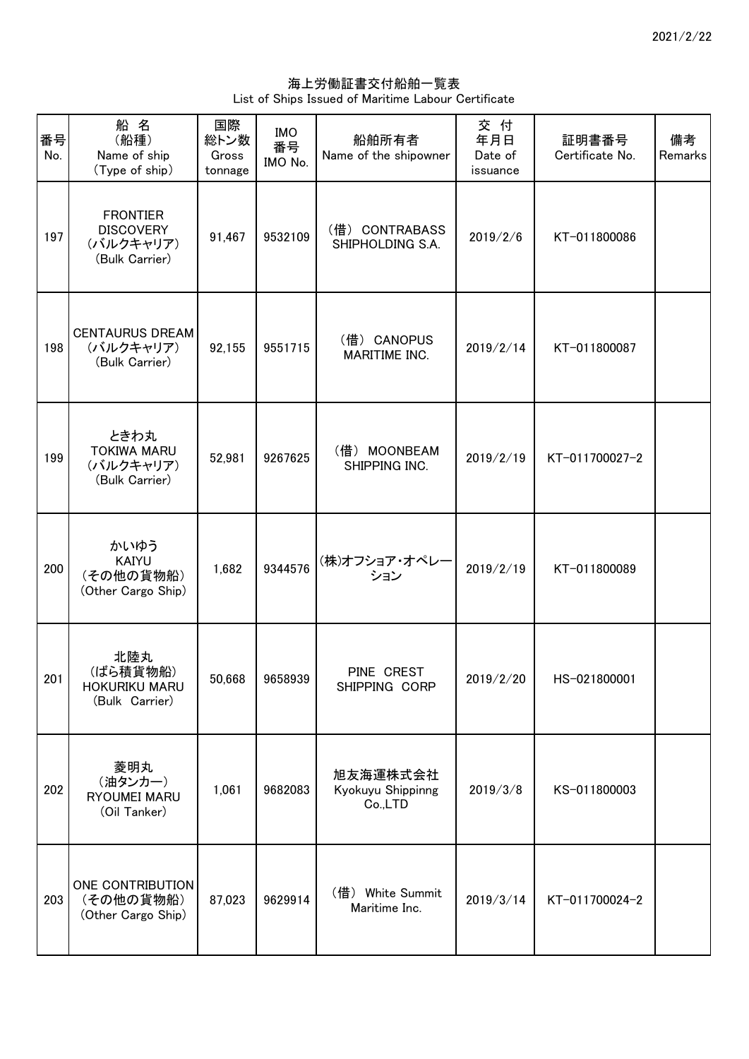海上労働証書交付船舶一覧表 List of Ships Issued of Maritime Labour Certificate

| 番号<br>No. | 船名<br>(船種)<br>Name of ship<br>(Type of ship)                       | 国際<br>総トン数<br>Gross<br>tonnage | <b>IMO</b><br>番号<br>IMO No. | 船舶所有者<br>Name of the shipowner           | 交 付<br>年月日<br>Date of<br>issuance | 証明書番号<br>Certificate No. | 備考<br>Remarks |
|-----------|--------------------------------------------------------------------|--------------------------------|-----------------------------|------------------------------------------|-----------------------------------|--------------------------|---------------|
| 197       | <b>FRONTIER</b><br><b>DISCOVERY</b><br>(バルクキャリア)<br>(Bulk Carrier) | 91,467                         | 9532109                     | (借) CONTRABASS<br>SHIPHOLDING S.A.       | 2019/2/6                          | KT-011800086             |               |
| 198       | <b>CENTAURUS DREAM</b><br>(バルクキャリア)<br>(Bulk Carrier)              | 92,155                         | 9551715                     | (借) CANOPUS<br>MARITIME INC.             | 2019/2/14                         | KT-011800087             |               |
| 199       | ときわ丸<br><b>TOKIWA MARU</b><br>(バルクキャリア)<br>(Bulk Carrier)          | 52,981                         | 9267625                     | (借) MOONBEAM<br>SHIPPING INC.            | 2019/2/19                         | KT-011700027-2           |               |
| 200       | かいゆう<br><b>KAIYU</b><br>(その他の貨物船)<br>(Other Cargo Ship)            | 1,682                          | 9344576                     | (株)オフショア・オペレー<br>ション                     | 2019/2/19                         | KT-011800089             |               |
| 201       | 北陸丸<br>(ばら積貨物船)<br>HOKURIKU MARU<br>(Bulk Carrier)                 |                                | 50,668 9658939              | PINE CREST<br>SHIPPING CORP              | 2019/2/20                         | HS-021800001             |               |
| 202       | 菱明丸<br>(油タンカー)<br>RYOUMEI MARU<br>(Oil Tanker)                     | 1,061                          | 9682083                     | 旭友海運株式会社<br>Kyokuyu Shippinng<br>Co.,LTD | 2019/3/8                          | KS-011800003             |               |
| 203       | ONE CONTRIBUTION<br>(その他の貨物船)<br>(Other Cargo Ship)                | 87,023                         | 9629914                     | (借) White Summit<br>Maritime Inc.        | 2019/3/14                         | KT-011700024-2           |               |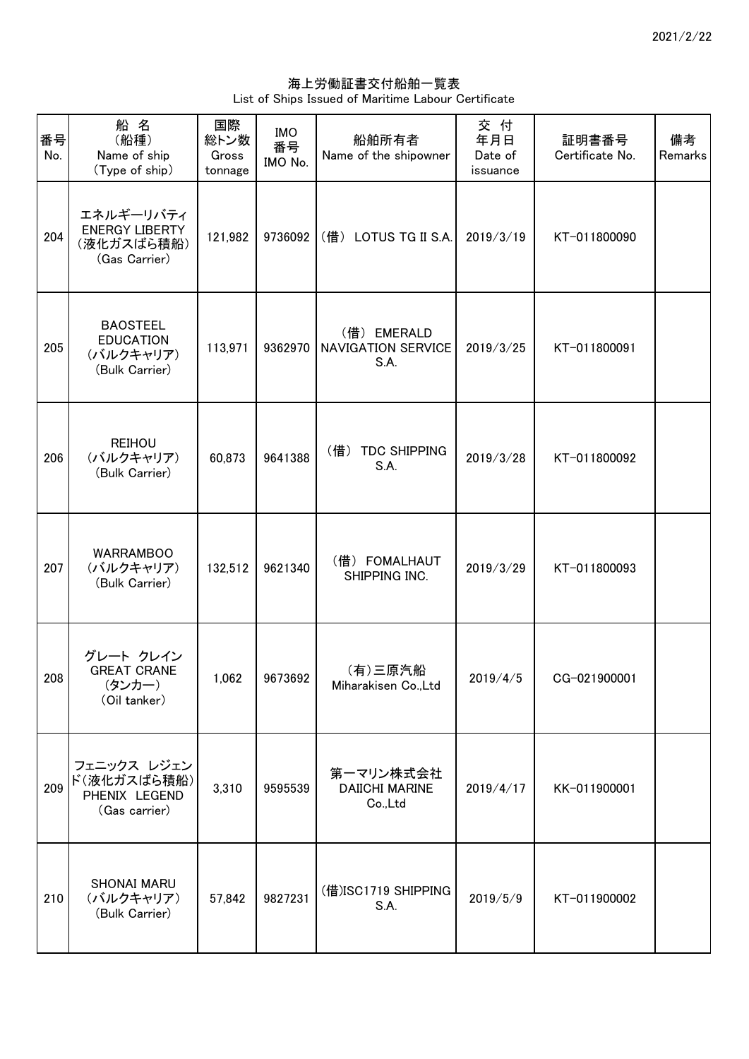海上労働証書交付船舶一覧表 List of Ships Issued of Maritime Labour Certificate

| 番号<br>No. | 船名<br>(船種)<br>Name of ship<br>(Type of ship)                       | 国際<br>総トン数<br>Gross<br>tonnage | <b>IMO</b><br>番号<br>IMO No. | 船舶所有者<br>Name of the shipowner                   | 交 付<br>年月日<br>Date of<br>issuance | 証明書番号<br>Certificate No. | 備考<br>Remarks |
|-----------|--------------------------------------------------------------------|--------------------------------|-----------------------------|--------------------------------------------------|-----------------------------------|--------------------------|---------------|
| 204       | エネルギーリバティ<br><b>ENERGY LIBERTY</b><br>(液化ガスばら積船)<br>(Gas Carrier)  | 121,982                        | 9736092                     | (借) LOTUS TG II S.A.                             | 2019/3/19                         | KT-011800090             |               |
| 205       | <b>BAOSTEEL</b><br><b>EDUCATION</b><br>(バルクキャリア)<br>(Bulk Carrier) | 113,971                        | 9362970                     | (借) EMERALD<br><b>NAVIGATION SERVICE</b><br>S.A. | 2019/3/25                         | KT-011800091             |               |
| 206       | <b>REIHOU</b><br>(バルクキャリア)<br>(Bulk Carrier)                       | 60,873                         | 9641388                     | (借)<br><b>TDC SHIPPING</b><br>S.A.               | 2019/3/28                         | KT-011800092             |               |
| 207       | <b>WARRAMBOO</b><br>(バルクキャリア)<br>(Bulk Carrier)                    | 132,512                        | 9621340                     | (借) FOMALHAUT<br>SHIPPING INC.                   | 2019/3/29                         | KT-011800093             |               |
| 208       | グレート クレイン<br><b>GREAT CRANE</b><br>(タンカー)<br>(Oil tanker)          | 1,062                          | 9673692                     | (有)三原汽船<br>Miharakisen Co., Ltd                  | 2019/4/5                          | CG-021900001             |               |
| 209       | フェニックス レジェン<br>ド(液化ガスばら積船)<br>PHENIX LEGEND<br>(Gas carrier)       | 3,310                          | 9595539                     | 第一マリン株式会社<br><b>DAIICHI MARINE</b><br>Co.,Ltd    | 2019/4/17                         | KK-011900001             |               |
| 210       | <b>SHONAI MARU</b><br>(バルクキャリア)<br>(Bulk Carrier)                  | 57,842                         | 9827231                     | (借)ISC1719 SHIPPING<br>S.A.                      | 2019/5/9                          | KT-011900002             |               |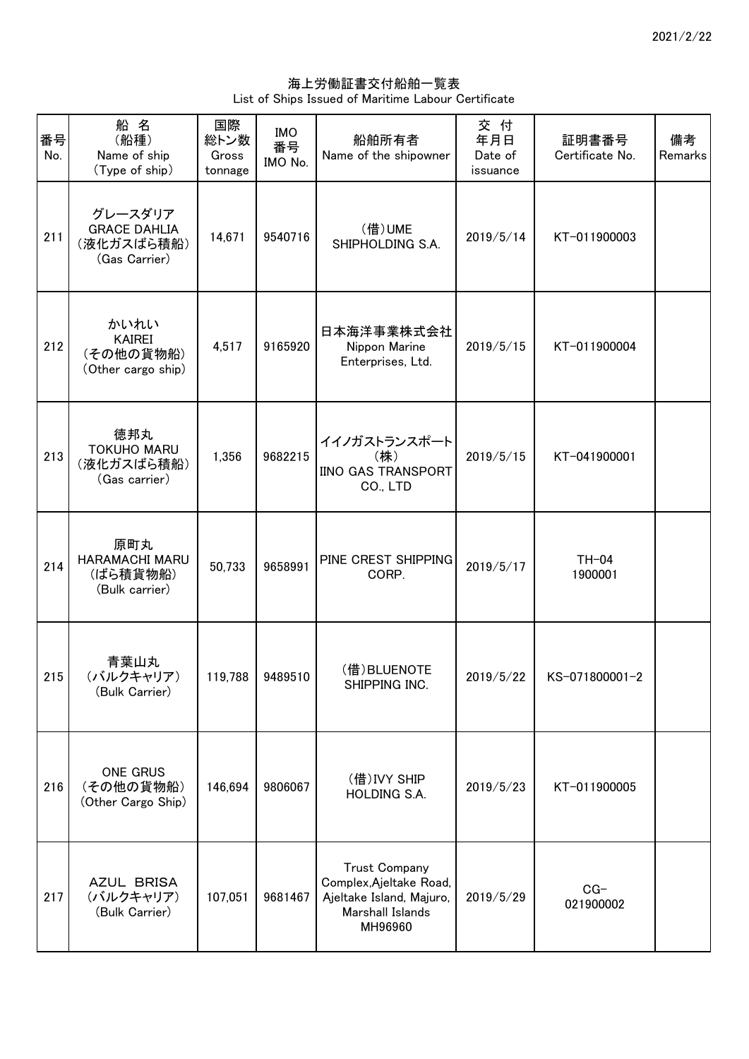海上労働証書交付船舶一覧表 List of Ships Issued of Maritime Labour Certificate

| 番号<br>No. | 船名<br>(船種)<br>Name of ship<br>(Type of ship)                  | 国際<br>総トン数<br>Gross<br>tonnage | <b>IMO</b><br>番号<br>IMO No. | 船舶所有者<br>Name of the shipowner                                                                             | 交付<br>年月日<br>Date of<br>issuance | 証明書番号<br>Certificate No. | 備考<br>Remarks |
|-----------|---------------------------------------------------------------|--------------------------------|-----------------------------|------------------------------------------------------------------------------------------------------------|----------------------------------|--------------------------|---------------|
| 211       | グレースダリア<br><b>GRACE DAHLIA</b><br>(液化ガスばら積船)<br>(Gas Carrier) | 14,671                         | 9540716                     | (借)UME<br>SHIPHOLDING S.A.                                                                                 | 2019/5/14                        | KT-011900003             |               |
| 212       | かいれい<br><b>KAIREI</b><br>(その他の貨物船)<br>(Other cargo ship)      | 4,517                          | 9165920                     | 日本海洋事業株式会社<br>Nippon Marine<br>Enterprises, Ltd.                                                           | 2019/5/15                        | KT-011900004             |               |
| 213       | 徳邦丸<br><b>TOKUHO MARU</b><br>(液化ガスばら積船)<br>(Gas carrier)      | 1,356                          | 9682215                     | イイノガストランスポート<br>(株)<br>IINO GAS TRANSPORT<br>CO., LTD                                                      | 2019/5/15                        | KT-041900001             |               |
| 214       | 原町丸<br>HARAMACHI MARU<br>(ばら積貨物船)<br>(Bulk carrier)           | 50,733                         | 9658991                     | PINE CREST SHIPPING<br>CORP.                                                                               | 2019/5/17                        | $TH-04$<br>1900001       |               |
| 215       | 青葉山丸<br>(バルクキャリア)<br>(Bulk Carrier)                           |                                | 119,788 9489510             | (借) BLUENOTE<br>SHIPPING INC.                                                                              | 2019/5/22                        | KS-071800001-2           |               |
| 216       | <b>ONE GRUS</b><br>(その他の貨物船)<br>(Other Cargo Ship)            | 146,694                        | 9806067                     | (借) IVY SHIP<br>HOLDING S.A.                                                                               | 2019/5/23                        | KT-011900005             |               |
| 217       | AZUL BRISA<br>(バルクキャリア)<br>(Bulk Carrier)                     | 107,051                        | 9681467                     | <b>Trust Company</b><br>Complex, Ajeltake Road,<br>Ajeltake Island, Majuro,<br>Marshall Islands<br>MH96960 | 2019/5/29                        | $CG-$<br>021900002       |               |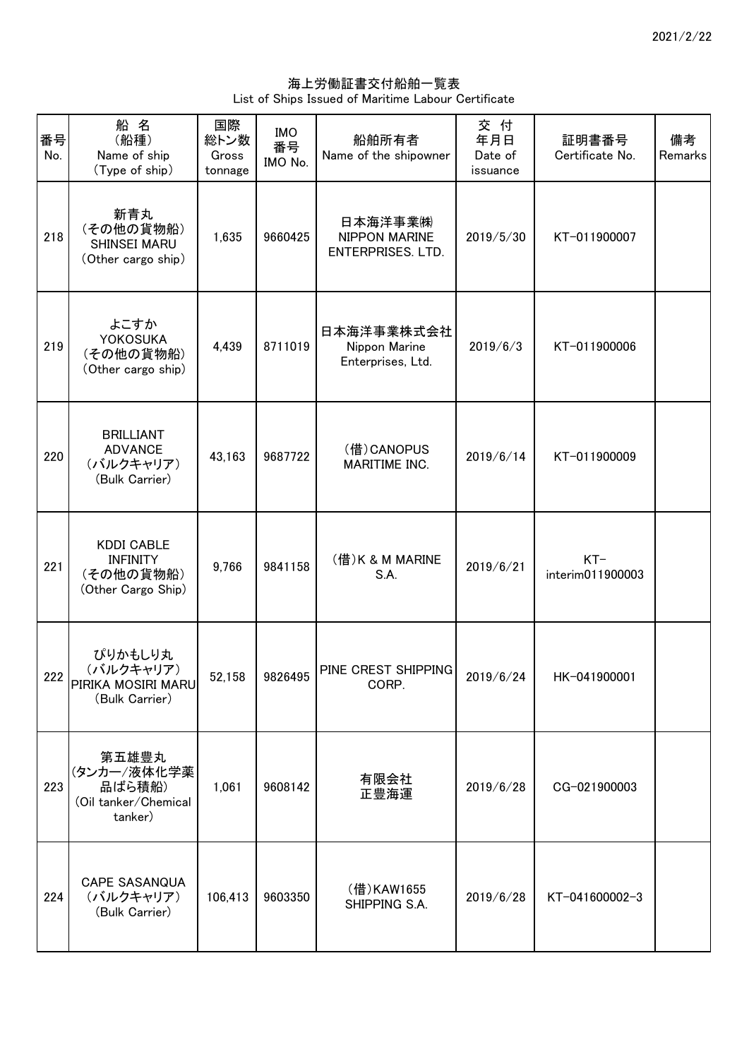海上労働証書交付船舶一覧表 List of Ships Issued of Maritime Labour Certificate

| 番号<br>No. | 船名<br>(船種)<br>Name of ship<br>(Type of ship)                            | 国際<br>総トン数<br>Gross<br>tonnage | <b>IMO</b><br>番号<br>IMO No. | 船舶所有者<br>Name of the shipowner                   | 交 付<br>年月日<br>Date of<br>issuance | 証明書番号<br>Certificate No.  | 備考<br>Remarks |
|-----------|-------------------------------------------------------------------------|--------------------------------|-----------------------------|--------------------------------------------------|-----------------------------------|---------------------------|---------------|
| 218       | 新青丸<br>(その他の貨物船)<br>SHINSEI MARU<br>(Other cargo ship)                  | 1,635                          | 9660425                     | 日本海洋事業㈱<br>NIPPON MARINE<br>ENTERPRISES. LTD.    | 2019/5/30                         | KT-011900007              |               |
| 219       | よこすか<br><b>YOKOSUKA</b><br>(その他の貨物船)<br>(Other cargo ship)              | 4,439                          | 8711019                     | 日本海洋事業株式会社<br>Nippon Marine<br>Enterprises, Ltd. | 2019/6/3                          | KT-011900006              |               |
| 220       | <b>BRILLIANT</b><br><b>ADVANCE</b><br>(バルクキャリア)<br>(Bulk Carrier)       | 43,163                         | 9687722                     | (借) CANOPUS<br>MARITIME INC.                     | 2019/6/14                         | KT-011900009              |               |
| 221       | <b>KDDI CABLE</b><br><b>INFINITY</b><br>(その他の貨物船)<br>(Other Cargo Ship) | 9,766                          | 9841158                     | (借) K & M MARINE<br>S.A.                         | 2019/6/21                         | $KT-$<br>interim011900003 |               |
| 222       | ぴりかもしり丸<br>(バルクキャリア)<br>PIRIKA MOSIRI MARU<br>(Bulk Carrier)            | 52.158                         | 9826495                     | PINE CREST SHIPPING<br>CORP.                     | 2019/6/24                         | HK-041900001              |               |
| 223       | 第五雄豊丸<br>(タンカー/液体化学薬<br>品ばら積船)<br>(Oil tanker/Chemical<br>tanker)       | 1,061                          | 9608142                     | 有限会社<br>正豊海運                                     | 2019/6/28                         | CG-021900003              |               |
| 224       | <b>CAPE SASANQUA</b><br>(バルクキャリア)<br>(Bulk Carrier)                     | 106,413                        | 9603350                     | (借)KAW1655<br>SHIPPING S.A.                      | 2019/6/28                         | KT-041600002-3            |               |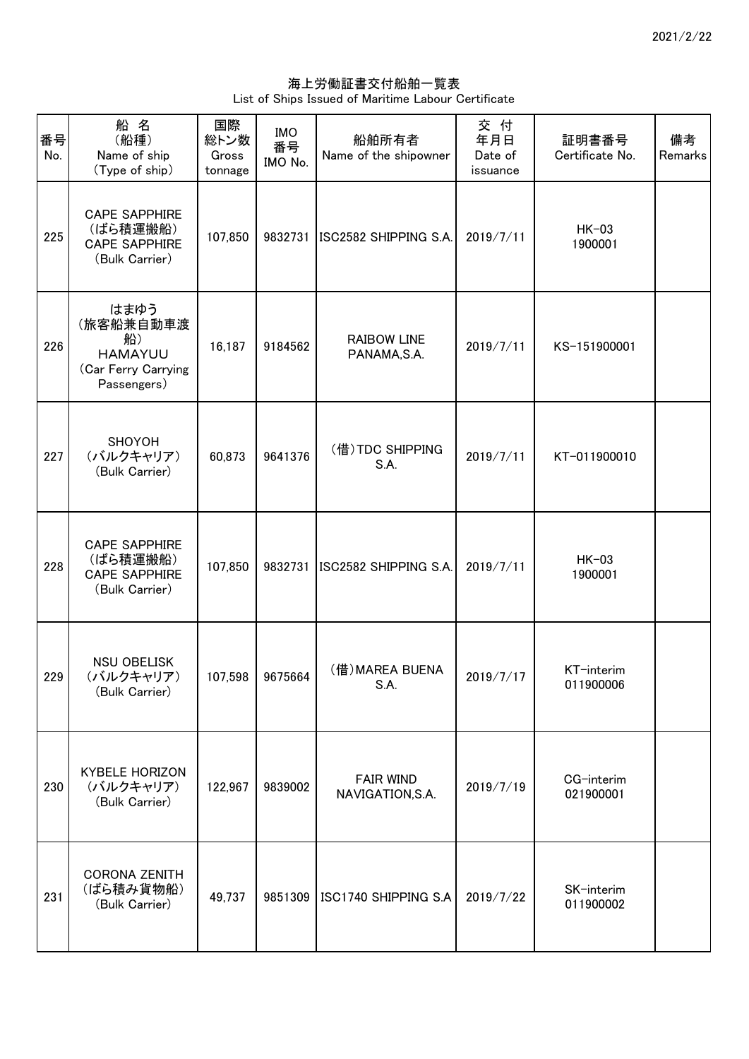海上労働証書交付船舶一覧表 List of Ships Issued of Maritime Labour Certificate

| 番号<br>No. | 船名<br>(船種)<br>Name of ship<br>(Type of ship)                                    | 国際<br>総トン数<br>Gross<br>tonnage | <b>IMO</b><br>番号<br>IMO No. | 船舶所有者<br>Name of the shipowner       | 交 付<br>年月日<br>Date of<br>issuance | 証明書番号<br>Certificate No. | 備考<br>Remarks |
|-----------|---------------------------------------------------------------------------------|--------------------------------|-----------------------------|--------------------------------------|-----------------------------------|--------------------------|---------------|
| 225       | <b>CAPE SAPPHIRE</b><br>(ばら積運搬船)<br><b>CAPE SAPPHIRE</b><br>(Bulk Carrier)      | 107,850                        | 9832731                     | ISC2582 SHIPPING S.A.                | 2019/7/11                         | $HK-03$<br>1900001       |               |
| 226       | はまゆう<br>(旅客船兼自動車渡<br>船)<br><b>HAMAYUU</b><br>(Car Ferry Carrying<br>Passengers) | 16,187                         | 9184562                     | <b>RAIBOW LINE</b><br>PANAMA, S.A.   | 2019/7/11                         | KS-151900001             |               |
| 227       | SHOYOH<br>(バルクキャリア)<br>(Bulk Carrier)                                           | 60,873                         | 9641376                     | (借) TDC SHIPPING<br>S.A.             | 2019/7/11                         | KT-011900010             |               |
| 228       | <b>CAPE SAPPHIRE</b><br>(ばら積運搬船)<br><b>CAPE SAPPHIRE</b><br>(Bulk Carrier)      | 107,850                        | 9832731                     | ISC2582 SHIPPING S.A.                | 2019/7/11                         | $HK-03$<br>1900001       |               |
| 229       | <b>NSU OBELISK</b><br>(バルクキャリア)<br>(Bulk Carrier)                               | 107,598                        | 9675664                     | (借) MAREA BUENA<br>S.A.              | 2019/7/17                         | KT-interim<br>011900006  |               |
| 230       | <b>KYBELE HORIZON</b><br>(バルクキャリア)<br>(Bulk Carrier)                            | 122,967                        | 9839002                     | <b>FAIR WIND</b><br>NAVIGATION, S.A. | 2019/7/19                         | CG-interim<br>021900001  |               |
| 231       | <b>CORONA ZENITH</b><br>(ばら積み貨物船)<br>(Bulk Carrier)                             | 49,737                         | 9851309                     | ISC1740 SHIPPING S.A                 | 2019/7/22                         | SK-interim<br>011900002  |               |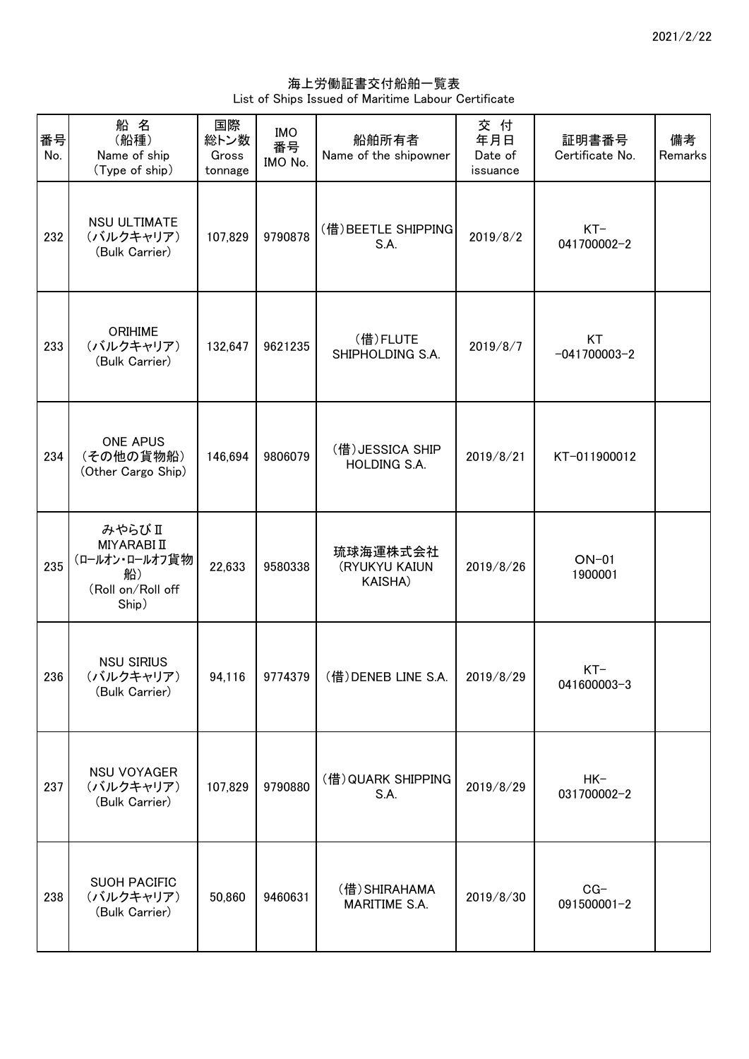海上労働証書交付船舶一覧表 List of Ships Issued of Maritime Labour Certificate

| 番号<br>No. | 船 名<br>(船種)<br>Name of ship<br>(Type of ship)                              | 国際<br>総トン数<br>Gross<br>tonnage | <b>IMO</b><br>番号<br>IMO No. | 船舶所有者<br>Name of the shipowner          | 交 付<br>年月日<br>Date of<br>issuance | 証明書番号<br>Certificate No. | 備考<br>Remarks |
|-----------|----------------------------------------------------------------------------|--------------------------------|-----------------------------|-----------------------------------------|-----------------------------------|--------------------------|---------------|
| 232       | <b>NSU ULTIMATE</b><br>(バルクキャリア)<br>(Bulk Carrier)                         | 107,829                        | 9790878                     | (借) BEETLE SHIPPING<br>S.A.             | 2019/8/2                          | $KT-$<br>041700002-2     |               |
| 233       | <b>ORIHIME</b><br>(バルクキャリア)<br>(Bulk Carrier)                              | 132,647                        | 9621235                     | (借)FLUTE<br>SHIPHOLDING S.A.            | 2019/8/7                          | KT<br>$-041700003-2$     |               |
| 234       | <b>ONE APUS</b><br>(その他の貨物船)<br>(Other Cargo Ship)                         | 146,694                        | 9806079                     | (借) JESSICA SHIP<br><b>HOLDING S.A.</b> | 2019/8/21                         | KT-011900012             |               |
| 235       | みやらびⅡ<br>MIYARABI II<br>(ロールオン・ロールオフ貨物<br>船)<br>(Roll on/Roll off<br>Ship) | 22,633                         | 9580338                     | 琉球海運株式会社<br>(RYUKYU KAIUN<br>KAISHA)    | 2019/8/26                         | $ON-01$<br>1900001       |               |
| 236       | <b>NSU SIRIUS</b><br>(バルクキャリア)<br>(Bulk Carrier)                           | 94,116                         |                             | 9774379 (借) DENEB LINE S.A.             | 2019/8/29                         | $KT-$<br>041600003-3     |               |
| 237       | <b>NSU VOYAGER</b><br>(バルクキャリア)<br>(Bulk Carrier)                          | 107,829                        | 9790880                     | (借) QUARK SHIPPING<br>S.A.              | 2019/8/29                         | $HK-$<br>031700002-2     |               |
| 238       | <b>SUOH PACIFIC</b><br>(バルクキャリア)<br>(Bulk Carrier)                         | 50,860                         | 9460631                     | (借) SHIRAHAMA<br>MARITIME S.A.          | 2019/8/30                         | $CG-$<br>091500001-2     |               |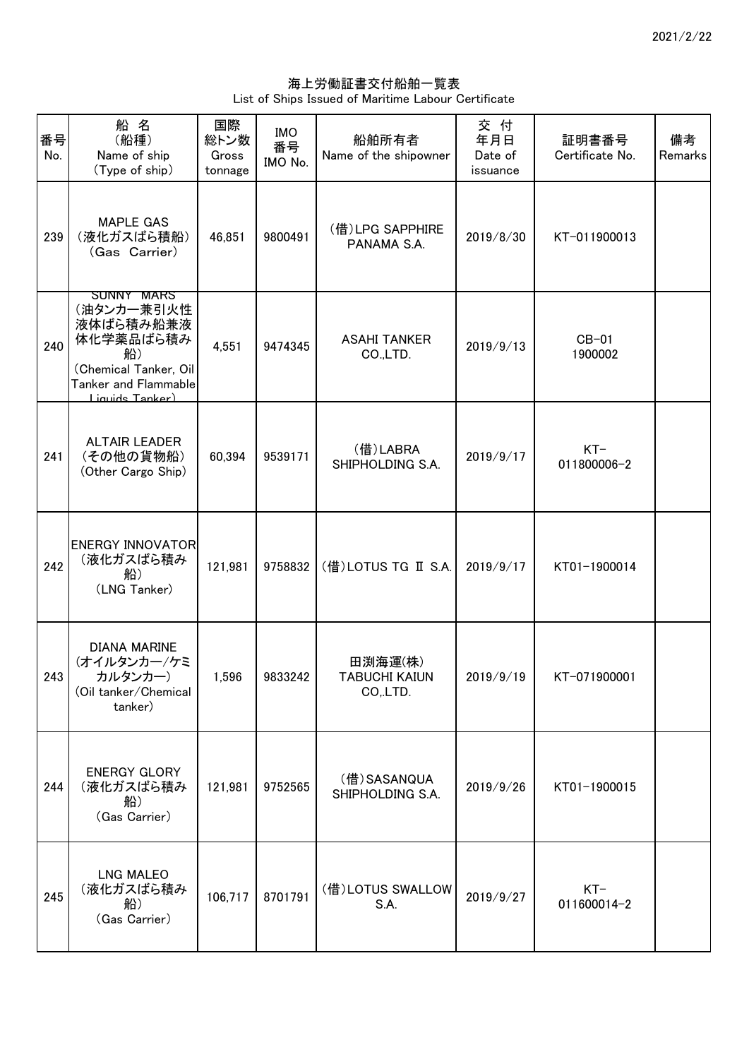海上労働証書交付船舶一覧表 List of Ships Issued of Maritime Labour Certificate

| 番号<br>No. | 船名<br>(船種)<br>Name of ship<br>(Type of ship)                                                                                        | 国際<br>総トン数<br>Gross<br>tonnage | <b>IMO</b><br>番号<br>IMO No. | 船舶所有者<br>Name of the shipowner              | 交付<br>年月日<br>Date of<br>issuance | 証明書番号<br>Certificate No. | 備考<br>Remarks |
|-----------|-------------------------------------------------------------------------------------------------------------------------------------|--------------------------------|-----------------------------|---------------------------------------------|----------------------------------|--------------------------|---------------|
| 239       | <b>MAPLE GAS</b><br>(液化ガスばら積船)<br>(Gas Carrier)                                                                                     | 46,851                         | 9800491                     | (借)LPG SAPPHIRE<br>PANAMA S.A.              | 2019/8/30                        | KT-011900013             |               |
| 240       | <b>SUNNY MARS</b><br>(油タンカー兼引火性<br>液体ばら積み船兼液<br>体化学薬品ばら積み<br>船)<br>(Chemical Tanker, Oil<br>Tanker and Flammable<br>Liquide Tanker) | 4,551                          | 9474345                     | <b>ASAHI TANKER</b><br>CO.,LTD.             | 2019/9/13                        | $CB-01$<br>1900002       |               |
| 241       | <b>ALTAIR LEADER</b><br>(その他の貨物船)<br>(Other Cargo Ship)                                                                             | 60,394                         | 9539171                     | (借)LABRA<br>SHIPHOLDING S.A.                | 2019/9/17                        | $KT-$<br>011800006-2     |               |
| 242       | <b>ENERGY INNOVATOR</b><br>(液化ガスばら積み<br>船)<br>(LNG Tanker)                                                                          | 121,981                        | 9758832                     | (借) LOTUS TG II S.A.                        | 2019/9/17                        | KT01-1900014             |               |
| 243       | <b>DIANA MARINE</b><br>(オイルタンカー/ケミ<br>カルタンカー)<br>(Oil tanker/Chemical<br>tanker)                                                    | 1,596                          | 9833242                     | 田渕海運(株)<br><b>TABUCHI KAIUN</b><br>CO, LTD. | 2019/9/19                        | KT-071900001             |               |
| 244       | <b>ENERGY GLORY</b><br>(液化ガスばら積み<br>船)<br>(Gas Carrier)                                                                             | 121,981                        | 9752565                     | (借)SASANQUA<br>SHIPHOLDING S.A.             | 2019/9/26                        | KT01-1900015             |               |
| 245       | <b>LNG MALEO</b><br>(液化ガスばら積み<br>船)<br>(Gas Carrier)                                                                                | 106,717                        | 8701791                     | (借)LOTUS SWALLOW<br>S.A.                    | 2019/9/27                        | $KT-$<br>011600014-2     |               |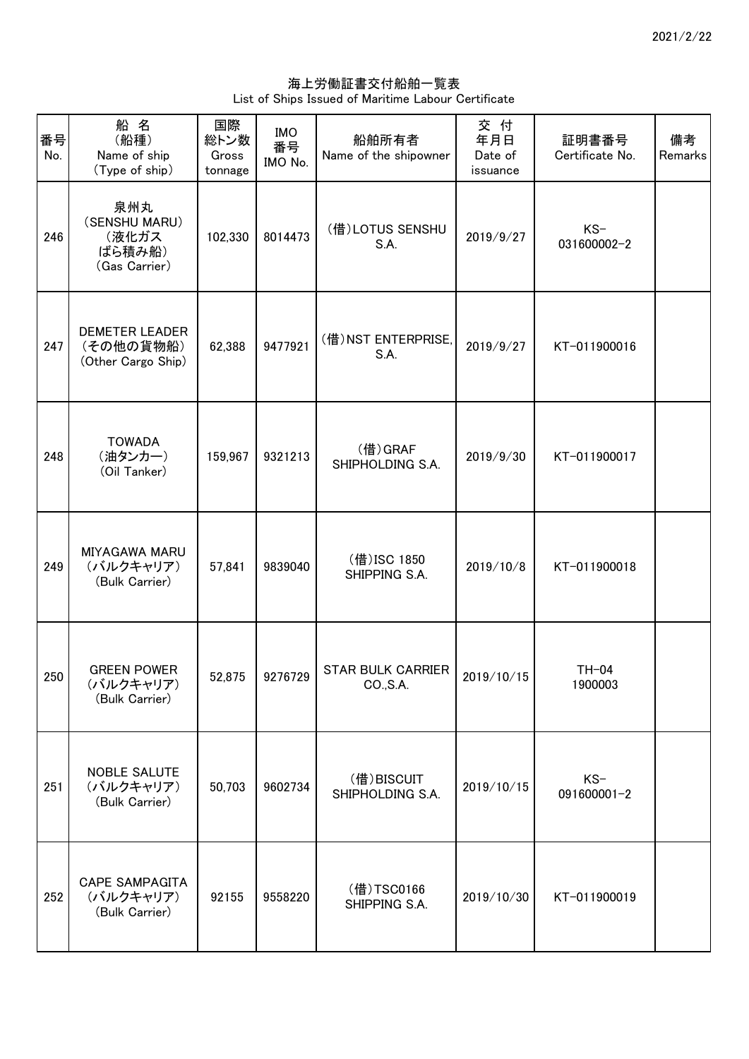海上労働証書交付船舶一覧表 List of Ships Issued of Maritime Labour Certificate

| 番号<br>No. | 船名<br>(船種)<br>Name of ship<br>(Type of ship)             | 国際<br>総トン数<br>Gross<br>tonnage | <b>IMO</b><br>番号<br>IMO No. | 船舶所有者<br>Name of the shipowner        | 交付<br>年月日<br>Date of<br>issuance | 証明書番号<br>Certificate No. | 備考<br>Remarks |
|-----------|----------------------------------------------------------|--------------------------------|-----------------------------|---------------------------------------|----------------------------------|--------------------------|---------------|
| 246       | 泉州丸<br>(SENSHU MARU)<br>(液化ガス<br>ばら積み船)<br>(Gas Carrier) | 102,330                        | 8014473                     | (借)LOTUS SENSHU<br>S.A.               | 2019/9/27                        | $KS-$<br>031600002-2     |               |
| 247       | <b>DEMETER LEADER</b><br>(その他の貨物船)<br>(Other Cargo Ship) | 62,388                         | 9477921                     | (借) NST ENTERPRISE,<br>S.A.           | 2019/9/27                        | KT-011900016             |               |
| 248       | <b>TOWADA</b><br>(油タンカー)<br>(Oil Tanker)                 | 159,967                        | 9321213                     | (借)GRAF<br>SHIPHOLDING S.A.           | 2019/9/30                        | KT-011900017             |               |
| 249       | MIYAGAWA MARU<br>(バルクキャリア)<br>(Bulk Carrier)             | 57,841                         | 9839040                     | (借) ISC 1850<br>SHIPPING S.A.         | 2019/10/8                        | KT-011900018             |               |
| 250       | <b>GREEN POWER</b><br>(バルクキャリア)<br>(Bulk Carrier)        | 52,875                         | 9276729                     | <b>STAR BULK CARRIER</b><br>CO., S.A. | 2019/10/15                       | $TH-04$<br>1900003       |               |
| 251       | <b>NOBLE SALUTE</b><br>(バルクキャリア)<br>(Bulk Carrier)       | 50,703                         | 9602734                     | (借)BISCUIT<br>SHIPHOLDING S.A.        | 2019/10/15                       | $KS-$<br>091600001-2     |               |
| 252       | <b>CAPE SAMPAGITA</b><br>(バルクキャリア)<br>(Bulk Carrier)     | 92155                          | 9558220                     | (借)TSC0166<br>SHIPPING S.A.           | 2019/10/30                       | KT-011900019             |               |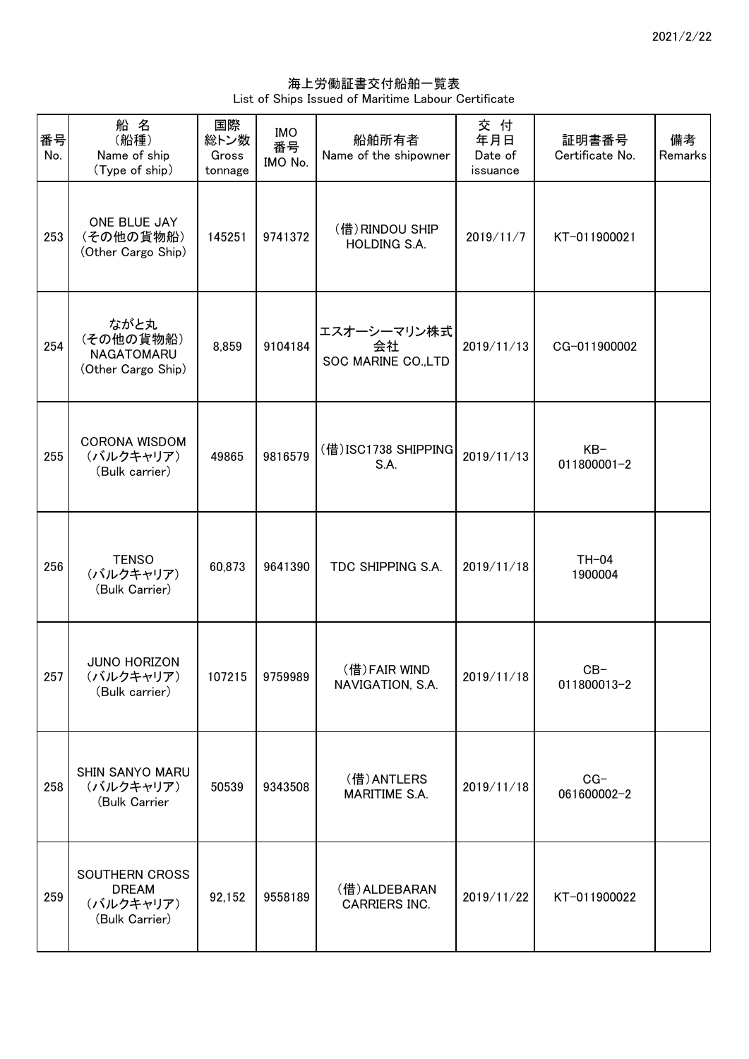海上労働証書交付船舶一覧表 List of Ships Issued of Maritime Labour Certificate

| 番号<br>No. | 船名<br>(船種)<br>Name of ship<br>(Type of ship)                  | 国際<br>総トン数<br>Gross<br>tonnage | <b>IMO</b><br>番号<br>IMO No. | 船舶所有者<br>Name of the shipowner           | 交 付<br>年月日<br>Date of<br>issuance | 証明書番号<br>Certificate No. | 備考<br>Remarks |
|-----------|---------------------------------------------------------------|--------------------------------|-----------------------------|------------------------------------------|-----------------------------------|--------------------------|---------------|
| 253       | ONE BLUE JAY<br>(その他の貨物船)<br>(Other Cargo Ship)               | 145251                         | 9741372                     | (借) RINDOU SHIP<br>HOLDING S.A.          | 2019/11/7                         | KT-011900021             |               |
| 254       | ながと丸<br>(その他の貨物船)<br>NAGATOMARU<br>(Other Cargo Ship)         | 8,859                          | 9104184                     | エスオーシーマリン株式<br>会社<br>SOC MARINE CO., LTD | 2019/11/13                        | CG-011900002             |               |
| 255       | CORONA WISDOM<br>(バルクキャリア)<br>(Bulk carrier)                  | 49865                          | 9816579                     | (借) ISC1738 SHIPPING<br>S.A.             | 2019/11/13                        | $KB-$<br>011800001-2     |               |
| 256       | <b>TENSO</b><br>(バルクキャリア)<br>(Bulk Carrier)                   | 60,873                         | 9641390                     | TDC SHIPPING S.A.                        | 2019/11/18                        | $TH-04$<br>1900004       |               |
| 257       | <b>JUNO HORIZON</b><br>(バルクキャリア)<br>(Bulk carrier)            | 107215                         | 9759989                     | (借)FAIR WIND<br>NAVIGATION, S.A.         | 2019/11/18                        | $CB-$<br>011800013-2     |               |
| 258       | SHIN SANYO MARU<br>(バルクキャリア)<br>(Bulk Carrier                 | 50539                          | 9343508                     | (借) ANTLERS<br>MARITIME S.A.             | 2019/11/18                        | $CG-$<br>061600002-2     |               |
| 259       | SOUTHERN CROSS<br><b>DREAM</b><br>(バルクキャリア)<br>(Bulk Carrier) | 92,152                         | 9558189                     | (借) ALDEBARAN<br><b>CARRIERS INC.</b>    | 2019/11/22                        | KT-011900022             |               |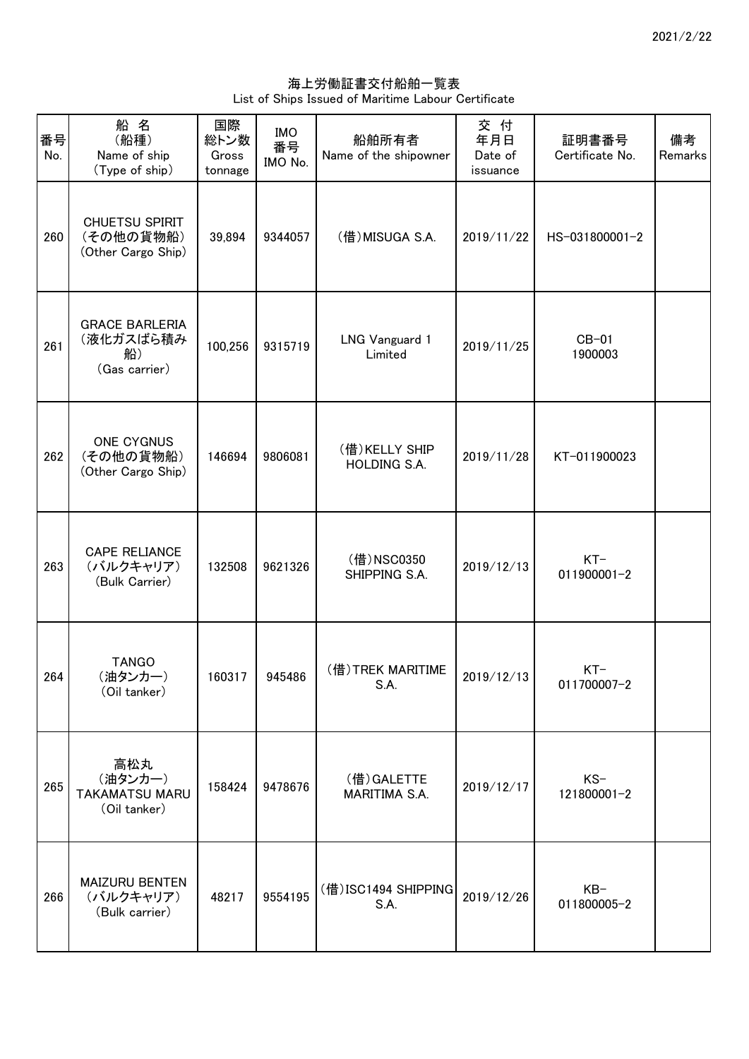海上労働証書交付船舶一覧表 List of Ships Issued of Maritime Labour Certificate

| 番号<br>No. | 船名<br>(船種)<br>Name of ship<br>(Type of ship)              | 国際<br>総トン数<br>Gross<br>tonnage | <b>IMO</b><br>番号<br>IMO No. | 船舶所有者<br>Name of the shipowner       | 交付<br>年月日<br>Date of<br>issuance | 証明書番号<br>Certificate No. | 備考<br>Remarks |
|-----------|-----------------------------------------------------------|--------------------------------|-----------------------------|--------------------------------------|----------------------------------|--------------------------|---------------|
| 260       | CHUETSU SPIRIT<br>(その他の貨物船)<br>(Other Cargo Ship)         | 39,894                         | 9344057                     | (借) MISUGA S.A.                      | 2019/11/22                       | HS-031800001-2           |               |
| 261       | <b>GRACE BARLERIA</b><br>(液化ガスばら積み<br>船)<br>(Gas carrier) | 100,256                        | 9315719                     | <b>LNG Vanguard 1</b><br>Limited     | 2019/11/25                       | $CB-01$<br>1900003       |               |
| 262       | ONE CYGNUS<br>(その他の貨物船)<br>(Other Cargo Ship)             | 146694                         | 9806081                     | (借)KELLY SHIP<br><b>HOLDING S.A.</b> | 2019/11/28                       | KT-011900023             |               |
| 263       | <b>CAPE RELIANCE</b><br>(バルクキャリア)<br>(Bulk Carrier)       | 132508                         | 9621326                     | (借)NSC0350<br>SHIPPING S.A.          | 2019/12/13                       | $KT-$<br>011900001-2     |               |
| 264       | <b>TANGO</b><br>(油タンカー)<br>(Oil tanker)                   | 160317                         | 945486                      | (借)TREK MARITIME<br>S.A.             | 2019/12/13                       | $KT-$<br>011700007-2     |               |
| 265       | 高松丸<br>(油タンカー)<br><b>TAKAMATSU MARU</b><br>(Oil tanker)   | 158424                         | 9478676                     | (借) GALETTE<br>MARITIMA S.A.         | 2019/12/17                       | $KS-$<br>121800001-2     |               |
| 266       | MAIZURU BENTEN<br>(バルクキャリア)<br>(Bulk carrier)             | 48217                          | 9554195                     | (借)ISC1494 SHIPPING<br>S.A.          | 2019/12/26                       | $KB-$<br>011800005-2     |               |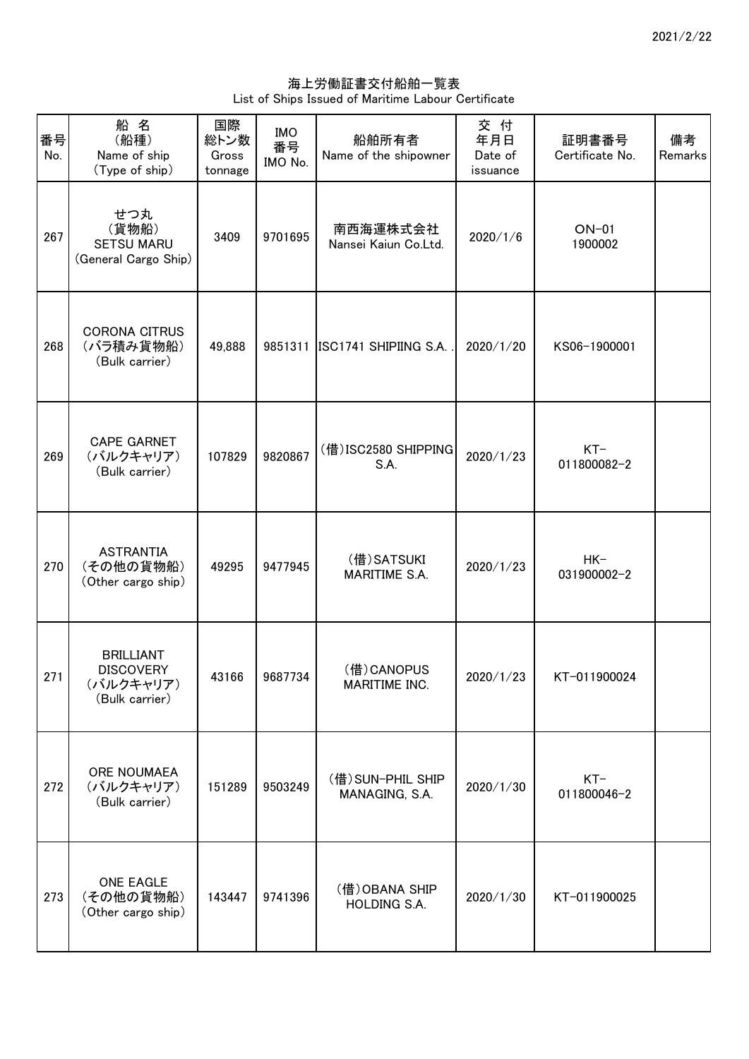海上労働証書交付船舶一覧表 List of Ships Issued of Maritime Labour Certificate

| 番号<br>No. | 船名<br>(船種)<br>Name of ship<br>(Type of ship)                        | 国際<br>総トン数<br>Gross<br>tonnage | <b>IMO</b><br>番号<br>IMO No. | 船舶所有者<br>Name of the shipowner      | 交付<br>年月日<br>Date of<br>issuance | 証明書番号<br>Certificate No. | 備考<br>Remarks |
|-----------|---------------------------------------------------------------------|--------------------------------|-----------------------------|-------------------------------------|----------------------------------|--------------------------|---------------|
| 267       | せつ丸<br>(貨物船)<br><b>SETSU MARU</b><br>(General Cargo Ship)           | 3409                           | 9701695                     | 南西海運株式会社<br>Nansei Kaiun Co.Ltd.    | 2020/1/6                         | $ON-01$<br>1900002       |               |
| 268       | <b>CORONA CITRUS</b><br>(バラ積み貨物船)<br>(Bulk carrier)                 | 49,888                         |                             | 9851311 ISC1741 SHIPIING S.A.       | 2020/1/20                        | KS06-1900001             |               |
| 269       | <b>CAPE GARNET</b><br>(バルクキャリア)<br>(Bulk carrier)                   | 107829                         | 9820867                     | (借) ISC2580 SHIPPING<br>S.A.        | 2020/1/23                        | $KT-$<br>011800082-2     |               |
| 270       | <b>ASTRANTIA</b><br>(その他の貨物船)<br>(Other cargo ship)                 | 49295                          | 9477945                     | (借) SATSUKI<br>MARITIME S.A.        | 2020/1/23                        | $HK-$<br>031900002-2     |               |
| 271       | <b>BRILLIANT</b><br><b>DISCOVERY</b><br>(バルクキャリア)<br>(Bulk carrier) | 43166                          | 9687734                     | (借) CANOPUS<br>MARITIME INC.        | 2020/1/23                        | KT-011900024             |               |
| 272       | ORE NOUMAEA<br>(バルクキャリア)<br>(Bulk carrier)                          | 151289                         | 9503249                     | (借) SUN-PHIL SHIP<br>MANAGING, S.A. | 2020/1/30                        | $KT-$<br>011800046-2     |               |
| 273       | <b>ONE EAGLE</b><br>(その他の貨物船)<br>(Other cargo ship)                 | 143447                         | 9741396                     | (借) OBANA SHIP<br>HOLDING S.A.      | 2020/1/30                        | KT-011900025             |               |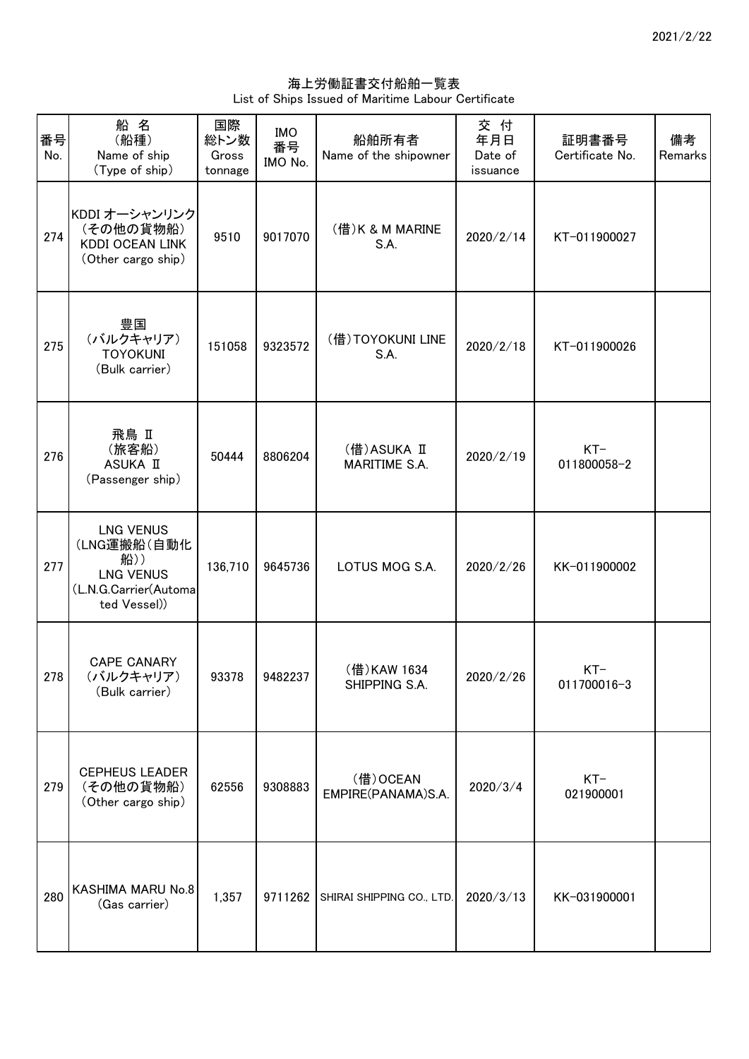海上労働証書交付船舶一覧表 List of Ships Issued of Maritime Labour Certificate

| 番号<br>No. | 船名<br>(船種)<br>Name of ship<br>(Type of ship)                                                        | 国際<br>総トン数<br>Gross<br>tonnage | <b>IMO</b><br>番号<br>IMO No. | 船舶所有者<br>Name of the shipowner      | 交 付<br>年月日<br>Date of<br>issuance | 証明書番号<br>Certificate No. | 備考<br>Remarks |
|-----------|-----------------------------------------------------------------------------------------------------|--------------------------------|-----------------------------|-------------------------------------|-----------------------------------|--------------------------|---------------|
| 274       | KDDI オーシャンリンク<br>(その他の貨物船)<br><b>KDDI OCEAN LINK</b><br>(Other cargo ship)                          | 9510                           | 9017070                     | (借) K & M MARINE<br>S.A.            | 2020/2/14                         | KT-011900027             |               |
| 275       | 豊国<br>(バルクキャリア)<br><b>TOYOKUNI</b><br>(Bulk carrier)                                                | 151058                         | 9323572                     | (借)TOYOKUNI LINE<br>S.A.            | 2020/2/18                         | KT-011900026             |               |
| 276       | 飛鳥 Ⅱ<br>(旅客船)<br>ASUKA II<br>(Passenger ship)                                                       | 50444                          | 8806204                     | (借)ASUKA II<br><b>MARITIME S.A.</b> | 2020/2/19                         | $KT-$<br>011800058-2     |               |
| 277       | <b>LNG VENUS</b><br>(LNG運搬船(自動化<br>船))<br><b>LNG VENUS</b><br>(L.N.G.Carrier(Automa<br>ted Vessel)) | 136,710                        | 9645736                     | LOTUS MOG S.A.                      | 2020/2/26                         | KK-011900002             |               |
| 278       | <b>CAPE CANARY</b><br>(バルクキャリア)<br>(Bulk carrier)                                                   | 93378                          | 9482237                     | (借)KAW 1634<br>SHIPPING S.A.        | 2020/2/26                         | $KT-$<br>011700016-3     |               |
| 279       | <b>CEPHEUS LEADER</b><br>(その他の貨物船)<br>(Other cargo ship)                                            | 62556                          | 9308883                     | (借) OCEAN<br>EMPIRE(PANAMA)S.A.     | 2020/3/4                          | $KT-$<br>021900001       |               |
| 280       | KASHIMA MARU No.8<br>(Gas carrier)                                                                  | 1,357                          |                             | 9711262 SHIRAI SHIPPING CO., LTD.   | 2020/3/13                         | KK-031900001             |               |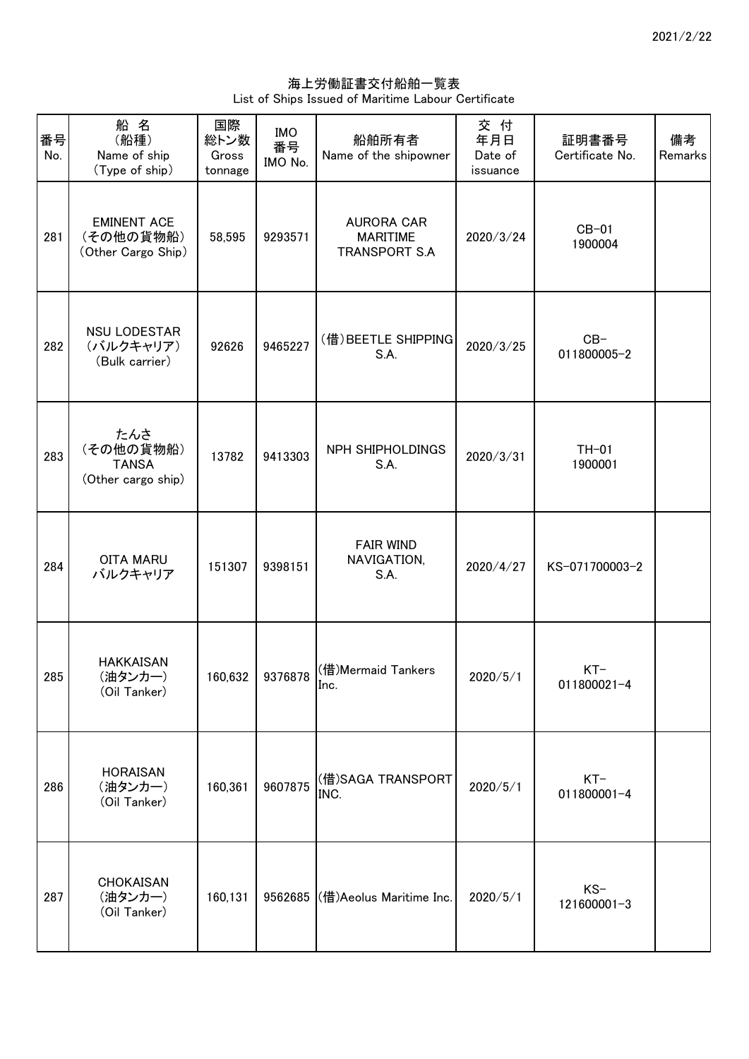海上労働証書交付船舶一覧表 List of Ships Issued of Maritime Labour Certificate

| 番号<br>No. | 船名<br>(船種)<br>Name of ship<br>(Type of ship)           | 国際<br>総トン数<br>Gross<br>tonnage | <b>IMO</b><br>番号<br>IMO No. | 船舶所有者<br>Name of the shipowner                               | 交 付<br>年月日<br>Date of<br>issuance | 証明書番号<br>Certificate No. | 備考<br>Remarks |
|-----------|--------------------------------------------------------|--------------------------------|-----------------------------|--------------------------------------------------------------|-----------------------------------|--------------------------|---------------|
| 281       | <b>EMINENT ACE</b><br>(その他の貨物船)<br>(Other Cargo Ship)  | 58,595                         | 9293571                     | <b>AURORA CAR</b><br><b>MARITIME</b><br><b>TRANSPORT S.A</b> | 2020/3/24                         | $CB-01$<br>1900004       |               |
| 282       | <b>NSU LODESTAR</b><br>(バルクキャリア)<br>(Bulk carrier)     | 92626                          | 9465227                     | (借) BEETLE SHIPPING<br>S.A.                                  | 2020/3/25                         | $CB-$<br>011800005-2     |               |
| 283       | たんさ<br>(その他の貨物船)<br><b>TANSA</b><br>(Other cargo ship) | 13782                          | 9413303                     | NPH SHIPHOLDINGS<br>S.A.                                     | 2020/3/31                         | $TH-01$<br>1900001       |               |
| 284       | <b>OITA MARU</b><br>バルクキャリア                            | 151307                         | 9398151                     | <b>FAIR WIND</b><br>NAVIGATION,<br>S.A.                      | 2020/4/27                         | KS-071700003-2           |               |
| 285       | <b>HAKKAISAN</b><br>(油タンカー)<br>(Oil Tanker)            | 160,632                        | 9376878                     | (借)Mermaid Tankers<br>Inc.                                   | 2020/5/1                          | $KT-$<br>011800021-4     |               |
| 286       | <b>HORAISAN</b><br>(油タンカー)<br>(Oil Tanker)             | 160,361                        | 9607875                     | (借)SAGA TRANSPORT<br>INC.                                    | 2020/5/1                          | $KT-$<br>011800001-4     |               |
| 287       | CHOKAISAN<br>(油タンカー)<br>(Oil Tanker)                   | 160,131                        |                             | 9562685 (借)Aeolus Maritime Inc.                              | 2020/5/1                          | $KS-$<br>121600001-3     |               |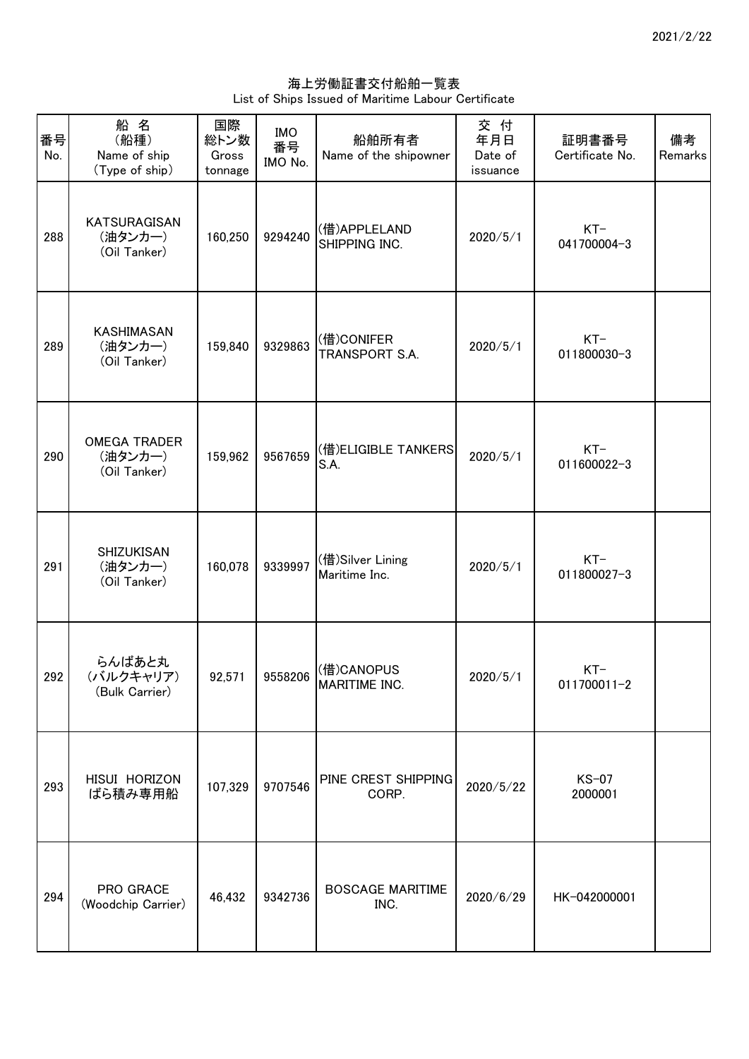海上労働証書交付船舶一覧表 List of Ships Issued of Maritime Labour Certificate

| 番号<br>No. | 船名<br>(船種)<br>Name of ship<br>(Type of ship)   | 国際<br>総トン数<br>Gross<br>tonnage | <b>IMO</b><br>番号<br>IMO No. | 船舶所有者<br>Name of the shipowner                    | 交付<br>年月日<br>Date of<br>issuance | 証明書番号<br>Certificate No. | 備考<br>Remarks |
|-----------|------------------------------------------------|--------------------------------|-----------------------------|---------------------------------------------------|----------------------------------|--------------------------|---------------|
| 288       | KATSURAGISAN<br>(油タンカー)<br>(Oil Tanker)        | 160,250                        | 9294240                     | (借)APPLELAND<br>SHIPPING INC.                     | 2020/5/1                         | $KT-$<br>041700004-3     |               |
| 289       | KASHIMASAN<br>(油タンカー)<br>(Oil Tanker)          | 159,840                        | 9329863                     | (借)CONIFER<br>TRANSPORT S.A.                      | 2020/5/1                         | $KT-$<br>011800030-3     |               |
| 290       | <b>OMEGA TRADER</b><br>(油タンカー)<br>(Oil Tanker) | 159,962                        | 9567659                     | (借)ELIGIBLE TANKERS<br>S.A.                       | 2020/5/1                         | $KT-$<br>011600022-3     |               |
| 291       | SHIZUKISAN<br>(油タンカー)<br>(Oil Tanker)          | 160,078                        | 9339997                     | (借)Silver Lining<br>Maritime Inc.                 | 2020/5/1                         | $KT-$<br>011800027-3     |               |
| 292       | らんばあと丸<br>(バルクキャリア)<br>(Bulk Carrier)          |                                |                             | 92,571 9558206 (借)CANOPUS<br><b>MARITIME INC.</b> | 2020/5/1                         | $KT-$<br>011700011-2     |               |
| 293       | HISUI HORIZON<br>ばら積み専用船                       | 107,329                        | 9707546                     | PINE CREST SHIPPING<br>CORP.                      | 2020/5/22                        | $KS-07$<br>2000001       |               |
| 294       | PRO GRACE<br>(Woodchip Carrier)                | 46,432                         | 9342736                     | <b>BOSCAGE MARITIME</b><br>INC.                   | 2020/6/29                        | HK-042000001             |               |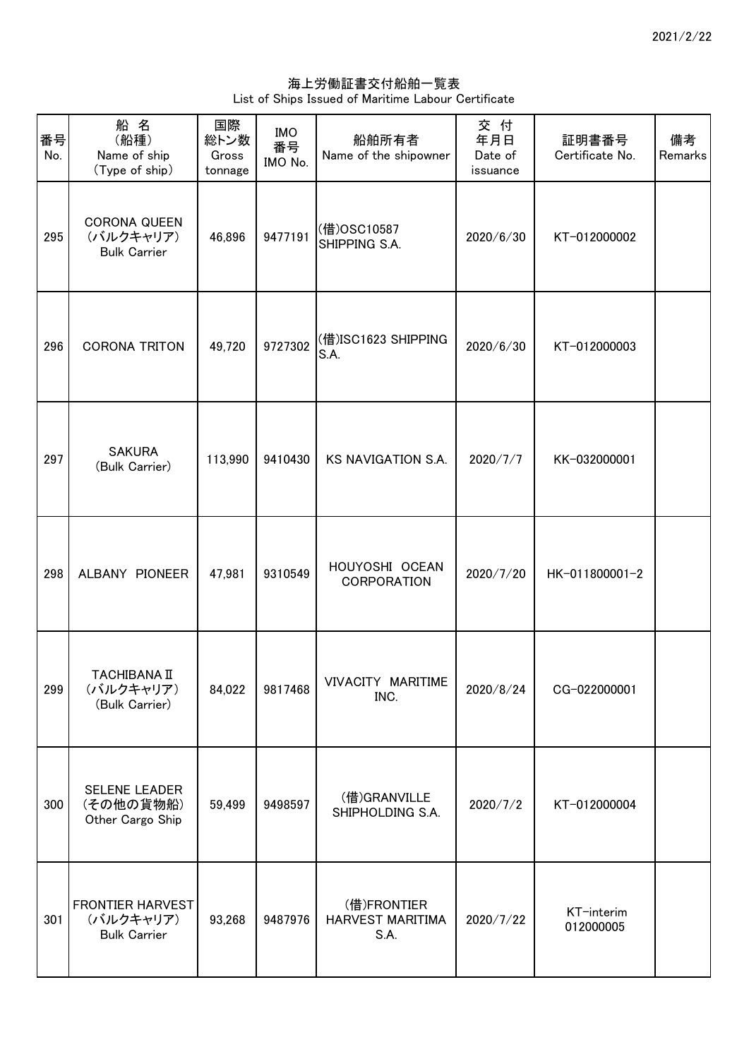海上労働証書交付船舶一覧表 List of Ships Issued of Maritime Labour Certificate

| 番号<br>No. | 船名<br>(船種)<br>Name of ship<br>(Type of ship)                | 国際<br>総トン数<br>Gross<br>tonnage | <b>IMO</b><br>番号<br>IMO No. | 船舶所有者<br>Name of the shipowner          | 交付<br>年月日<br>Date of<br>issuance | 証明書番号<br>Certificate No. | 備考<br>Remarks |
|-----------|-------------------------------------------------------------|--------------------------------|-----------------------------|-----------------------------------------|----------------------------------|--------------------------|---------------|
| 295       | <b>CORONA QUEEN</b><br>(バルクキャリア)<br><b>Bulk Carrier</b>     | 46,896                         | 9477191                     | (借)OSC10587<br>SHIPPING S.A.            | 2020/6/30                        | KT-012000002             |               |
| 296       | CORONA TRITON                                               | 49,720                         | 9727302                     | (借)ISC1623 SHIPPING<br>S.A.             | 2020/6/30                        | KT-012000003             |               |
| 297       | <b>SAKURA</b><br>(Bulk Carrier)                             | 113,990                        | 9410430                     | KS NAVIGATION S.A.                      | 2020/7/7                         | KK-032000001             |               |
| 298       | ALBANY PIONEER                                              | 47,981                         | 9310549                     | HOUYOSHI OCEAN<br>CORPORATION           | 2020/7/20                        | HK-011800001-2           |               |
| 299       | <b>TACHIBANA II</b><br>(バルクキャリア)<br>(Bulk Carrier)          | 84,022                         | 9817468                     | VIVACITY MARITIME<br>INC.               | 2020/8/24                        | CG-022000001             |               |
| 300       | <b>SELENE LEADER</b><br>(その他の貨物船)<br>Other Cargo Ship       | 59,499                         | 9498597                     | (借)GRANVILLE<br>SHIPHOLDING S.A.        | 2020/7/2                         | KT-012000004             |               |
| 301       | <b>FRONTIER HARVEST</b><br>(バルクキャリア)<br><b>Bulk Carrier</b> | 93,268                         | 9487976                     | (借)FRONTIER<br>HARVEST MARITIMA<br>S.A. | 2020/7/22                        | KT-interim<br>012000005  |               |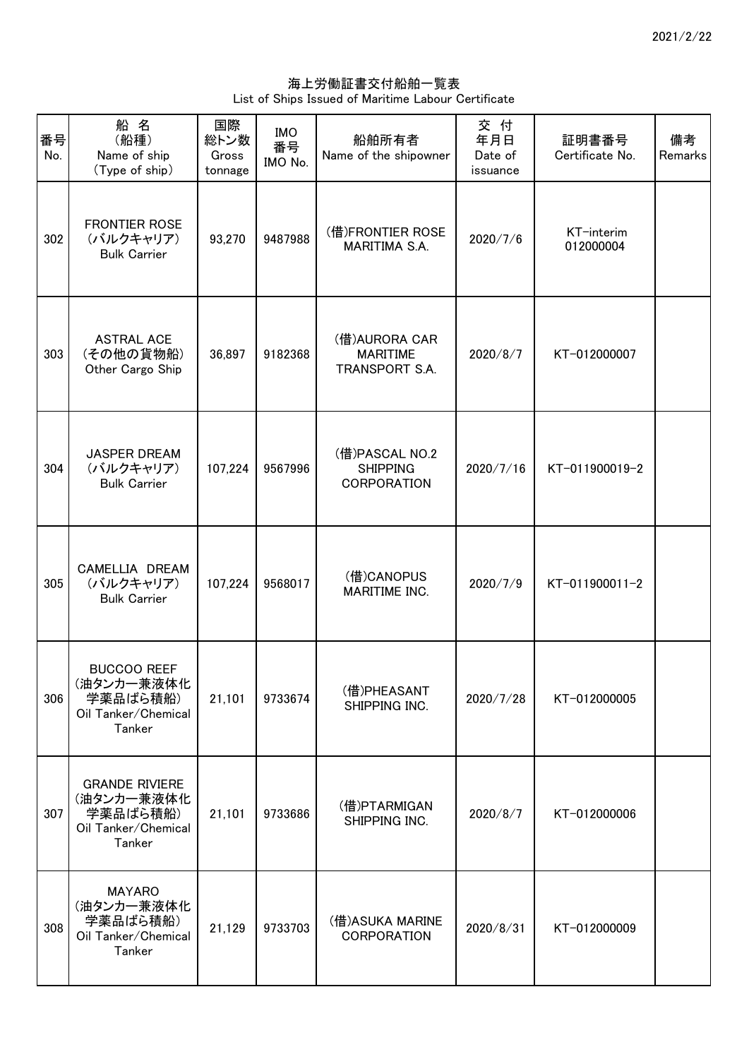## 海上労働証書交付船舶一覧表 List of Ships Issued of Maritime Labour Certificate

| 番号<br>No. | 船名<br>(船種)<br>Name of ship<br>(Type of ship)                                     | 国際<br>総トン数<br>Gross<br>tonnage | <b>IMO</b><br>番号<br>IMO No. | 船舶所有者<br>Name of the shipowner                          | 交付<br>年月日<br>Date of<br>issuance | 証明書番号<br>Certificate No. | 備考<br>Remarks |
|-----------|----------------------------------------------------------------------------------|--------------------------------|-----------------------------|---------------------------------------------------------|----------------------------------|--------------------------|---------------|
| 302       | <b>FRONTIER ROSE</b><br>(バルクキャリア)<br><b>Bulk Carrier</b>                         | 93,270                         | 9487988                     | (借)FRONTIER ROSE<br>MARITIMA S.A.                       | 2020/7/6                         | KT-interim<br>012000004  |               |
| 303       | <b>ASTRAL ACE</b><br>(その他の貨物船)<br>Other Cargo Ship                               | 36,897                         | 9182368                     | (借)AURORA CAR<br><b>MARITIME</b><br>TRANSPORT S.A.      | 2020/8/7                         | KT-012000007             |               |
| 304       | <b>JASPER DREAM</b><br>(バルクキャリア)<br><b>Bulk Carrier</b>                          | 107,224                        | 9567996                     | (借)PASCAL NO.2<br><b>SHIPPING</b><br><b>CORPORATION</b> | 2020/7/16                        | KT-011900019-2           |               |
| 305       | CAMELLIA DREAM<br>(バルクキャリア)<br><b>Bulk Carrier</b>                               | 107,224                        | 9568017                     | (借)CANOPUS<br>MARITIME INC.                             | 2020/7/9                         | KT-011900011-2           |               |
| 306       | <b>BUCCOO REEF</b><br>(油タンカー兼液体化<br>学薬品ばら積船)<br>Oil Tanker/Chemical<br>Tanker    | 21,101                         | 9733674                     | (借)PHEASANT<br>SHIPPING INC.                            | 2020/7/28                        | KT-012000005             |               |
| 307       | <b>GRANDE RIVIERE</b><br>(油タンカー兼液体化<br>学薬品ばら積船)<br>Oil Tanker/Chemical<br>Tanker | 21,101                         | 9733686                     | (借)PTARMIGAN<br>SHIPPING INC.                           | 2020/8/7                         | KT-012000006             |               |
| 308       | <b>MAYARO</b><br>(油タンカー兼液体化<br>学薬品ばら積船)<br>Oil Tanker/Chemical<br>Tanker         | 21,129                         | 9733703                     | (借)ASUKA MARINE<br><b>CORPORATION</b>                   | 2020/8/31                        | KT-012000009             |               |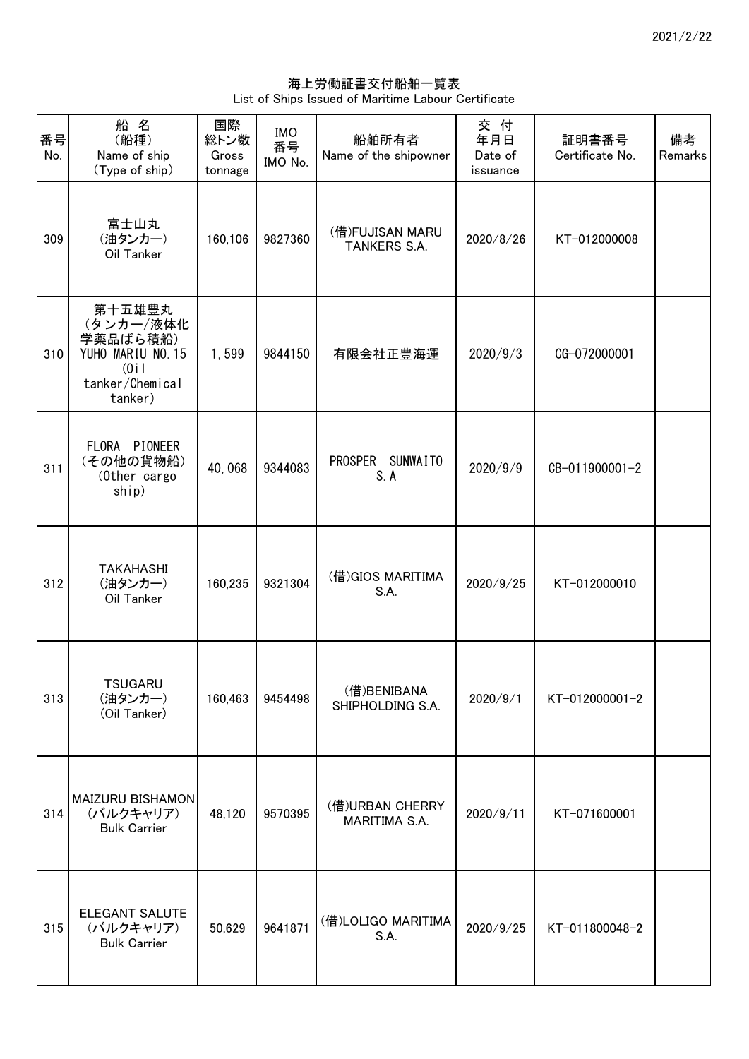海上労働証書交付船舶一覧表 List of Ships Issued of Maritime Labour Certificate

| 番号<br>No. | 船名<br>(船種)<br>Name of ship<br>(Type of ship)                                               | 国際<br>総トン数<br>Gross<br>tonnage | <b>IMO</b><br>番号<br>IMO No. | 船舶所有者<br>Name of the shipowner   | 交付<br>年月日<br>Date of<br>issuance | 証明書番号<br>Certificate No. | 備考<br>Remarks |
|-----------|--------------------------------------------------------------------------------------------|--------------------------------|-----------------------------|----------------------------------|----------------------------------|--------------------------|---------------|
| 309       | 富士山丸<br>(油タンカー)<br>Oil Tanker                                                              | 160,106                        | 9827360                     | (借)FUJISAN MARU<br>TANKERS S.A.  | 2020/8/26                        | KT-012000008             |               |
| 310       | 第十五雄豊丸<br>(タンカー/液体化<br>学薬品ばら積船)<br>YUHO MARIU NO. 15<br>(0i)<br>tanker/Chemical<br>tanker) | 1,599                          | 9844150                     | 有限会社正豊海運                         | 2020/9/3                         | CG-072000001             |               |
| 311       | FLORA PIONEER<br>(その他の貨物船)<br>(Other cargo<br>ship)                                        | 40,068                         | 9344083                     | PROSPER SUNWAITO<br>S. A         | 2020/9/9                         | CB-011900001-2           |               |
| 312       | <b>TAKAHASHI</b><br>(油タンカー)<br>Oil Tanker                                                  | 160,235                        | 9321304                     | (借) GIOS MARITIMA<br>S.A.        | 2020/9/25                        | KT-012000010             |               |
| 313       | <b>TSUGARU</b><br>(油タンカー)<br>(Oil Tanker)                                                  | 160,463                        | 9454498                     | (借)BENIBANA<br>SHIPHOLDING S.A.  | 2020/9/1                         | KT-012000001-2           |               |
| 314       | <b>MAIZURU BISHAMON</b><br>(バルクキャリア)<br><b>Bulk Carrier</b>                                | 48,120                         | 9570395                     | (借)URBAN CHERRY<br>MARITIMA S.A. | 2020/9/11                        | KT-071600001             |               |
| 315       | ELEGANT SALUTE<br>(バルクキャリア)<br><b>Bulk Carrier</b>                                         | 50,629                         | 9641871                     | (借)LOLIGO MARITIMA<br>S.A.       | 2020/9/25                        | KT-011800048-2           |               |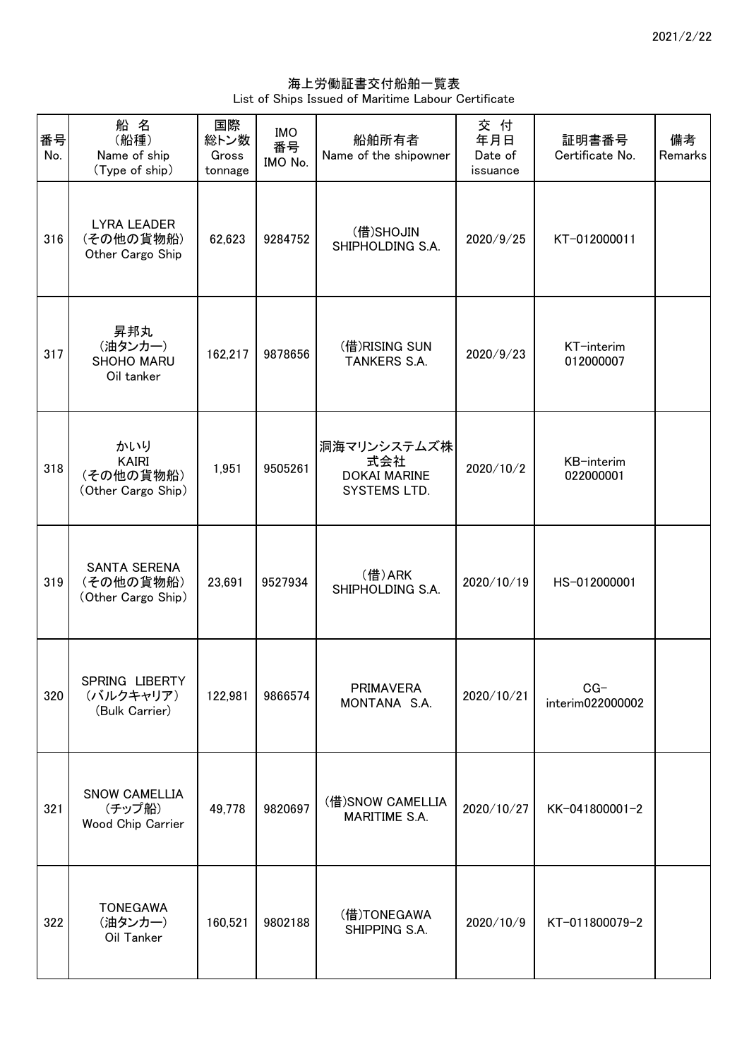海上労働証書交付船舶一覧表 List of Ships Issued of Maritime Labour Certificate

| 番号<br>No. | 船名<br>(船種)<br>Name of ship<br>(Type of ship)           | 国際<br>総トン数<br>Gross<br>tonnage | <b>IMO</b><br>番号<br>IMO No. | 船舶所有者<br>Name of the shipowner                            | 交 付<br>年月日<br>Date of<br>issuance | 証明書番号<br>Certificate No.  | 備考<br>Remarks |
|-----------|--------------------------------------------------------|--------------------------------|-----------------------------|-----------------------------------------------------------|-----------------------------------|---------------------------|---------------|
| 316       | <b>LYRA LEADER</b><br>(その他の貨物船)<br>Other Cargo Ship    | 62,623                         | 9284752                     | (借)SHOJIN<br>SHIPHOLDING S.A.                             | 2020/9/25                         | KT-012000011              |               |
| 317       | 昇邦丸<br>(油タンカー)<br>SHOHO MARU<br>Oil tanker             | 162,217                        | 9878656                     | (借)RISING SUN<br>TANKERS S.A.                             | 2020/9/23                         | KT-interim<br>012000007   |               |
| 318       | かいり<br><b>KAIRI</b><br>(その他の貨物船)<br>(Other Cargo Ship) | 1,951                          | 9505261                     | 洞海マリンシステムズ株<br>式会社<br><b>DOKAI MARINE</b><br>SYSTEMS LTD. | 2020/10/2                         | KB-interim<br>022000001   |               |
| 319       | <b>SANTA SERENA</b><br>(その他の貨物船)<br>(Other Cargo Ship) | 23,691                         | 9527934                     | (借)ARK<br>SHIPHOLDING S.A.                                | 2020/10/19                        | HS-012000001              |               |
| 320       | SPRING LIBERTY<br>(バルクキャリア)<br>(Bulk Carrier)          | 122,981                        | 9866574                     | <b>PRIMAVERA</b><br>MONTANA S.A.                          | 2020/10/21                        | $CG-$<br>interim022000002 |               |
| 321       | <b>SNOW CAMELLIA</b><br>(チップ船)<br>Wood Chip Carrier    | 49,778                         | 9820697                     | (借) SNOW CAMELLIA<br>MARITIME S.A.                        | 2020/10/27                        | KK-041800001-2            |               |
| 322       | <b>TONEGAWA</b><br>(油タンカー)<br>Oil Tanker               | 160,521                        | 9802188                     | (借)TONEGAWA<br>SHIPPING S.A.                              | 2020/10/9                         | KT-011800079-2            |               |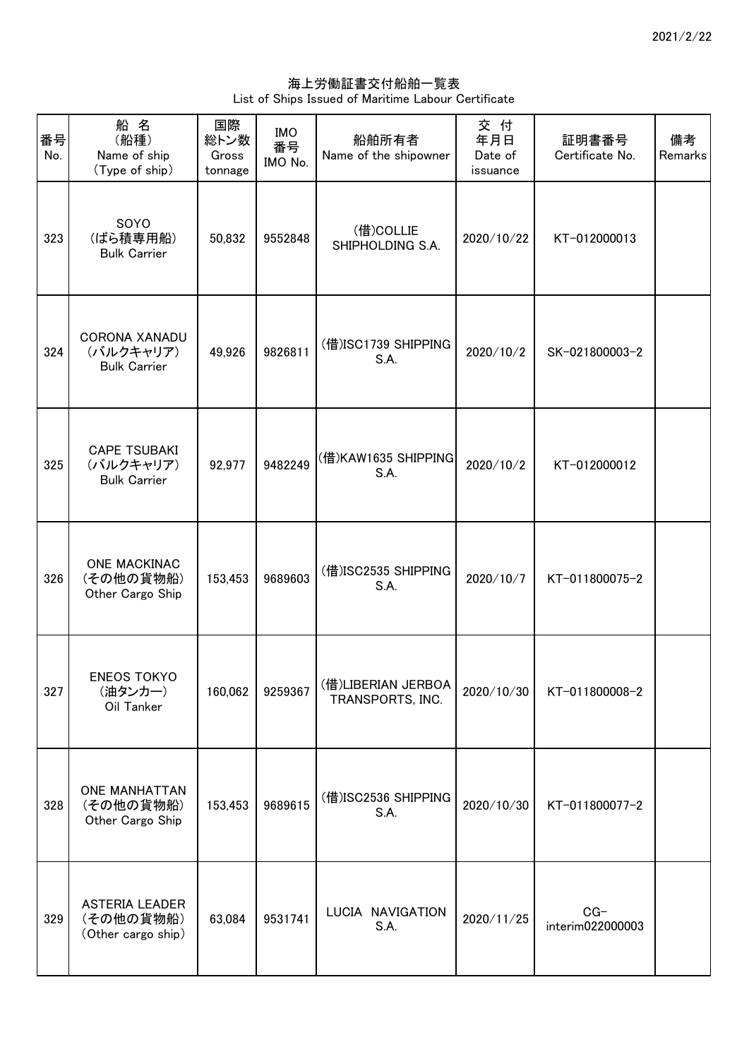海上労働証書交付船舶一覧表 List of Ships Issued of Maritime Labour Certificate

| 番号<br>No. | 船名<br>(船種)<br>Name of ship<br>(Type of ship)             | 国際<br>総トン数<br>Gross<br>tonnage | <b>IMO</b><br>番号<br>IMO No. | 船舶所有者<br>Name of the shipowner         | 交付<br>年月日<br>Date of<br>issuance | 証明書番号<br>Certificate No.  | 備考<br>Remarks |
|-----------|----------------------------------------------------------|--------------------------------|-----------------------------|----------------------------------------|----------------------------------|---------------------------|---------------|
| 323       | SOYO<br>(ばら積専用船)<br><b>Bulk Carrier</b>                  | 50,832                         | 9552848                     | (借)COLLIE<br>SHIPHOLDING S.A.          | 2020/10/22                       | KT-012000013              |               |
| 324       | <b>CORONA XANADU</b><br>(バルクキャリア)<br><b>Bulk Carrier</b> | 49,926                         | 9826811                     | (借)ISC1739 SHIPPING<br>S.A.            | 2020/10/2                        | SK-021800003-2            |               |
| 325       | <b>CAPE TSUBAKI</b><br>(バルクキャリア)<br><b>Bulk Carrier</b>  | 92,977                         | 9482249                     | (借)KAW1635 SHIPPING<br>S.A.            | 2020/10/2                        | KT-012000012              |               |
| 326       | <b>ONE MACKINAC</b><br>(その他の貨物船)<br>Other Cargo Ship     | 153,453                        | 9689603                     | (借)ISC2535 SHIPPING<br>S.A.            | 2020/10/7                        | KT-011800075-2            |               |
| 327       | <b>ENEOS TOKYO</b><br>(油タンカー)<br>Oil Tanker              | 160,062                        | 9259367                     | (借)LIBERIAN JERBOA<br>TRANSPORTS, INC. | 2020/10/30                       | KT-011800008-2            |               |
| 328       | <b>ONE MANHATTAN</b><br>(その他の貨物船)<br>Other Cargo Ship    | 153,453                        | 9689615                     | (借)ISC2536 SHIPPING<br>S.A.            | 2020/10/30                       | KT-011800077-2            |               |
| 329       | ASTERIA LEADER<br>(その他の貨物船)<br>(Other cargo ship)        | 63,084                         | 9531741                     | LUCIA NAVIGATION<br>S.A.               | 2020/11/25                       | $CG-$<br>interim022000003 |               |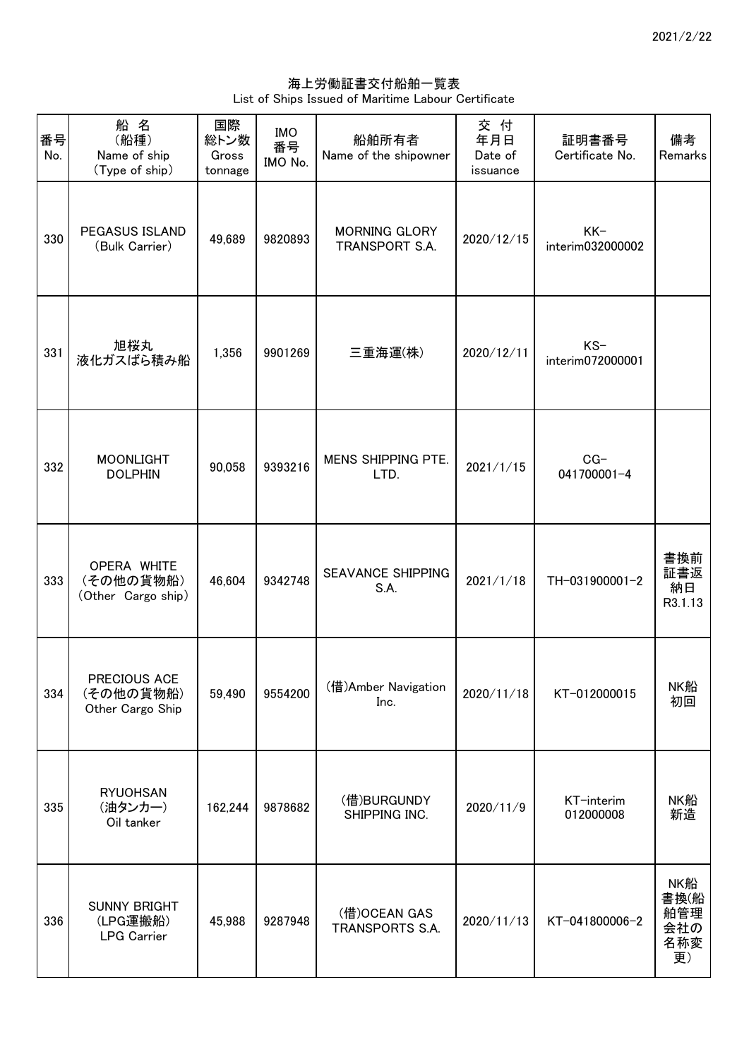海上労働証書交付船舶一覧表 List of Ships Issued of Maritime Labour Certificate

| 番号<br>No. | 船名<br>(船種)<br>Name of ship<br>(Type of ship)          | 国際<br>総トン数<br>Gross<br>tonnage | <b>IMO</b><br>番号<br>IMO No. | 船舶所有者<br>Name of the shipowner         | 交付<br>年月日<br>Date of<br>issuance | 証明書番号<br>Certificate No.  | 備考<br>Remarks                          |
|-----------|-------------------------------------------------------|--------------------------------|-----------------------------|----------------------------------------|----------------------------------|---------------------------|----------------------------------------|
| 330       | <b>PEGASUS ISLAND</b><br>(Bulk Carrier)               | 49,689                         | 9820893                     | <b>MORNING GLORY</b><br>TRANSPORT S.A. | 2020/12/15                       | $KK-$<br>interim032000002 |                                        |
| 331       | 旭桜丸<br>液化ガスばら積み船                                      | 1,356                          | 9901269                     | 三重海運(株)                                | 2020/12/11                       | $KS-$<br>interim072000001 |                                        |
| 332       | <b>MOONLIGHT</b><br><b>DOLPHIN</b>                    | 90,058                         | 9393216                     | MENS SHIPPING PTE.<br>LTD.             | 2021/1/15                        | $CG-$<br>041700001-4      |                                        |
| 333       | OPERA WHITE<br>(その他の貨物船)<br>(Other Cargo ship)        | 46,604                         | 9342748                     | <b>SEAVANCE SHIPPING</b><br>S.A.       | 2021/1/18                        | TH-031900001-2            | 書換前<br>証書返<br>納日<br>R3.1.13            |
| 334       | PRECIOUS ACE<br>(その他の貨物船)<br>Other Cargo Ship         | 59,490                         | 9554200                     | (借)Amber Navigation<br>Inc.            | 2020/11/18                       | KT-012000015              | NK船<br>初回                              |
| 335       | <b>RYUOHSAN</b><br>(油タンカー)<br>Oil tanker              | 162,244                        | 9878682                     | (借)BURGUNDY<br>SHIPPING INC.           | 2020/11/9                        | KT-interim<br>012000008   | NK船<br>新造                              |
| 336       | <b>SUNNY BRIGHT</b><br>(LPG運搬船)<br><b>LPG Carrier</b> | 45,988                         | 9287948                     | (借)OCEAN GAS<br>TRANSPORTS S.A.        | 2020/11/13                       | KT-041800006-2            | NK船<br>書換(船<br>舶管理<br>会社の<br>名称変<br>更) |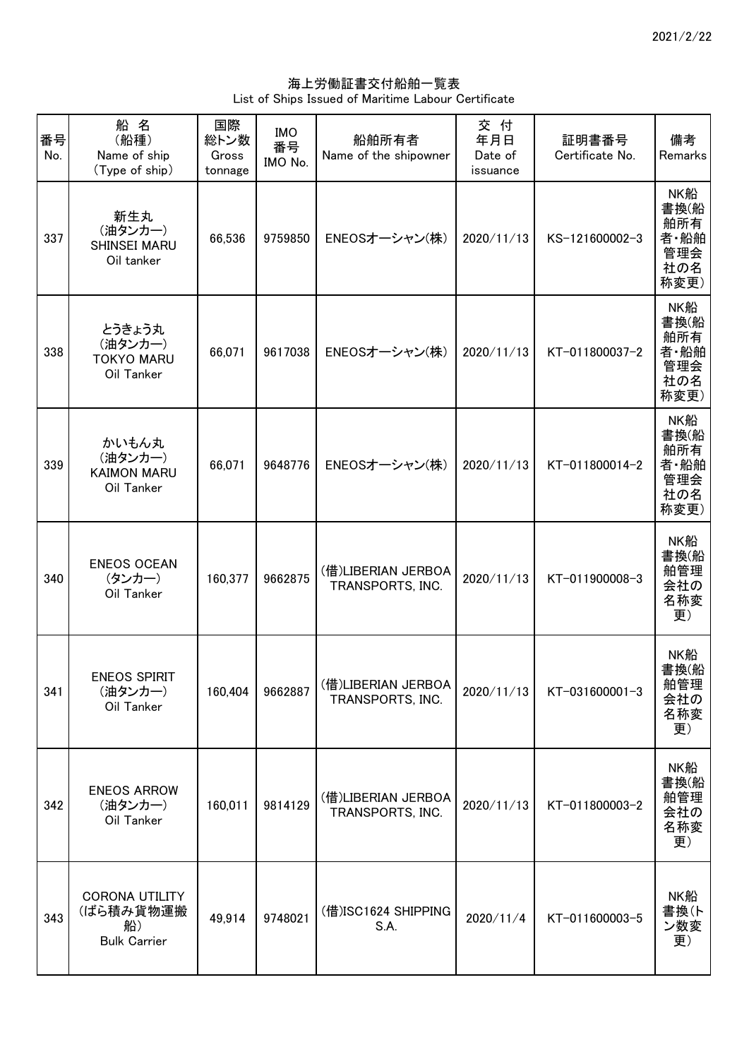海上労働証書交付船舶一覧表 List of Ships Issued of Maritime Labour Certificate

| 番号<br>No. | 船名<br>(船種)<br>Name of ship<br>(Type of ship)                    | 国際<br>総トン数<br>Gross<br>tonnage | <b>IMO</b><br>番号<br>IMO No. | 船舶所有者<br>Name of the shipowner         | 交付<br>年月日<br>Date of<br>issuance | 証明書番号<br>Certificate No. | 備考<br>Remarks                                    |
|-----------|-----------------------------------------------------------------|--------------------------------|-----------------------------|----------------------------------------|----------------------------------|--------------------------|--------------------------------------------------|
| 337       | 新生丸<br>(油タンカー)<br>SHINSEI MARU<br>Oil tanker                    | 66,536                         | 9759850                     | ENEOSオーシャン(株)                          | 2020/11/13                       | KS-121600002-3           | NK船<br>書換(船<br>舶所有<br>者·船舶<br>管理会<br>社の名<br>称変更) |
| 338       | とうきょう丸<br>(油タンカー)<br><b>TOKYO MARU</b><br>Oil Tanker            | 66,071                         | 9617038                     | ENEOSオーシャン(株)                          | 2020/11/13                       | KT-011800037-2           | NK船<br>書換(船<br>舶所有<br>者·船舶<br>管理会<br>社の名<br>称変更) |
| 339       | かいもん丸<br>(油タンカー)<br><b>KAIMON MARU</b><br>Oil Tanker            | 66,071                         | 9648776                     | ENEOSオーシャン(株)                          | 2020/11/13                       | KT-011800014-2           | NK船<br>書換(船<br>舶所有<br>者·船舶<br>管理会<br>社の名<br>称変更) |
| 340       | <b>ENEOS OCEAN</b><br>(タンカー)<br>Oil Tanker                      | 160,377                        | 9662875                     | (借)LIBERIAN JERBOA<br>TRANSPORTS, INC. | 2020/11/13                       | KT-011900008-3           | NK船<br>書換(船<br>舶管理<br>会社の<br>名称変<br>更)           |
| 341       | <b>ENEOS SPIRIT</b><br>(油タンカー)<br>Oil Tanker                    | 160,404                        | 9662887                     | (借)LIBERIAN JERBOA<br>TRANSPORTS, INC. | 2020/11/13                       | KT-031600001-3           | NK船<br>書換(船<br>舶管理<br>会社の<br>名称変<br>更)           |
| 342       | <b>ENEOS ARROW</b><br>(油タンカー)<br>Oil Tanker                     | 160,011                        | 9814129                     | (借)LIBERIAN JERBOA<br>TRANSPORTS, INC. | 2020/11/13                       | KT-011800003-2           | NK船<br>書換(船<br>舶管理<br>会社の<br>名称変<br>更)           |
| 343       | <b>CORONA UTILITY</b><br>(ばら積み貨物運搬<br>船)<br><b>Bulk Carrier</b> | 49,914                         | 9748021                     | (借)ISC1624 SHIPPING<br>S.A.            | 2020/11/4                        | KT-011600003-5           | NK船<br>書換(ト<br>ン数変<br>更)                         |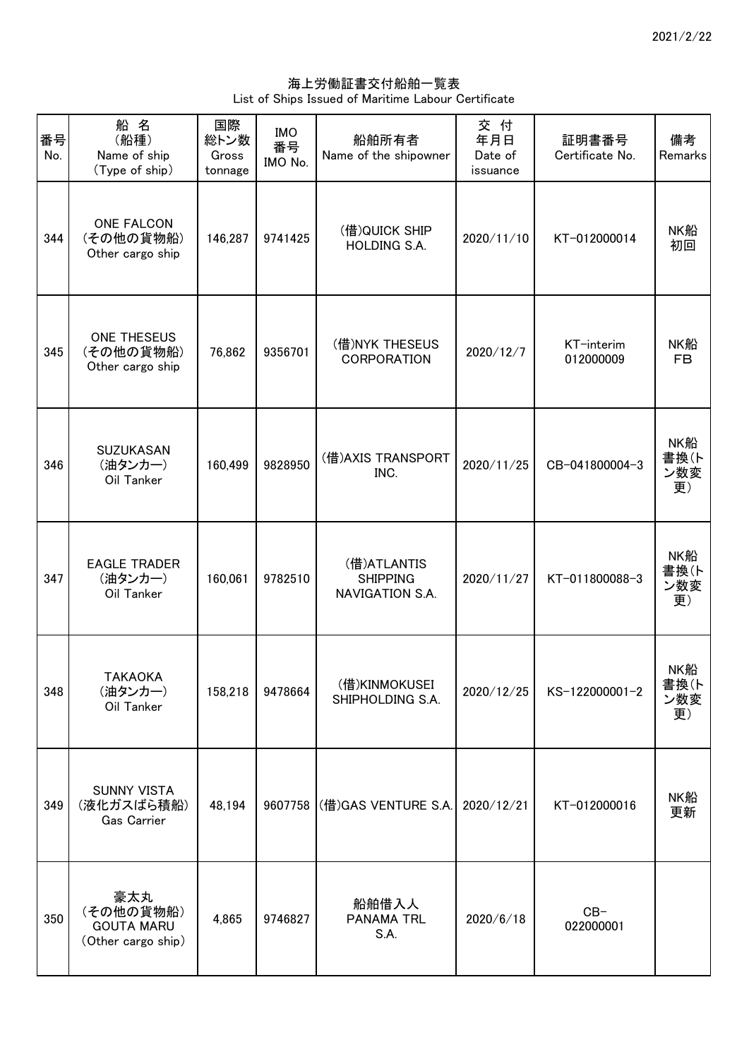海上労働証書交付船舶一覧表 List of Ships Issued of Maritime Labour Certificate

| 番号<br>No. | 船名<br>(船種)<br>Name of ship<br>(Type of ship)                | 国際<br>総トン数<br>Gross<br>tonnage | <b>IMO</b><br>番号<br>IMO No. | 船舶所有者<br>Name of the shipowner                    | 交付<br>年月日<br>Date of<br>issuance | 証明書番号<br>Certificate No. | 備考<br>Remarks            |
|-----------|-------------------------------------------------------------|--------------------------------|-----------------------------|---------------------------------------------------|----------------------------------|--------------------------|--------------------------|
| 344       | <b>ONE FALCON</b><br>(その他の貨物船)<br>Other cargo ship          | 146,287                        | 9741425                     | (借)QUICK SHIP<br>HOLDING S.A.                     | 2020/11/10                       | KT-012000014             | NK船<br>初回                |
| 345       | ONE THESEUS<br>(その他の貨物船)<br>Other cargo ship                | 76,862                         | 9356701                     | (借)NYK THESEUS<br><b>CORPORATION</b>              | 2020/12/7                        | KT-interim<br>012000009  | NK船<br><b>FB</b>         |
| 346       | <b>SUZUKASAN</b><br>(油タンカー)<br>Oil Tanker                   | 160,499                        | 9828950                     | (借) AXIS TRANSPORT<br>INC.                        | 2020/11/25                       | CB-041800004-3           | NK船<br>書換(ト<br>ン数変<br>更) |
| 347       | <b>EAGLE TRADER</b><br>(油タンカー)<br>Oil Tanker                | 160,061                        | 9782510                     | (借)ATLANTIS<br><b>SHIPPING</b><br>NAVIGATION S.A. | 2020/11/27                       | KT-011800088-3           | NK船<br>書換(ト<br>ン数変<br>更) |
| 348       | <b>TAKAOKA</b><br>(油タンカー)<br>Oil Tanker                     | 158,218                        | 9478664                     | (借)KINMOKUSEI<br>SHIPHOLDING S.A.                 | 2020/12/25                       | KS-122000001-2           | NK船<br>書換(ト<br>ン数変<br>更) |
| 349       | <b>SUNNY VISTA</b><br>(液化ガスばら積船)<br>Gas Carrier             | 48,194                         |                             | 9607758 (借) GAS VENTURE S.A.                      | 2020/12/21                       | KT-012000016             | NK船<br>更新                |
| 350       | 豪太丸<br>(その他の貨物船)<br><b>GOUTA MARU</b><br>(Other cargo ship) | 4,865                          | 9746827                     | 船舶借入人<br><b>PANAMA TRL</b><br>S.A.                | 2020/6/18                        | $CB-$<br>022000001       |                          |